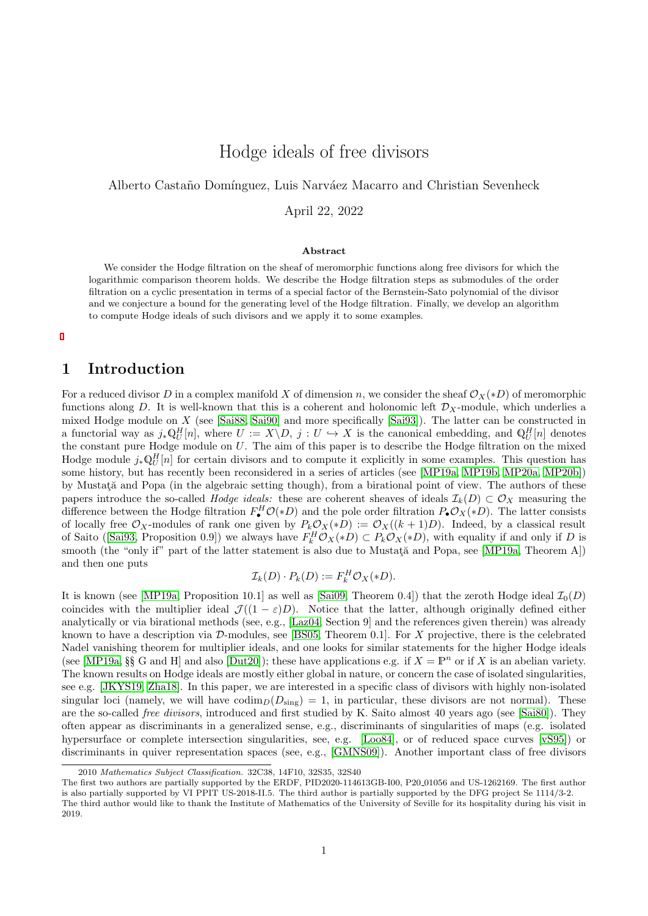# Hodge ideals of free divisors

<span id="page-0-0"></span>Alberto Castaño Domínguez, Luis Narváez Macarro and Christian Sevenheck

April 22, 2022

#### Abstract

We consider the Hodge filtration on the sheaf of meromorphic functions along free divisors for which the logarithmic comparison theorem holds. We describe the Hodge filtration steps as submodules of the order filtration on a cyclic presentation in terms of a special factor of the Bernstein-Sato polynomial of the divisor and we conjecture a bound for the generating level of the Hodge filtration. Finally, we develop an algorithm to compute Hodge ideals of such divisors and we apply it to some examples.

### 1 Introduction

For a reduced divisor D in a complex manifold X of dimension n, we consider the sheaf  $\mathcal{O}_X(*D)$  of meromorphic functions along D. It is well-known that this is a coherent and holonomic left  $\mathcal{D}_X$ -module, which underlies a mixed Hodge module on X (see [\[Sai88,](#page-41-0) [Sai90\]](#page-41-1) and more specifically [\[Sai93\]](#page-41-2)). The latter can be constructed in a functorial way as  $j_*\mathbb{Q}_U^H[n]$ , where  $U := X \backslash D, j : U \hookrightarrow X$  is the canonical embedding, and  $\mathbb{Q}_U^H[n]$  denotes the constant pure Hodge module on  $U$ . The aim of this paper is to describe the Hodge filtration on the mixed Hodge module  $j_*\mathbb{Q}_U^H[n]$  for certain divisors and to compute it explicitly in some examples. This question has some history, but has recently been reconsidered in a series of articles (see [\[MP19a,](#page-41-3) [MP19b,](#page-41-4) [MP20a,](#page-41-5) [MP20b\]](#page-41-6)) by Mustată and Popa (in the algebraic setting though), from a birational point of view. The authors of these papers introduce the so-called *Hodge ideals:* these are coherent sheaves of ideals  $\mathcal{I}_k(D) \subset \mathcal{O}_X$  measuring the difference between the Hodge filtration  $F^H_{\bullet} \mathcal{O}(*D)$  and the pole order filtration  $P_{\bullet} \mathcal{O}_X(*D)$ . The latter consists of locally free  $\mathcal{O}_X$ -modules of rank one given by  $P_k\mathcal{O}_X(*D) := \mathcal{O}_X((k+1)D)$ . Indeed, by a classical result ofSaito ([\[Sai93,](#page-41-2) Proposition 0.9]) we always have  $F_k^H \mathcal{O}_X(*D) \subset P_k \mathcal{O}_X(*D)$ , with equality if and only if D is smooth (the "only if" part of the latter statement is also due to Mustată and Popa, see [\[MP19a,](#page-41-3) Theorem A]) and then one puts

$$
\mathcal{I}_k(D) \cdot P_k(D) := F_k^H \mathcal{O}_X(*D).
$$

It is known (see [\[MP19a,](#page-41-3) Proposition 10.1] as well as [\[Sai09,](#page-41-7) Theorem 0.4]) that the zeroth Hodge ideal  $\mathcal{I}_0(D)$ coincides with the multiplier ideal  $\mathcal{J}((1-\varepsilon)D)$ . Notice that the latter, although originally defined either analytically or via birational methods (see, e.g., [\[Laz04,](#page-41-8) Section 9] and the references given therein) was already known to have a description via  $\mathcal{D}\text{-modules}$ , see [\[BS05,](#page-40-0) Theorem 0.1]. For X projective, there is the celebrated Nadel vanishing theorem for multiplier ideals, and one looks for similar statements for the higher Hodge ideals (see [\[MP19a,](#page-41-3) §§ G and H] and also [\[Dut20\]](#page-40-1)); these have applications e.g. if  $X = \mathbb{P}^n$  or if X is an abelian variety. The known results on Hodge ideals are mostly either global in nature, or concern the case of isolated singularities, see e.g. [\[JKYS19,](#page-40-2) [Zha18\]](#page-42-0). In this paper, we are interested in a specific class of divisors with highly non-isolated singular loci (namely, we will have  $\text{codim}_D(D_{sing}) = 1$ , in particular, these divisors are not normal). These are the so-called *free divisors*, introduced and first studied by K. Saito almost 40 years ago (see [\[Sai80\]](#page-41-9)). They often appear as discriminants in a generalized sense, e.g., discriminants of singularities of maps (e.g. isolated hypersurface or complete intersection singularities, see, e.g. [\[Loo84\]](#page-41-10), or of reduced space curves [\[vS95\]](#page-42-1)) or discriminants in quiver representation spaces (see, e.g., [\[GMNS09\]](#page-40-3)). Another important class of free divisors

<sup>2010</sup> Mathematics Subject Classification. 32C38, 14F10, 32S35, 32S40

The first two authors are partially supported by the ERDF, PID2020-114613GB-I00, P20 01056 and US-1262169. The first author is also partially supported by VI PPIT US-2018-II.5. The third author is partially supported by the DFG project Se 1114/3-2. The third author would like to thank the Institute of Mathematics of the University of Seville for its hospitality during his visit in 2019.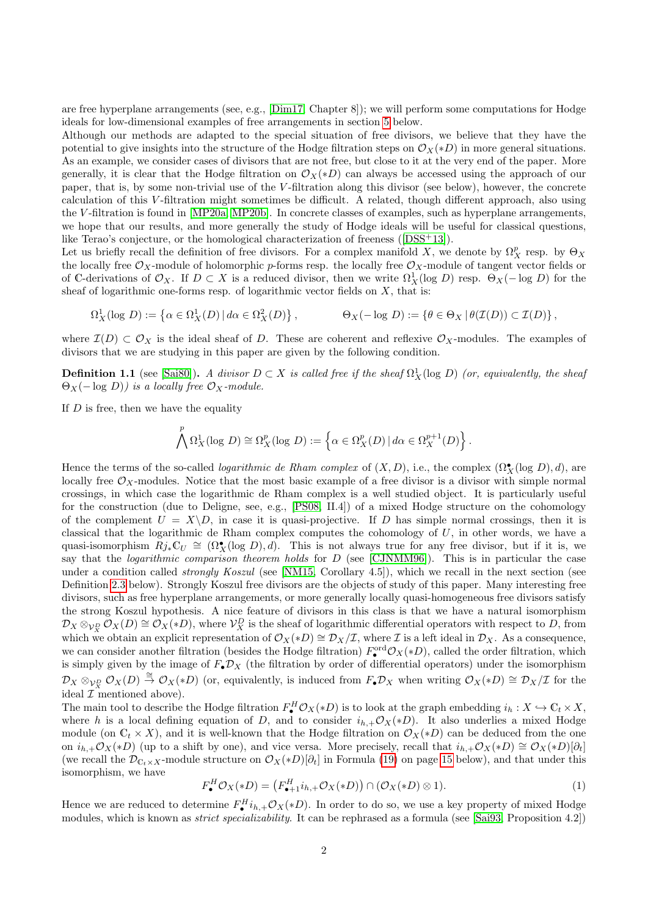are free hyperplane arrangements (see, e.g., [\[Dim17,](#page-40-4) Chapter 8]); we will perform some computations for Hodge ideals for low-dimensional examples of free arrangements in section [5](#page-30-0) below.

Although our methods are adapted to the special situation of free divisors, we believe that they have the potential to give insights into the structure of the Hodge filtration steps on  $\mathcal{O}_X(*D)$  in more general situations. As an example, we consider cases of divisors that are not free, but close to it at the very end of the paper. More generally, it is clear that the Hodge filtration on  $\mathcal{O}_X(*D)$  can always be accessed using the approach of our paper, that is, by some non-trivial use of the V -filtration along this divisor (see below), however, the concrete calculation of this V -filtration might sometimes be difficult. A related, though different approach, also using the V -filtration is found in [\[MP20a,](#page-41-5) [MP20b\]](#page-41-6). In concrete classes of examples, such as hyperplane arrangements, we hope that our results, and more generally the study of Hodge ideals will be useful for classical questions, like Terao's conjecture, or the homological characterization of freeness([\[DSS](#page-40-5)+13]).

Let us briefly recall the definition of free divisors. For a complex manifold X, we denote by  $\Omega_X^p$  resp. by  $\Theta_X$ the locally free  $\mathcal{O}_X$ -module of holomorphic p-forms resp. the locally free  $\mathcal{O}_X$ -module of tangent vector fields or of C-derivations of  $\mathcal{O}_X$ . If  $D \subset X$  is a reduced divisor, then we write  $\Omega^1_X(\log D)$  resp.  $\Theta_X(- \log D)$  for the sheaf of logarithmic one-forms resp. of logarithmic vector fields on  $X$ , that is:

$$
\Omega^1_X(\log D) := \left\{ \alpha \in \Omega^1_X(D) \, | \, d\alpha \in \Omega^2_X(D) \right\}, \qquad \Theta_X(-\log D) := \left\{ \theta \in \Theta_X \, | \, \theta(\mathcal{I}(D)) \subset \mathcal{I}(D) \right\},
$$

where  $\mathcal{I}(D) \subset \mathcal{O}_X$  is the ideal sheaf of D. These are coherent and reflexive  $\mathcal{O}_X$ -modules. The examples of divisors that we are studying in this paper are given by the following condition.

**Definition 1.1** (see [\[Sai80\]](#page-41-9)). A divisor  $D \subset X$  is called free if the sheaf  $\Omega_X^1(\log D)$  (or, equivalently, the sheaf  $\Theta_X(-\log D))$  is a locally free  $\mathcal{O}_X$ -module.

If  $D$  is free, then we have the equality

$$
\bigwedge^p \Omega^1_X(\log D) \cong \Omega^p_X(\log D) := \left\{ \alpha \in \Omega^p_X(D) \, | \, d\alpha \in \Omega^{p+1}_X(D) \right\}.
$$

Hence the terms of the so-called *logarithmic de Rham complex* of  $(X, D)$ , i.e., the complex  $(\Omega_X^{\bullet}(\log D), d)$ , are locally free  $\mathcal{O}_X$ -modules. Notice that the most basic example of a free divisor is a divisor with simple normal crossings, in which case the logarithmic de Rham complex is a well studied object. It is particularly useful for the construction (due to Deligne, see, e.g., [\[PS08,](#page-41-11) II.4]) of a mixed Hodge structure on the cohomology of the complement  $U = X \backslash D$ , in case it is quasi-projective. If D has simple normal crossings, then it is classical that the logarithmic de Rham complex computes the cohomology of  $U$ , in other words, we have a quasi-isomorphism  $Rj_*\mathbb{C}_U \cong (\Omega_X^{\bullet}(\log D), d)$ . This is not always true for any free divisor, but if it is, we say that the logarithmic comparison theorem holds for D (see [\[CJNMM96\]](#page-40-6)). This is in particular the case under a condition called *strongly Koszul* (see [\[NM15,](#page-41-12) Corollary 4.5]), which we recall in the next section (see Definition [2.3](#page-4-0) below). Strongly Koszul free divisors are the objects of study of this paper. Many interesting free divisors, such as free hyperplane arrangements, or more generally locally quasi-homogeneous free divisors satisfy the strong Koszul hypothesis. A nice feature of divisors in this class is that we have a natural isomorphism  $\mathcal{D}_X \otimes_{\mathcal{V}_X^D} \mathcal{O}_X(D) \cong \mathcal{O}_X(*D)$ , where  $\mathcal{V}_X^D$  is the sheaf of logarithmic differential operators with respect to  $D$ , from which we obtain an explicit representation of  $\mathcal{O}_X(*D) \cong \mathcal{D}_X/\mathcal{I}$ , where  $\mathcal I$  is a left ideal in  $\mathcal{D}_X$ . As a consequence, we can consider another filtration (besides the Hodge filtration)  $F^{\text{ord}}_{\bullet}\mathcal{O}_X(*D)$ , called the order filtration, which is simply given by the image of  $F_{\bullet}D_X$  (the filtration by order of differential operators) under the isomorphism  $\mathcal{D}_X \otimes_{\mathcal{V}_X^D} \mathcal{O}_X(D) \stackrel{\cong}{\to} \mathcal{O}_X(*D)$  (or, equivalently, is induced from  $F_{\bullet}\mathcal{D}_X$  when writing  $\mathcal{O}_X(*D) \cong \mathcal{D}_X/\mathcal{I}$  for the ideal  $\mathcal{I}$  mentioned above).

The main tool to describe the Hodge filtration  $F^H_\bullet \mathcal{O}_X(*D)$  is to look at the graph embedding  $i_h: X \hookrightarrow \mathbb{C}_t \times X$ , where h is a local defining equation of D, and to consider  $i_{h,+}\mathcal{O}_X(*D)$ . It also underlies a mixed Hodge module (on  $\mathbb{C}_t \times X$ ), and it is well-known that the Hodge filtration on  $\mathcal{O}_X(*D)$  can be deduced from the one on  $i_{h,+}\mathcal{O}_X(*D)$  (up to a shift by one), and vice versa. More precisely, recall that  $i_{h,+}\mathcal{O}_X(*D) \cong \mathcal{O}_X(*D)[\partial_t]$ (we recall the  $\mathcal{D}_{C_t\times X}$ -module structure on  $\mathcal{O}_X(*D)[\partial_t]$  in Formula [\(19\)](#page-14-0) on page [15](#page-13-0) below), and that under this isomorphism, we have

<span id="page-1-0"></span>
$$
F_{\bullet}^{H}\mathcal{O}_{X}(*D) = (F_{\bullet+1}^{H}i_{h,+}\mathcal{O}_{X}(*D)) \cap (\mathcal{O}_{X}(*D) \otimes 1). \tag{1}
$$

Hence we are reduced to determine  $F_{\bullet}^H i_{h,+}\mathcal{O}_X(*D)$ . In order to do so, we use a key property of mixed Hodge modules, which is known as strict specializability. It can be rephrased as a formula (see [\[Sai93,](#page-41-2) Proposition 4.2])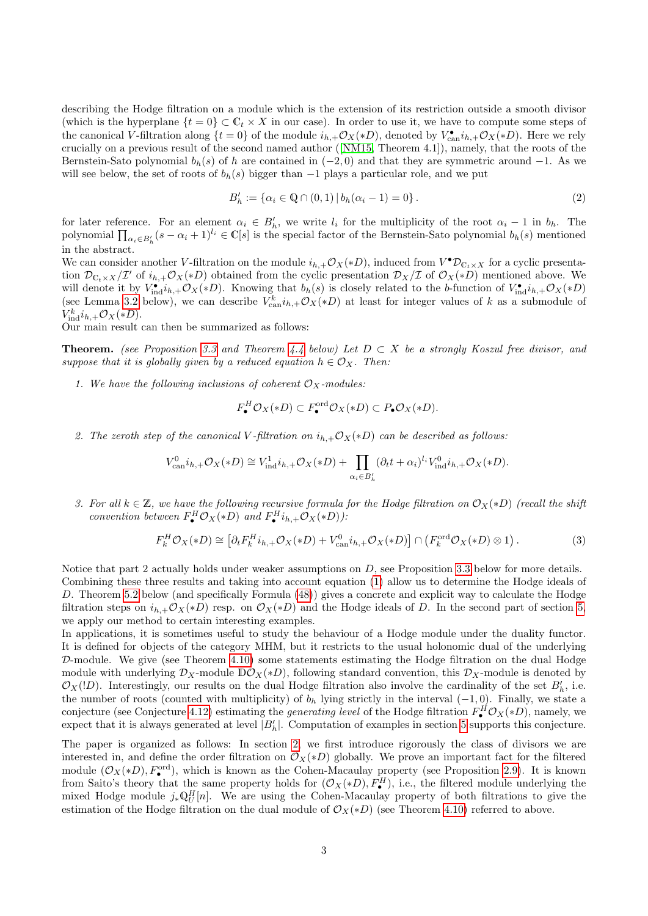describing the Hodge filtration on a module which is the extension of its restriction outside a smooth divisor (which is the hyperplane  $\{t = 0\} \subset \mathbb{C}_t \times X$  in our case). In order to use it, we have to compute some steps of the canonical V-filtration along  $\{t=0\}$  of the module  $i_{h,+}\mathcal{O}_X(*D)$ , denoted by  $V_{\text{can}}^{\bullet}i_{h,+}\mathcal{O}_X(*D)$ . Here we rely crucially on a previous result of the second named author([\[NM15,](#page-41-12) Theorem 4.1]), namely, that the roots of the Bernstein-Sato polynomial  $b_h(s)$  of h are contained in  $(-2, 0)$  and that they are symmetric around  $-1$ . As we will see below, the set of roots of  $b<sub>h</sub>(s)$  bigger than  $-1$  plays a particular role, and we put

<span id="page-2-1"></span>
$$
B'_h := \{ \alpha_i \in \mathbb{Q} \cap (0,1) \, | \, b_h(\alpha_i - 1) = 0 \} \,. \tag{2}
$$

for later reference. For an element  $\alpha_i \in B'_h$ , we write  $l_i$  for the multiplicity of the root  $\alpha_i - 1$  in  $b_h$ . The polynomial  $\prod_{\alpha_i\in B'_h}(s-\alpha_i+1)^{l_i}\in\mathbb{C}[s]$  is the special factor of the Bernstein-Sato polynomial  $b_h(s)$  mentioned in the abstract.

We can consider another V-filtration on the module  $i_{h,+}\mathcal{O}_X(*D)$ , induced from  $V^{\bullet}D_{\mathbb{C}_t\times X}$  for a cyclic presentation  $\mathcal{D}_{C_t\times X}/\mathcal{I}'$  of  $i_{h,+}\mathcal{O}_X(*D)$  obtained from the cyclic presentation  $\mathcal{D}_X/\mathcal{I}$  of  $\mathcal{O}_X(*D)$  mentioned above. We will denote it by  $V_{\text{ind}}^{\bullet}i_{h,+}\mathcal{O}_X(*D)$ . Knowing that  $b_h(s)$  is closely related to the b-function of  $V_{\text{ind}}^{\bullet}i_{h,+}\mathcal{O}_X(*D)$ (see Lemma [3.2](#page-14-1) below), we can describe  $V_{\text{can}}^k i_{h,+}\mathcal{O}_X(*D)$  at least for integer values of k as a submodule of  $V_{\text{ind}}^k i_{h,+} \mathcal{O}_X(*D).$ 

Our main result can then be summarized as follows:

**Theorem.** (see Proposition [3.3](#page-15-0) and Theorem [4.4](#page-26-0) below) Let  $D \subset X$  be a strongly Koszul free divisor, and suppose that it is globally given by a reduced equation  $h \in \mathcal{O}_X$ . Then:

1. We have the following inclusions of coherent  $\mathcal{O}_X$ -modules:

$$
F_{\bullet}^H \mathcal{O}_X(*D) \subset F_{\bullet}^{\text{ord}} \mathcal{O}_X(*D) \subset P_{\bullet} \mathcal{O}_X(*D).
$$

2. The zeroth step of the canonical V-filtration on  $i_h$ ,  $\mathcal{O}_X(*D)$  can be described as follows:

$$
V_{\operatorname{can}}^{0}i_{h,+}\mathcal{O}_X(*D) \cong V_{\operatorname{ind}}^{1}i_{h,+}\mathcal{O}_X(*D) + \prod_{\alpha_i \in B_h'} (\partial_t t + \alpha_i)^{l_i} V_{\operatorname{ind}}^{0}i_{h,+}\mathcal{O}_X(*D).
$$

3. For all  $k \in \mathbb{Z}$ , we have the following recursive formula for the Hodge filtration on  $\mathcal{O}_X(*D)$  (recall the shift convention between  $F^H_\bullet \mathcal{O}_X(*D)$  and  $F^H_\bullet i_{h,+} \mathcal{O}_X(*D)$ .

<span id="page-2-0"></span>
$$
F_k^H \mathcal{O}_X(*D) \cong \left[ \partial_t F_k^H i_{h,+} \mathcal{O}_X(*D) + V_{\text{can}}^0 i_{h,+} \mathcal{O}_X(*D) \right] \cap \left( F_k^{\text{ord}} \mathcal{O}_X(*D) \otimes 1 \right). \tag{3}
$$

Notice that part 2 actually holds under weaker assumptions on D, see Proposition [3.3](#page-15-0) below for more details. Combining these three results and taking into account equation [\(1\)](#page-1-0) allow us to determine the Hodge ideals of D. Theorem [5.2](#page-31-0) below (and specifically Formula [\(48\)](#page-32-0)) gives a concrete and explicit way to calculate the Hodge filtration steps on  $i_{h,+}\mathcal{O}_X(*D)$  resp. on  $\mathcal{O}_X(*D)$  and the Hodge ideals of D. In the second part of section [5,](#page-30-0) we apply our method to certain interesting examples.

In applications, it is sometimes useful to study the behaviour of a Hodge module under the duality functor. It is defined for objects of the category MHM, but it restricts to the usual holonomic dual of the underlying D-module. We give (see Theorem [4.10\)](#page-28-0) some statements estimating the Hodge filtration on the dual Hodge module with underlying  $\mathcal{D}_X$ -module  $\mathbb{D}\mathcal{O}_X(*)$ , following standard convention, this  $\mathcal{D}_X$ -module is denoted by  $\mathcal{O}_X(1D)$ . Interestingly, our results on the dual Hodge filtration also involve the cardinality of the set  $B'_h$ , i.e. the number of roots (counted with multiplicity) of  $b<sub>h</sub>$  lying strictly in the interval (-1,0). Finally, we state a conjecture (see Conjecture [4.12\)](#page-29-0) estimating the *generating level* of the Hodge filtration  $F^H_\bullet \mathcal{O}_X(*D)$ , namely, we expect that it is always generated at level  $|B'_h|$ . Computation of examples in section [5](#page-30-0) supports this conjecture.

The paper is organized as follows: In section [2,](#page-3-0) we first introduce rigorously the class of divisors we are interested in, and define the order filtration on  $\mathcal{O}_X(*D)$  globally. We prove an important fact for the filtered module  $(\mathcal{O}_X(*D), F^{\text{ord}}_{\bullet})$ , which is known as the Cohen-Macaulay property (see Proposition [2.9\)](#page-12-0). It is known from Saito's theory that the same property holds for  $(\mathcal{O}_X(*D), F^H_\bullet)$ , i.e., the filtered module underlying the mixed Hodge module  $j_*\mathbb{Q}_U^H[n]$ . We are using the Cohen-Macaulay property of both filtrations to give the estimation of the Hodge filtration on the dual module of  $\mathcal{O}_X(*D)$  (see Theorem [4.10\)](#page-28-0) referred to above.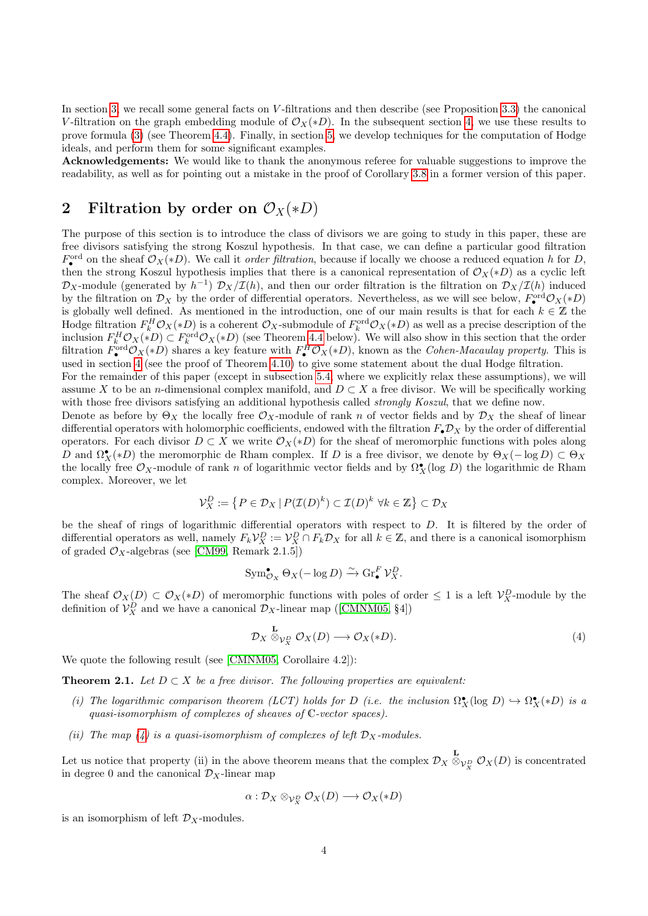In section [3,](#page-13-1) we recall some general facts on V-filtrations and then describe (see Proposition [3.3\)](#page-15-0) the canonical V-filtration on the graph embedding module of  $\mathcal{O}_X(*D)$ . In the subsequent section [4,](#page-22-0) we use these results to prove formula [\(3\)](#page-2-0) (see Theorem [4.4\)](#page-26-0). Finally, in section [5,](#page-30-0) we develop techniques for the computation of Hodge ideals, and perform them for some significant examples.

Acknowledgements: We would like to thank the anonymous referee for valuable suggestions to improve the readability, as well as for pointing out a mistake in the proof of Corollary [3.8](#page-19-0) in a former version of this paper.

## <span id="page-3-0"></span>2 Filtration by order on  $\mathcal{O}_X(*D)$

The purpose of this section is to introduce the class of divisors we are going to study in this paper, these are free divisors satisfying the strong Koszul hypothesis. In that case, we can define a particular good filtration  $F_{\bullet}^{\text{ord}}$  on the sheaf  $\mathcal{O}_X(*D)$ . We call it *order filtration*, because if locally we choose a reduced equation h for D, then the strong Koszul hypothesis implies that there is a canonical representation of  $\mathcal{O}_X(*D)$  as a cyclic left  $\mathcal{D}_X$ -module (generated by  $h^{-1}$ )  $\mathcal{D}_X/\mathcal{I}(h)$ , and then our order filtration is the filtration on  $\mathcal{D}_X/\mathcal{I}(h)$  induced by the filtration on  $\mathcal{D}_X$  by the order of differential operators. Nevertheless, as we will see below,  $F^{\text{ord}}_{\bullet}\mathcal{O}_X(*D)$ is globally well defined. As mentioned in the introduction, one of our main results is that for each  $k \in \mathbb{Z}$  the Hodge filtration  $F_k^H \mathcal{O}_X(*D)$  is a coherent  $\mathcal{O}_X$ -submodule of  $F_k^{\text{ord}} \mathcal{O}_X(*D)$  as well as a precise description of the inclusion  $F_k^H \mathcal{O}_X(*D) \subset F_k^{\text{ord}} \mathcal{O}_X(*D)$  (see Theorem [4.4](#page-26-0) below). We will also show in this section that the order filtration  $F_{\bullet}^{\text{ord}} \mathcal{O}_X(*D)$  shares a key feature with  $F_{\bullet}^H \mathcal{O}_X(*D)$ , known as the *Cohen-Macaulay property*. This is used in section [4](#page-22-0) (see the proof of Theorem [4.10\)](#page-28-0) to give some statement about the dual Hodge filtration.

For the remainder of this paper (except in subsection [5.4,](#page-39-0) where we explicitly relax these assumptions), we will assume X to be an *n*-dimensional complex manifold, and  $D \subset X$  a free divisor. We will be specifically working with those free divisors satisfying an additional hypothesis called *strongly Koszul*, that we define now.

Denote as before by  $\Theta_X$  the locally free  $\mathcal{O}_X$ -module of rank n of vector fields and by  $\mathcal{D}_X$  the sheaf of linear differential operators with holomorphic coefficients, endowed with the filtration  $F_{\bullet}\mathcal{D}_X$  by the order of differential operators. For each divisor  $D \subset X$  we write  $\mathcal{O}_X(*D)$  for the sheaf of meromorphic functions with poles along D and  $\Omega_X^{\bullet}(*D)$  the meromorphic de Rham complex. If D is a free divisor, we denote by  $\Theta_X(-\log D) \subset \Theta_X$ the locally free  $\mathcal{O}_X$ -module of rank n of logarithmic vector fields and by  $\Omega^{\bullet}_X(\log D)$  the logarithmic de Rham complex. Moreover, we let

$$
\mathcal{V}_X^D := \left\{ P \in \mathcal{D}_X \, | \, P(\mathcal{I}(D)^k) \subset \mathcal{I}(D)^k \, \, \forall k \in \mathbb{Z} \right\} \subset \mathcal{D}_X
$$

be the sheaf of rings of logarithmic differential operators with respect to D. It is filtered by the order of differential operators as well, namely  $F_k \mathcal{V}_X^D := \mathcal{V}_X^D \cap F_k \mathcal{D}_X$  for all  $k \in \mathbb{Z}$ , and there is a canonical isomorphism of graded  $\mathcal{O}_X$ -algebras (see [\[CM99,](#page-40-7) Remark 2.1.5])

$$
\mathrm{Sym}^{\bullet}_{\mathcal{O}_X} \Theta_X(-\log D) \xrightarrow{\sim} \mathrm{Gr}^F_{\bullet} \mathcal{V}^D_X.
$$

The sheaf  $\mathcal{O}_X(D) \subset \mathcal{O}_X(*D)$  of meromorphic functions with poles of order  $\leq 1$  is a left  $\mathcal{V}_X^D$ -module by the definitionof  $\mathcal{V}_X^D$  and we have a canonical  $\mathcal{D}_X$ -linear map ([\[CMNM05,](#page-40-8) §4])

<span id="page-3-1"></span>
$$
\mathcal{D}_X \stackrel{\mathbf{L}}{\otimes}_{\mathcal{V}_X^D} \mathcal{O}_X(D) \longrightarrow \mathcal{O}_X(*D). \tag{4}
$$

We quote the following result (see [\[CMNM05,](#page-40-8) Corollaire 4.2]):

<span id="page-3-2"></span>**Theorem 2.1.** Let  $D \subset X$  be a free divisor. The following properties are equivalent:

- (i) The logarithmic comparison theorem (LCT) holds for D (i.e. the inclusion  $\Omega_X^{\bullet}(\log D) \hookrightarrow \Omega_X^{\bullet}(*D)$  is a quasi-isomorphism of complexes of sheaves of C-vector spaces).
- (ii) The map [\(4\)](#page-3-1) is a quasi-isomorphism of complexes of left  $\mathcal{D}_X$ -modules.

Let us notice that property (ii) in the above theorem means that the complex  $\mathcal{D}_X \otimes_{\mathcal{V}_X^D} \mathcal{O}_X(D)$  is concentrated in degree 0 and the canonical  $\mathcal{D}_X$ -linear map

$$
\alpha: \mathcal{D}_X \otimes_{\mathcal{V}_X^D} \mathcal{O}_X(D) \longrightarrow \mathcal{O}_X(*D)
$$

is an isomorphism of left  $\mathcal{D}_X$ -modules.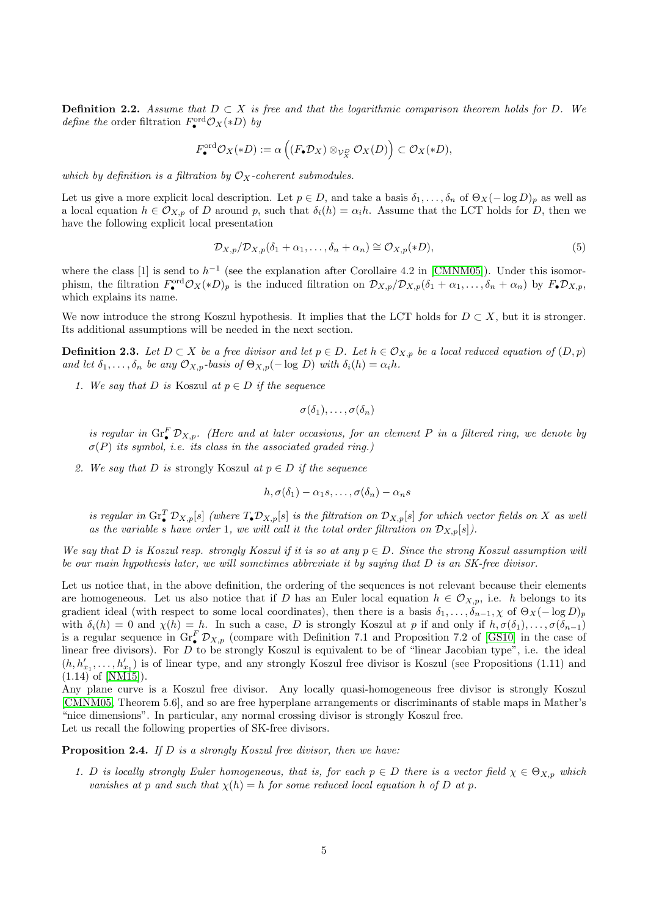<span id="page-4-2"></span>**Definition 2.2.** Assume that  $D \subset X$  is free and that the logarithmic comparison theorem holds for D. We *define the* order filtration  $F_{\bullet}^{\text{ord}} \mathcal{O}_X(*D)$  by

$$
F_{\bullet}^{\mathrm{ord}} \mathcal{O}_X(*D) := \alpha \left( (F_{\bullet} \mathcal{D}_X) \otimes_{\mathcal{V}_X^D} \mathcal{O}_X(D) \right) \subset \mathcal{O}_X(*D),
$$

which by definition is a filtration by  $\mathcal{O}_X$ -coherent submodules.

Let us give a more explicit local description. Let  $p \in D$ , and take a basis  $\delta_1, \ldots, \delta_n$  of  $\Theta_X(- \log D)_n$  as well as a local equation  $h \in \mathcal{O}_{X,p}$  of D around p, such that  $\delta_i(h) = \alpha_i h$ . Assume that the LCT holds for D, then we have the following explicit local presentation

<span id="page-4-1"></span>
$$
\mathcal{D}_{X,p}/\mathcal{D}_{X,p}(\delta_1 + \alpha_1, \dots, \delta_n + \alpha_n) \cong \mathcal{O}_{X,p}(*D),
$$
\n<sup>(5)</sup>

where the class [1] is send to  $h^{-1}$  (see the explanation after Corollaire 4.2 in [\[CMNM05\]](#page-40-8)). Under this isomorphism, the filtration  $F_{\bullet}^{\text{ord}} \mathcal{O}_X(*D)_p$  is the induced filtration on  $\mathcal{D}_{X,p}/\mathcal{D}_{X,p}(\delta_1 + \alpha_1, \ldots, \delta_n + \alpha_n)$  by  $F_{\bullet} \mathcal{D}_{X,p}$ , which explains its name.

We now introduce the strong Koszul hypothesis. It implies that the LCT holds for  $D \subset X$ , but it is stronger. Its additional assumptions will be needed in the next section.

<span id="page-4-0"></span>**Definition 2.3.** Let  $D \subset X$  be a free divisor and let  $p \in D$ . Let  $h \in \mathcal{O}_{X,p}$  be a local reduced equation of  $(D, p)$ and let  $\delta_1, \ldots, \delta_n$  be any  $\mathcal{O}_{X,p}$ -basis of  $\Theta_{X,p}(- \log D)$  with  $\delta_i(h) = \alpha_i h$ .

1. We say that D is Koszul at  $p \in D$  if the sequence

$$
\sigma(\delta_1),\ldots,\sigma(\delta_n)
$$

is regular in  $\text{Gr}_{\bullet}^{F} \mathcal{D}_{X,p}$ . (Here and at later occasions, for an element P in a filtered ring, we denote by  $\sigma(P)$  its symbol, i.e. its class in the associated graded ring.)

2. We say that D is strongly Koszul at  $p \in D$  if the sequence

$$
h, \sigma(\delta_1) - \alpha_1 s, \ldots, \sigma(\delta_n) - \alpha_n s
$$

is regular in  $\text{Gr}_{\bullet}^{T} \mathcal{D}_{X,p}[s]$  (where  $T_{\bullet} \mathcal{D}_{X,p}[s]$  is the filtration on  $\mathcal{D}_{X,p}[s]$  for which vector fields on X as well as the variable s have order 1, we will call it the total order filtration on  $\mathcal{D}_{X,p}[s]$ .

We say that D is Koszul resp. strongly Koszul if it is so at any  $p \in D$ . Since the strong Koszul assumption will be our main hypothesis later, we will sometimes abbreviate it by saying that D is an SK-free divisor.

Let us notice that, in the above definition, the ordering of the sequences is not relevant because their elements are homogeneous. Let us also notice that if D has an Euler local equation  $h \in \mathcal{O}_{X,p}$ , i.e. h belongs to its gradient ideal (with respect to some local coordinates), then there is a basis  $\delta_1, \ldots, \delta_{n-1}, \chi$  of  $\Theta_X(- \log D)_p$ with  $\delta_i(h) = 0$  and  $\chi(h) = h$ . In such a case, D is strongly Koszul at p if and only if  $h, \sigma(\delta_1), \ldots, \sigma(\delta_{n-1})$ is a regular sequence in  $\text{Gr}_{\bullet}^{F} \mathcal{D}_{X,p}$  (compare with Definition 7.1 and Proposition 7.2 of [\[GS10\]](#page-40-9) in the case of linear free divisors). For D to be strongly Koszul is equivalent to be of "linear Jacobian type", i.e. the ideal  $(h, h'_{x_1}, \ldots, h'_{x_1})$  is of linear type, and any strongly Koszul free divisor is Koszul (see Propositions (1.11) and (1.14) of [\[NM15\]](#page-41-12)).

Any plane curve is a Koszul free divisor. Any locally quasi-homogeneous free divisor is strongly Koszul [\[CMNM05,](#page-40-8) Theorem 5.6], and so are free hyperplane arrangements or discriminants of stable maps in Mather's "nice dimensions". In particular, any normal crossing divisor is strongly Koszul free. Let us recall the following properties of SK-free divisors.

<span id="page-4-3"></span>Proposition 2.4. If D is a strongly Koszul free divisor, then we have:

1. D is locally strongly Euler homogeneous, that is, for each  $p \in D$  there is a vector field  $\chi \in \Theta_{X,p}$  which vanishes at p and such that  $\chi(h) = h$  for some reduced local equation h of D at p.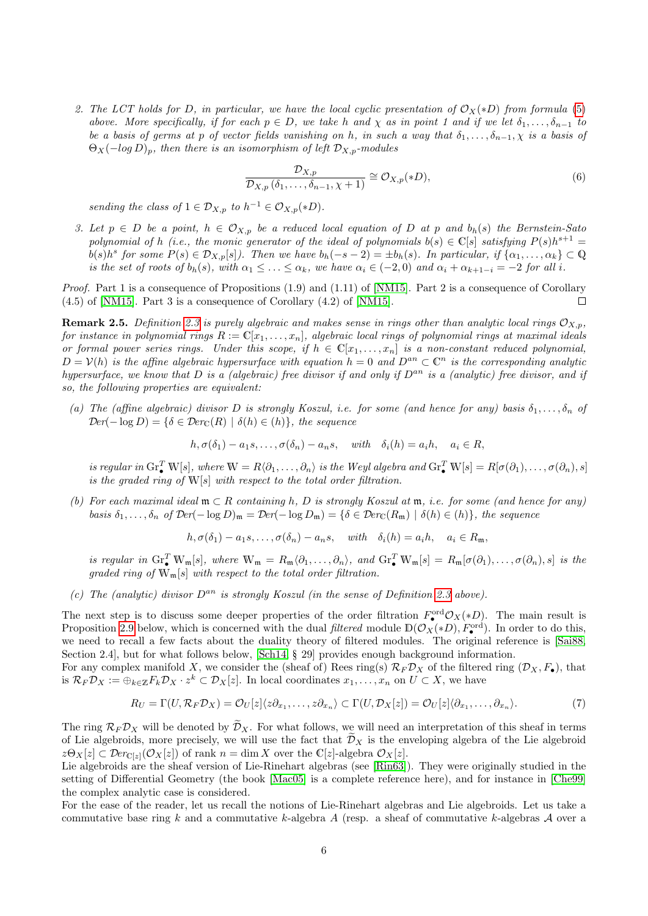2. The LCT holds for D, in particular, we have the local cyclic presentation of  $\mathcal{O}_X(*)D$  from formula [\(5\)](#page-4-1) above. More specifically, if for each  $p \in D$ , we take h and  $\chi$  as in point 1 and if we let  $\delta_1, \ldots, \delta_{n-1}$  to be a basis of germs at p of vector fields vanishing on h, in such a way that  $\delta_1, \ldots, \delta_{n-1}, \chi$  is a basis of  $\Theta_X(-\log D)_p$ , then there is an isomorphism of left  $\mathcal{D}_{X,p}$ -modules

<span id="page-5-0"></span>
$$
\frac{\mathcal{D}_{X,p}}{\mathcal{D}_{X,p}\left(\delta_{1},\ldots,\delta_{n-1},\chi+1\right)} \cong \mathcal{O}_{X,p}(*D),\tag{6}
$$

sending the class of  $1 \in \mathcal{D}_{X,p}$  to  $h^{-1} \in \mathcal{O}_{X,p}(*D)$ .

3. Let  $p \in D$  be a point,  $h \in \mathcal{O}_{X,p}$  be a reduced local equation of D at p and  $b_h(s)$  the Bernstein-Sato polynomial of h (i.e., the monic generator of the ideal of polynomials  $b(s) \in \mathbb{C}[s]$  satisfying  $P(s)h^{s+1} =$  $b(s)h^s$  for some  $P(s) \in \mathcal{D}_{X,p}[s]$ . Then we have  $b_h(-s-2) = \pm b_h(s)$ . In particular, if  $\{\alpha_1, \ldots, \alpha_k\} \subset \mathbb{Q}$ is the set of roots of  $b_h(s)$ , with  $\alpha_1 \leq \ldots \leq \alpha_k$ , we have  $\alpha_i \in (-2,0)$  and  $\alpha_i + \alpha_{k+1-i} = -2$  for all i.

Proof. Part 1 is a consequence of Propositions (1.9) and (1.11) of [\[NM15\]](#page-41-12). Part 2 is a consequence of Corollary (4.5) of [\[NM15\]](#page-41-12). Part 3 is a consequence of Corollary (4.2) of [\[NM15\]](#page-41-12).  $\Box$ 

**Remark 2.5.** Definition [2.3](#page-4-0) is purely algebraic and makes sense in rings other than analytic local rings  $\mathcal{O}_{X,p}$ , for instance in polynomial rings  $R := \mathbb{C}[x_1,\ldots,x_n]$ , algebraic local rings of polynomial rings at maximal ideals or formal power series rings. Under this scope, if  $h \in \mathbb{C}[x_1,\ldots,x_n]$  is a non-constant reduced polynomial,  $D = V(h)$  is the affine algebraic hypersurface with equation  $h = 0$  and  $D^{an} \subset \mathbb{C}^n$  is the corresponding analytic hypersurface, we know that D is a (algebraic) free divisor if and only if  $D^{an}$  is a (analytic) free divisor, and if so, the following properties are equivalent:

(a) The (affine algebraic) divisor D is strongly Koszul, i.e. for some (and hence for any) basis  $\delta_1, \ldots, \delta_n$  of  $\mathcal{D}er(-\log D) = \{\delta \in \mathcal{D}er_{\mathbb{C}}(R) \mid \delta(h) \in (h)\},\$ the sequence

$$
h, \sigma(\delta_1) - a_1 s, \dots, \sigma(\delta_n) - a_n s, \quad with \quad \delta_i(h) = a_i h, \quad a_i \in R,
$$

is regular in  $\text{Gr}_{\bullet}^T \mathbb{W}[s]$ , where  $\mathbb{W} = R \langle \partial_1, \ldots, \partial_n \rangle$  is the Weyl algebra and  $\text{Gr}_{\bullet}^T \mathbb{W}[s] = R[\sigma(\partial_1), \ldots, \sigma(\partial_n), s]$ is the graded ring of  $W[s]$  with respect to the total order filtration.

(b) For each maximal ideal  $\mathfrak{m} \subset R$  containing h, D is strongly Koszul at  $\mathfrak{m}$ , i.e. for some (and hence for any) basis  $\delta_1, \ldots, \delta_n$  of  $\mathcal{D}er(-\log D)_\mathfrak{m} = \mathcal{D}er(-\log D_\mathfrak{m}) = \{\delta \in \mathcal{D}er_{\mathbb{C}}(R_\mathfrak{m}) \mid \delta(h) \in (h)\}\$ , the sequence

$$
h, \sigma(\delta_1) - a_1 s, \dots, \sigma(\delta_n) - a_n s, \quad with \quad \delta_i(h) = a_i h, \quad a_i \in R_{\mathfrak{m}},
$$

is regular in  $\operatorname{Gr}_{\bullet}^{T} \mathbb{W}_{\mathfrak{m}}[s]$ , where  $\mathbb{W}_{\mathfrak{m}} = R_{\mathfrak{m}} \langle \partial_1, \ldots, \partial_n \rangle$ , and  $\operatorname{Gr}_{\bullet}^{T} \mathbb{W}_{\mathfrak{m}}[s] = R_{\mathfrak{m}}[\sigma(\partial_1), \ldots, \sigma(\partial_n), s]$  is the graded ring of  $\mathbb{W}_{\mathfrak{m}}[s]$  with respect to the total order filtration.

(c) The (analytic) divisor  $D^{an}$  is strongly Koszul (in the sense of Definition [2.3](#page-4-0) above).

The next step is to discuss some deeper properties of the order filtration  $F^{\text{ord}}_{\bullet}O_X(*D)$ . The main result is Proposition [2.9](#page-12-0) below, which is concerned with the dual *filtered* module  $\mathbb{D}(\mathcal{O}_X(*D), F_{\bullet}^{\text{ord}})$ . In order to do this, we need to recall a few facts about the duality theory of filtered modules. The original reference is [\[Sai88,](#page-41-0) Section 2.4, but for what follows below, [\[Sch14,](#page-42-2) § 29] provides enough background information.

For any complex manifold X, we consider the (sheaf of) Rees ring(s)  $\mathcal{R}_F \mathcal{D}_X$  of the filtered ring  $(\mathcal{D}_X, F_{\bullet})$ , that is  $\mathcal{R}_F \mathcal{D}_X := \bigoplus_{k \in \mathbb{Z}} F_k \mathcal{D}_X \cdot z^k \subset \mathcal{D}_X[z]$ . In local coordinates  $x_1, \ldots, x_n$  on  $U \subset X$ , we have

<span id="page-5-1"></span>
$$
R_U = \Gamma(U, \mathcal{R}_F \mathcal{D}_X) = \mathcal{O}_U[z] \langle z \partial_{x_1}, \dots, z \partial_{x_n} \rangle \subset \Gamma(U, \mathcal{D}_X[z]) = \mathcal{O}_U[z] \langle \partial_{x_1}, \dots, \partial_{x_n} \rangle.
$$
 (7)

The ring  $\mathcal{R}_F \mathcal{D}_X$  will be denoted by  $\widetilde{\mathcal{D}}_X$ . For what follows, we will need an interpretation of this sheaf in terms of Lie algebroids, more precisely, we will use the fact that  $\tilde{\mathcal{D}}_X$  is the enveloping algebra of the Lie algebroid  $z\Theta_X[z] \subset \mathcal{D}erc_{[z]}(\mathcal{O}_X[z])$  of rank  $n = \dim X$  over the  $\mathbb{C}[z]$ -algebra  $\mathcal{O}_X[z]$ .

Lie algebroids are the sheaf version of Lie-Rinehart algebras (see [\[Rin63\]](#page-41-13)). They were originally studied in the setting of Differential Geometry (the book [\[Mac05\]](#page-41-14) is a complete reference here), and for instance in [\[Che99\]](#page-40-10) the complex analytic case is considered.

For the ease of the reader, let us recall the notions of Lie-Rinehart algebras and Lie algebroids. Let us take a commutative base ring k and a commutative k-algebra A (resp. a sheaf of commutative k-algebras A over a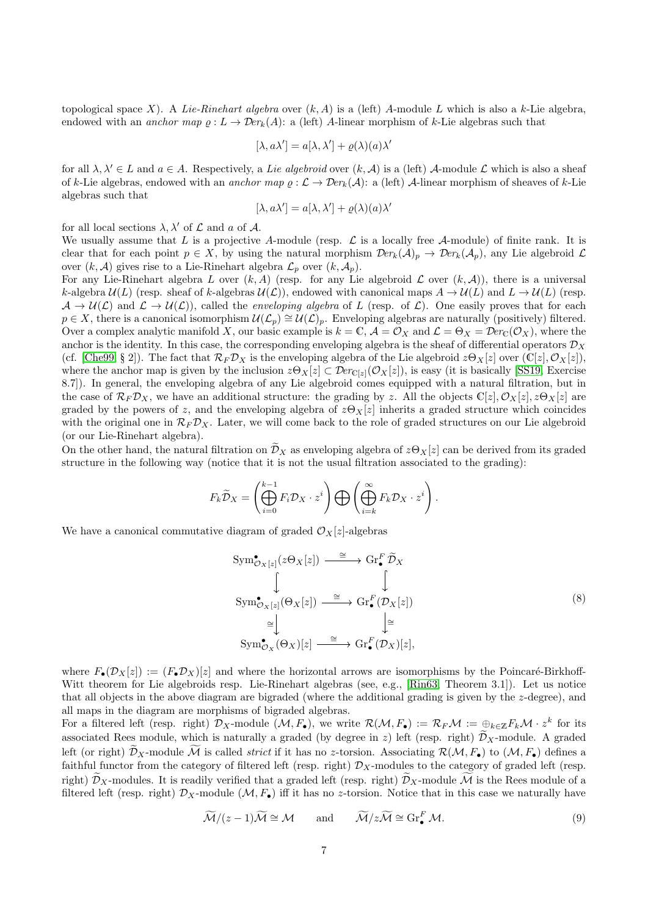topological space X). A Lie-Rinehart algebra over  $(k, A)$  is a (left) A-module L which is also a k-Lie algebra, endowed with an anchor map  $\varrho : L \to \mathcal{D}er_k(A)$ : a (left) A-linear morphism of k-Lie algebras such that

$$
[\lambda, a\lambda'] = a[\lambda, \lambda'] + \varrho(\lambda)(a)\lambda'
$$

for all  $\lambda, \lambda' \in L$  and  $a \in A$ . Respectively, a Lie algebroid over  $(k, A)$  is a (left) A-module L which is also a sheaf of k-Lie algebras, endowed with an anchor map  $\varrho : \mathcal{L} \to \mathcal{D}er_k(\mathcal{A})$ : a (left) A-linear morphism of sheaves of k-Lie algebras such that

$$
[\lambda, a\lambda'] = a[\lambda, \lambda'] + \varrho(\lambda)(a)\lambda'
$$

for all local sections  $\lambda$ ,  $\lambda'$  of  $\mathcal L$  and a of  $\mathcal A$ .

We usually assume that L is a projective A-module (resp.  $\mathcal L$  is a locally free A-module) of finite rank. It is clear that for each point  $p \in X$ , by using the natural morphism  $\mathcal{D}er_k(\mathcal{A})_p \to \mathcal{D}er_k(\mathcal{A}_p)$ , any Lie algebroid  $\mathcal{L}$ over  $(k, \mathcal{A})$  gives rise to a Lie-Rinehart algebra  $\mathcal{L}_p$  over  $(k, \mathcal{A}_p)$ .

For any Lie-Rinehart algebra L over  $(k, A)$  (resp. for any Lie algebroid L over  $(k, A)$ ), there is a universal k-algebra  $U(L)$  (resp. sheaf of k-algebras  $U(\mathcal{L})$ ), endowed with canonical maps  $A \to U(L)$  and  $L \to U(L)$  (resp.  $\mathcal{A} \to \mathcal{U}(\mathcal{L})$  and  $\mathcal{L} \to \mathcal{U}(\mathcal{L})$ , called the *enveloping algebra* of L (resp. of L). One easily proves that for each  $p \in X$ , there is a canonical isomorphism  $\mathcal{U}(\mathcal{L}_p) \cong \mathcal{U}(\mathcal{L})_p$ . Enveloping algebras are naturally (positively) filtered. Over a complex analytic manifold X, our basic example is  $k = \mathbb{C}$ ,  $\mathcal{A} = \mathcal{O}_X$  and  $\mathcal{L} = \Theta_X = \mathcal{D}er_{\mathbb{C}}(\mathcal{O}_X)$ , where the anchor is the identity. In this case, the corresponding enveloping algebra is the sheaf of differential operators  $\mathcal{D}_X$ (cf. [\[Che99,](#page-40-10) § 2]). The fact that  $\mathcal{R}_F \mathcal{D}_X$  is the enveloping algebra of the Lie algebroid  $z\Theta_X[z]$  over  $(\mathbb{C}[z], \mathcal{O}_X[z])$ , where the anchor map is given by the inclusion  $z\Theta_X[z] \subset \mathcal{D}er_{\mathbb{C}[z]}(\mathcal{O}_X[z])$ , is easy (it is basically [\[SS19,](#page-41-15) Exercise 8.7]). In general, the enveloping algebra of any Lie algebroid comes equipped with a natural filtration, but in the case of  $\mathcal{R}_F \mathcal{D}_X$ , we have an additional structure: the grading by z. All the objects  $\mathbb{C}[z], \mathcal{O}_X[z], z\Theta_X[z]$  are graded by the powers of z, and the enveloping algebra of  $z\Theta_X[z]$  inherits a graded structure which coincides with the original one in  $\mathcal{R}_F \mathcal{D}_X$ . Later, we will come back to the role of graded structures on our Lie algebroid (or our Lie-Rinehart algebra).

On the other hand, the natural filtration on  $\widetilde{\mathcal{D}}_X$  as enveloping algebra of  $z\Theta_X[z]$  can be derived from its graded structure in the following way (notice that it is not the usual filtration associated to the grading):

$$
F_k \widetilde{\mathcal{D}}_X = \left( \bigoplus_{i=0}^{k-1} F_i \mathcal{D}_X \cdot z^i \right) \bigoplus \left( \bigoplus_{i=k}^{\infty} F_k \mathcal{D}_X \cdot z^i \right).
$$

We have a canonical commutative diagram of graded  $\mathcal{O}_X[z]$ -algebras

<span id="page-6-0"></span>
$$
\text{Sym}^{\bullet}_{\mathcal{O}_X[z]}(z\Theta_X[z]) \xrightarrow{\cong} \text{Gr}^F_{\bullet}\widetilde{\mathcal{D}}_X
$$
\n
$$
\downarrow \qquad \qquad \downarrow
$$
\n
$$
\text{Sym}^{\bullet}_{\mathcal{O}_X[z]}(\Theta_X[z]) \xrightarrow{\cong} \text{Gr}^F_{\bullet}(\mathcal{D}_X[z])
$$
\n
$$
\cong \qquad \qquad \downarrow \cong
$$
\n
$$
\text{Sym}^{\bullet}_{\mathcal{O}_X}(\Theta_X)[z] \xrightarrow{\cong} \text{Gr}^F_{\bullet}(\mathcal{D}_X)[z],
$$
\n
$$
(8)
$$

where  $F_{\bullet}(\mathcal{D}_X[z]) := (F_{\bullet} \mathcal{D}_X)[z]$  and where the horizontal arrows are isomorphisms by the Poincaré-Birkhoff-Witt theorem for Lie algebroids resp. Lie-Rinehart algebras (see, e.g., [\[Rin63,](#page-41-13) Theorem 3.1]). Let us notice that all objects in the above diagram are bigraded (where the additional grading is given by the z-degree), and all maps in the diagram are morphisms of bigraded algebras.

For a filtered left (resp. right)  $\mathcal{D}_X$ -module  $(\mathcal{M}, F_{\bullet})$ , we write  $\mathcal{R}(\mathcal{M}, F_{\bullet}) := \mathcal{R}_F \mathcal{M} := \bigoplus_{k \in \mathbb{Z}} F_k \mathcal{M} \cdot z^k$  for its associated Rees module, which is naturally a graded (by degree in z) left (resp. right)  $\mathcal{D}_X$ -module. A graded left (or right)  $\mathcal{D}_X$ -module  $\mathcal M$  is called *strict* if it has no z-torsion. Associating  $\mathcal{R}(\mathcal{M}, F_{\bullet})$  to  $(\mathcal{M}, F_{\bullet})$  defines a faithful functor from the category of filtered left (resp. right)  $\mathcal{D}_X$ -modules to the category of graded left (resp. right)  $\widetilde{\mathcal{D}}_X$ -modules. It is readily verified that a graded left (resp. right)  $\widetilde{\mathcal{D}}_X$ -module  $\widetilde{\mathcal{M}}$  is the Rees module of a filtered left (resp. right)  $\mathcal{D}_X$ -module  $(\mathcal{M}, F_{\bullet})$  iff it has no z-torsion. Notice that in this case we naturally have

$$
\widetilde{\mathcal{M}}/(z-1)\widetilde{\mathcal{M}} \cong \mathcal{M} \quad \text{and} \quad \widetilde{\mathcal{M}}/z\widetilde{\mathcal{M}} \cong \operatorname{Gr}_{\bullet}^{F} \mathcal{M}. \tag{9}
$$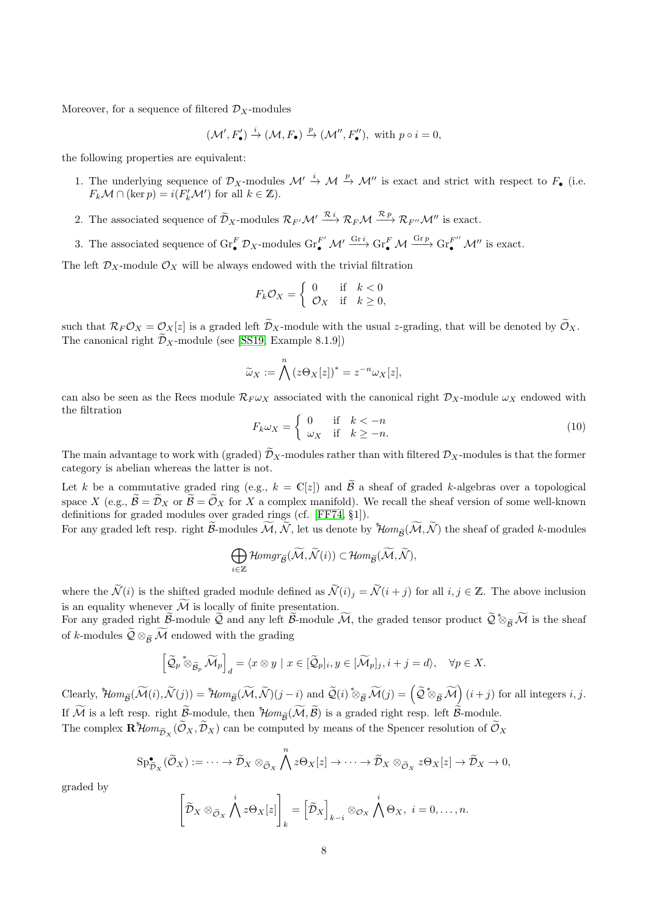Moreover, for a sequence of filtered  $\mathcal{D}_X$ -modules

$$
(\mathcal{M}', F'_{\bullet}) \xrightarrow{i} (\mathcal{M}, F_{\bullet}) \xrightarrow{p} (\mathcal{M}'', F''_{\bullet}), \text{ with } p \circ i = 0,
$$

the following properties are equivalent:

- 1. The underlying sequence of  $\mathcal{D}_X$ -modules  $\mathcal{M}' \stackrel{i}{\rightarrow} \mathcal{M} \stackrel{p}{\rightarrow} \mathcal{M}''$  is exact and strict with respect to  $F_{\bullet}$  (i.e.  $F_k \mathcal{M} \cap (\ker p) = i(F'_k \mathcal{M}')$  for all  $k \in \mathbb{Z}$ ).
- 2. The associated sequence of  $\widetilde{\mathcal{D}}_X$ -modules  $\mathcal{R}_{F'}\mathcal{M}' \xrightarrow{\mathcal{R}_i} \mathcal{R}_F\mathcal{M} \xrightarrow{\mathcal{R}_{P'}} \mathcal{R}_{F''}\mathcal{M}''$  is exact.
- 3. The associated sequence of  $\operatorname{Gr}_{\bullet}^{F} \mathcal{D}_{X}$ -modules  $\operatorname{Gr}_{\bullet}^{F'} \mathcal{M}' \xrightarrow{\operatorname{Gr}_{\bullet}^{F}} \operatorname{Gr}_{\bullet}^{F} \mathcal{M} \xrightarrow{\operatorname{Gr}_{P}} \operatorname{Gr}_{\bullet}^{F''} \mathcal{M}''$  is exact.

The left  $\mathcal{D}_X$ -module  $\mathcal{O}_X$  will be always endowed with the trivial filtration

$$
F_k \mathcal{O}_X = \begin{cases} 0 & \text{if } k < 0\\ \mathcal{O}_X & \text{if } k \ge 0, \end{cases}
$$

such that  $\mathcal{R}_F \mathcal{O}_X = \mathcal{O}_X[z]$  is a graded left  $\mathcal{D}_X$ -module with the usual z-grading, that will be denoted by  $\mathcal{O}_X$ . The canonical right  $\widetilde{\mathcal{D}}_X\text{-module}$  (see [\[SS19,](#page-41-15) Example 8.1.9])

$$
\widetilde{\omega}_X := \bigwedge^n (z \Theta_X[z])^* = z^{-n} \omega_X[z],
$$

can also be seen as the Rees module  $\mathcal{R}_F \omega_X$  associated with the canonical right  $\mathcal{D}_X$ -module  $\omega_X$  endowed with the filtration

<span id="page-7-0"></span>
$$
F_k \omega_X = \begin{cases} 0 & \text{if } k < -n \\ \omega_X & \text{if } k \ge -n. \end{cases}
$$
 (10)

The main advantage to work with (graded)  $\mathcal{D}_X$ -modules rather than with filtered  $\mathcal{D}_X$ -modules is that the former category is abelian whereas the latter is not.

Let k be a commutative graded ring (e.g.,  $k = \mathbb{C}[z]$ ) and  $\widetilde{\mathcal{B}}$  a sheaf of graded k-algebras over a topological space X (e.g.,  $\widetilde{\mathcal{B}} = \widetilde{\mathcal{D}}_X$  or  $\widetilde{\mathcal{B}} = \widetilde{\mathcal{O}}_X$  for X a complex manifold). We recall the sheaf version of some well-known definitions for graded modules over graded rings (cf. [\[FF74,](#page-40-11) §1]).

For any graded left resp. right  $\widetilde{\mathcal{B}}$ -modules  $\widetilde{\mathcal{M}}, \widetilde{\mathcal{N}}$ , let us denote by  $\mathcal{H}om_{\widetilde{\mathcal{B}}}(\widetilde{\mathcal{M}}, \widetilde{\mathcal{N}})$  the sheaf of graded k-modules

$$
\bigoplus_{i\in\mathbb{Z}}\mathcal{H}omgr_{\widetilde{\mathcal{B}}}(\widetilde{\mathcal{M}},\widetilde{\mathcal{N}}(i))\subset\mathcal{H}om_{\widetilde{\mathcal{B}}}(\widetilde{\mathcal{M}},\widetilde{\mathcal{N}}),
$$

where the  $\widetilde{\mathcal{N}}(i)$  is the shifted graded module defined as  $\widetilde{\mathcal{N}}(i)_j = \widetilde{\mathcal{N}}(i + j)$  for all  $i, j \in \mathbb{Z}$ . The above inclusion is an equality whenever  $\widetilde{\mathcal{M}}$  is locally of finite presentation.

For any graded right  $\widetilde{\mathcal{B}}$ -module  $\widetilde{\mathcal{Q}}$  and any left  $\widetilde{\mathcal{B}}$ -module  $\widetilde{\mathcal{M}}$ , the graded tensor product  $\widetilde{\mathcal{Q}}$ <sup>\*</sup> $\otimes_{\widetilde{\mathcal{B}}} \widetilde{\mathcal{M}}$  is the sheaf of *k*-modules  $\mathcal{Q} \otimes_{\widetilde{\mathcal{B}}} \mathcal{M}$  endowed with the grading

$$
\left[\widetilde{\mathcal{Q}}_p \overset{*}{\otimes}_{\widetilde{\mathcal{B}}_p} \widetilde{\mathcal{M}}_p\right]_d = \langle x \otimes y \mid x \in [\widetilde{\mathcal{Q}}_p]_i, y \in [\widetilde{\mathcal{M}}_p]_j, i+j=d \rangle, \quad \forall p \in X.
$$

Clearly,  $^*\!\!\operatorname{\mathcal{H}\!\!\mathit{om}}_{\widetilde{\mathcal{B}}}(\widetilde{\mathcal{M}}(i),\widetilde{\mathcal{N}}(j)) = \mathcal{H}\!\!\operatorname{\mathcal{H}\!\!\mathit{om}}_{\widetilde{\mathcal{B}}}(\widetilde{\mathcal{M}},\widetilde{\mathcal{N}})(j-i)$  and  $\widetilde{\mathcal{Q}}(i) \otimes_{\widetilde{\mathcal{B}}} \widetilde{\mathcal{M}}(j) = \left(\widetilde{\mathcal{Q}} \otimes_{\widetilde{\mathcal{B}}} \widetilde{\mathcal{M}}\right)(i+j)$  for If  $\widetilde{\mathcal{M}}$  is a left resp. right  $\widetilde{\mathcal{B}}$ -module, then  $\widetilde{\mathcal{H}}$ om<sub> $\widetilde{\mathcal{B}}(\widetilde{\mathcal{M}}, \widetilde{\mathcal{B}})$  is a graded right resp. left  $\widetilde{\mathcal{B}}$ -module.</sub>

The complex  $\mathbf{R}^*\text{Hom}_{\tilde{\mathcal{D}}_X}(\tilde{\mathcal{O}}_X,\tilde{\mathcal{D}}_X)$  can be computed by means of the Spencer resolution of  $\tilde{\mathcal{O}}_X$ 

$$
\mathrm{Sp}_{\widetilde{\mathcal{D}}_X}^{\bullet}(\widetilde{\mathcal{O}}_X) := \cdots \to \widetilde{\mathcal{D}}_X \otimes_{\widetilde{\mathcal{O}}_X} \bigwedge^{n} z \Theta_X[z] \to \cdots \to \widetilde{\mathcal{D}}_X \otimes_{\widetilde{\mathcal{O}}_X} z \Theta_X[z] \to \widetilde{\mathcal{D}}_X \to 0,
$$

graded by

$$
\left[\widetilde{\mathcal{D}}_X\otimes_{\widetilde{\mathcal{O}}_X}\bigwedge^i z\Theta_X[z]\right]_k = \left[\widetilde{\mathcal{D}}_X\right]_{k-i}\otimes_{\mathcal{O}_X}\bigwedge^i \Theta_X, \ i = 0,\ldots,n.
$$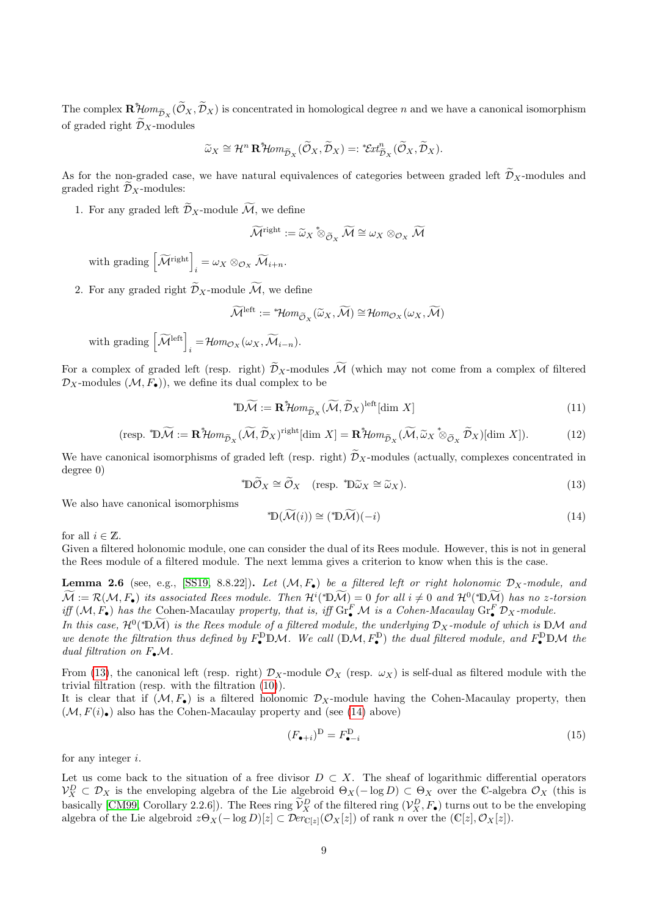The complex  $\mathbf{R}^*\!\!\!\not\!Hom_{\widetilde{\mathcal{D}}_X}(\widetilde{\mathcal{O}}_X,\widetilde{\mathcal{D}}_X)$  is concentrated in homological degree n and we have a canonical isomorphism of graded right  $\widetilde{\mathcal{D}}_X$ -modules

$$
\widetilde{\omega}_X \cong \mathcal{H}^n \mathbf{R}^* \mathcal{H} \text{om}_{\widetilde{\mathcal{D}}_X} (\widetilde{\mathcal{O}}_X, \widetilde{\mathcal{D}}_X) =: {}^* \mathcal{E} \text{at}_{\widetilde{\mathcal{D}}_X}^n (\widetilde{\mathcal{O}}_X, \widetilde{\mathcal{D}}_X).
$$

As for the non-graded case, we have natural equivalences of categories between graded left  $\widetilde{\mathcal{D}}_X$ -modules and graded right  $\mathcal{D}_X$ -modules:

1. For any graded left  $\widetilde{\mathcal{D}}_X$ -module  $\widetilde{\mathcal{M}}$ , we define

$$
\widetilde{\mathcal{M}}^{\text{right}} := \widetilde{\omega}_X \overset{*}{\otimes}_{\widetilde{\mathcal{O}}_X} \widetilde{\mathcal{M}} \cong \omega_X \otimes_{\mathcal{O}_X} \widetilde{\mathcal{M}}
$$

with grading  $\left[\widetilde{\mathcal{M}}^{\text{right}}\right]_i = \omega_X \otimes_{\mathcal{O}_X} \widetilde{\mathcal{M}}_{i+n}.$ 

2. For any graded right  $\widetilde{\mathcal{D}}_X$ -module  $\widetilde{\mathcal{M}}$ , we define

$$
\widetilde{\mathcal{M}}^{\text{left}} := {}^*\!\!\mathcal{H}\text{om}_{\widetilde{\mathcal{O}}_X}(\widetilde{\omega}_X, \widetilde{\mathcal{M}}) \cong \mathcal{H}\text{om}_{\mathcal{O}_X}(\omega_X, \widetilde{\mathcal{M}})
$$

with grading  $\left[\widetilde{\mathcal{M}}^{\text{left}}\right]_i = \mathcal{H}om_{\mathcal{O}_X}(\omega_X, \widetilde{\mathcal{M}}_{i-n}).$ 

For a complex of graded left (resp. right)  $\widetilde{\mathcal{D}}_X$ -modules  $\widetilde{\mathcal{M}}$  (which may not come from a complex of filtered  $\mathcal{D}_X$ -modules  $(\mathcal{M}, F_{\bullet})$ , we define its dual complex to be

<span id="page-8-3"></span>
$$
^{\ast}\mathbb{D}\widetilde{\mathcal{M}} := \mathbf{R}^{\ast}\mathcal{H}om_{\widetilde{\mathcal{D}}_{X}}(\widetilde{\mathcal{M}}, \widetilde{\mathcal{D}}_{X})^{\text{left}}[\dim X] \tag{11}
$$

$$
(\text{resp. } \text{*D}\widetilde{\mathcal{M}} := \mathbf{R}\text{*Hom}_{\widetilde{\mathcal{D}}_X}(\widetilde{\mathcal{M}}, \widetilde{\mathcal{D}}_X)^{\text{right}}[\dim X] = \mathbf{R}\text{*Hom}_{\widetilde{\mathcal{D}}_X}(\widetilde{\mathcal{M}}, \widetilde{\omega}_X \text{*}\otimes_{\widetilde{\mathcal{O}}_X} \widetilde{\mathcal{D}}_X)[\dim X]).\tag{12}
$$

We have canonical isomorphisms of graded left (resp. right)  $\widetilde{\mathcal{D}}_X$ -modules (actually, complexes concentrated in degree 0)

<span id="page-8-0"></span>
$$
\mathbb{D}\widetilde{\mathcal{O}}_X \cong \widetilde{\mathcal{O}}_X \quad \text{(resp. } \mathbb{D}\widetilde{\omega}_X \cong \widetilde{\omega}_X\text{)}.\tag{13}
$$

We also have canonical isomorphisms

<span id="page-8-1"></span>
$$
^*\mathbb{D}(\widetilde{\mathcal{M}}(i)) \cong (^*\mathbb{D}\widetilde{\mathcal{M}})(-i)
$$
\n(14)

for all  $i \in \mathbb{Z}$ .

Given a filtered holonomic module, one can consider the dual of its Rees module. However, this is not in general the Rees module of a filtered module. The next lemma gives a criterion to know when this is the case.

**Lemma 2.6** (see, e.g., [\[SS19,](#page-41-15) 8.8.22]). Let  $(M, F_{\bullet})$  be a filtered left or right holonomic  $\mathcal{D}_X$ -module, and  $\widetilde{\mathcal{M}} := \mathcal{R}(\mathcal{M}, F_{\bullet})$  its associated Rees module. Then  $\mathcal{H}^{i}(\mathcal{D}\widetilde{\mathcal{M}}) = 0$  for all  $i \neq 0$  and  $\mathcal{H}^{0}(\mathcal{D}\widetilde{\mathcal{M}})$  has no z-torsion iff  $(M, F_{\bullet})$  has the Cohen-Macaulay property, that is, iff  $\text{Gr}_{\bullet}^{F} M$  is a Cohen-Macaulay  $\text{Gr}_{\bullet}^{F} \mathcal{D}_{X}$ -module.

In this case,  $\mathcal{H}^0(\mathbb{A})$  is the Rees module of a filtered module, the underlying  $\mathcal{D}_X$ -module of which is DM and we denote the filtration thus defined by  $F_{\bullet}^{\mathbb{D}} \mathbb{D} \mathcal{M}$ . We call  $(\mathbb{D} \mathcal{M}, F_{\bullet}^{\mathbb{D}})$  the dual filtered module, and  $F_{\bullet}^{\mathbb{D}} \mathbb{D} \mathcal{M}$  the dual filtration on  $F_{\bullet}\mathcal{M}$ .

From [\(13\)](#page-8-0), the canonical left (resp. right)  $\mathcal{D}_X$ -module  $\mathcal{O}_X$  (resp.  $\omega_X$ ) is self-dual as filtered module with the trivial filtration (resp. with the filtration [\(10\)](#page-7-0)).

It is clear that if  $(M, F_{\bullet})$  is a filtered holonomic  $\mathcal{D}_X$ -module having the Cohen-Macaulay property, then  $(\mathcal{M}, F(i_{\bullet})$  also has the Cohen-Macaulay property and (see [\(14\)](#page-8-1) above)

<span id="page-8-2"></span>
$$
(F_{\bullet+i})^{\mathbb{D}} = F_{\bullet-i}^{\mathbb{D}} \tag{15}
$$

for any integer i.

Let us come back to the situation of a free divisor  $D \subset X$ . The sheaf of logarithmic differential operators  $\mathcal{V}_X^D \subset \mathcal{D}_X$  is the enveloping algebra of the Lie algebroid  $\Theta_X(-\log D) \subset \Theta_X$  over the C-algebra  $\mathcal{O}_X$  (this is basically [\[CM99,](#page-40-7) Corollary 2.2.6]). The Rees ring  $\tilde{V}_X^D$  of the filtered ring  $(V_X^D, F_{\bullet})$  turns out to be the enveloping algebra of the Lie algebroid  $z\Theta_X(-\log D)[z] \subset \mathcal{D}er_{\mathbb{C}[z]}(\mathcal{O}_X[z])$  of rank n over the  $(\mathbb{C}[z], \mathcal{O}_X[z])$ .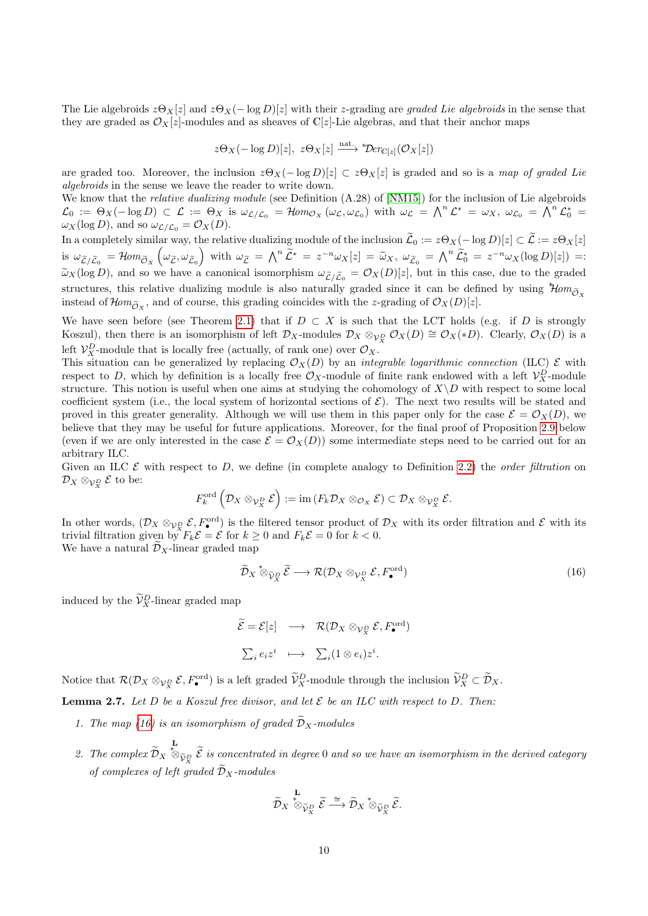The Lie algebroids  $z\Theta_X[z]$  and  $z\Theta_X(-\log D)[z]$  with their z-grading are graded Lie algebroids in the sense that they are graded as  $\mathcal{O}_X[z]$ -modules and as sheaves of C[z]-Lie algebras, and that their anchor maps

$$
z\Theta_X(-\log D)[z],\ z\Theta_X[z] \xrightarrow{\text{nat.}} \mathcal{D}er_{\mathbb{C}[z]}(\mathcal{O}_X[z])
$$

are graded too. Moreover, the inclusion  $z\Theta_X(-\log D)[z] \subset z\Theta_X[z]$  is graded and so is a map of graded Lie algebroids in the sense we leave the reader to write down.

We know that the *relative dualizing module* (see Definition  $(A.28)$  of [\[NM15\]](#page-41-12)) for the inclusion of Lie algebroids  $\mathcal{L}_0 := \Theta_X(-\log D) \subset \mathcal{L} := \Theta_X$  is  $\omega_{\mathcal{L}/\mathcal{L}_0} = \mathcal{H}om_{\mathcal{O}_X}(\omega_{\mathcal{L}}, \omega_{\mathcal{L}_0})$  with  $\omega_{\mathcal{L}} = \bigwedge^n \mathcal{L}^* = \omega_X, \ \omega_{\mathcal{L}_0} = \bigwedge^n \mathcal{L}_0^* =$  $\omega_X(\log D)$ , and so  $\omega_{\mathcal{L}/\mathcal{L}_0} = \mathcal{O}_X(D)$ .

In a completely similar way, the relative dualizing module of the inclusion  $\widetilde{\mathcal{L}}_0 := z\Theta_X(-\log D)[z] \subset \widetilde{\mathcal{L}} := z\Theta_X[z]$ is  $\omega_{\tilde{\mathcal{L}}/\tilde{\mathcal{L}}_0} = \mathcal{H}om_{\tilde{\mathcal{O}}_X}(\omega_{\tilde{\mathcal{L}}}, \omega_{\tilde{\mathcal{L}}_0})$  with  $\omega_{\tilde{\mathcal{L}}} = \bigwedge^n \tilde{\mathcal{L}}^* = z^{-n} \omega_X[z] = \tilde{\omega}_X, \ \omega_{\tilde{\mathcal{L}}_0} = \bigwedge^n \tilde{\mathcal{L}}_0^* = z^{-n} \omega_X(\log D)[z]$  = :  $\tilde{\omega}_X(\log D)$ , and so we have a canonical isomorphism  $\omega_{\tilde{L}/\tilde{L}_0} = \mathcal{O}_X(D)[z]$ , but in this case, due to the graded structures, this relative dualizing module is also naturally graded since it can be defined by using  $\partial \theta m_{\tilde{\sigma}_{\infty}}$ instead of  $\mathcal{H}om_{\widetilde{\mathcal{O}}_X}$ , and of course, this grading coincides with the z-grading of  $\mathcal{O}_X(D)[z]$ .

We have seen before (see Theorem [2.1\)](#page-3-2) that if  $D \subset X$  is such that the LCT holds (e.g. if D is strongly Koszul), then there is an isomorphism of left  $\mathcal{D}_X$ -modules  $\mathcal{D}_X \otimes_{\mathcal{V}_X^D} \mathcal{O}_X(D) \cong \mathcal{O}_X(*D)$ . Clearly,  $\mathcal{O}_X(D)$  is a left  $\mathcal{V}_X^D$ -module that is locally free (actually, of rank one) over  $\mathcal{O}_X$ .

This situation can be generalized by replacing  $\mathcal{O}_X(D)$  by an *integrable logarithmic connection* (ILC)  $\mathcal E$  with respect to D, which by definition is a locally free  $\mathcal{O}_X$ -module of finite rank endowed with a left  $\mathcal{V}_X^D$ -module structure. This notion is useful when one aims at studying the cohomology of  $X\setminus D$  with respect to some local coefficient system (i.e., the local system of horizontal sections of  $\mathcal{E}$ ). The next two results will be stated and proved in this greater generality. Although we will use them in this paper only for the case  $\mathcal{E} = \mathcal{O}_X(D)$ , we believe that they may be useful for future applications. Moreover, for the final proof of Proposition [2.9](#page-12-0) below (even if we are only interested in the case  $\mathcal{E} = \mathcal{O}_X(D)$ ) some intermediate steps need to be carried out for an arbitrary ILC.

Given an ILC  $\mathcal E$  with respect to D, we define (in complete analogy to Definition [2.2\)](#page-4-2) the *order filtration* on  $\mathcal{D}_X\otimes_{\mathcal{V}_X^D}\mathcal{E}$  to be:

$$
F_k^{\operatorname{ord}}\left(\mathcal{D}_X\otimes_{\mathcal{V}_X^D}\mathcal{E}\right):=\operatorname{im}\left(F_k\mathcal{D}_X\otimes_{\mathcal{O}_X}\mathcal{E}\right)\subset \mathcal{D}_X\otimes_{\mathcal{V}_X^D}\mathcal{E}.
$$

In other words,  $(\mathcal{D}_X \otimes_{\mathcal{V}_X^D} \mathcal{E}, F^{\text{ord}}_{\bullet})$  is the filtered tensor product of  $\mathcal{D}_X$  with its order filtration and  $\mathcal{E}$  with its trivial filtration given by  $F_k \mathcal{E} = \mathcal{E}$  for  $k \geq 0$  and  $F_k \mathcal{E} = 0$  for  $k < 0$ . We have a natural  $\mathcal{D}_X$ -linear graded map

<span id="page-9-0"></span>
$$
\widetilde{\mathcal{D}}_X \stackrel{\ast}{\otimes}_{\widetilde{V}_X^D} \widetilde{\mathcal{E}} \longrightarrow \mathcal{R}(\mathcal{D}_X \otimes_{\mathcal{V}_X^D} \mathcal{E}, F^{\text{ord}}_{\bullet})
$$
\n(16)

induced by the  $\widetilde{\mathcal{V}}_X^D$ -linear graded map

$$
\widetilde{\mathcal{E}} = \mathcal{E}[z] \longrightarrow \mathcal{R}(\mathcal{D}_X \otimes_{\mathcal{V}_X^D} \mathcal{E}, F^{\text{ord}}_{\bullet})
$$
  

$$
\sum_i e_i z^i \longmapsto \sum_i (1 \otimes e_i) z^i.
$$

Notice that  $\mathcal{R}(\mathcal{D}_X \otimes_{\mathcal{V}_X^D} \mathcal{E}, F^{\text{ord}}_{\bullet})$  is a left graded  $\widetilde{\mathcal{V}}_X^D$ -module through the inclusion  $\widetilde{\mathcal{V}}_X^D \subset \widetilde{\mathcal{D}}_X$ .

<span id="page-9-1"></span>**Lemma 2.7.** Let D be a Koszul free divisor, and let  $\mathcal{E}$  be an ILC with respect to D. Then:

- 1. The map [\(16\)](#page-9-0) is an isomorphism of graded  $\widetilde{D}_X$ -modules
- 2. The complex  $\mathcal{D}_X$ L<br> $*_{\Im\widetilde{\mathcal{V}}_\mathcal{X}}\widetilde{\mathcal{E}}$  is concentrated in degree 0 and so we have an isomorphism in the derived category of complexes of left graded  $\widetilde{\mathcal{D}}_X$ -modules

$$
\widetilde{\mathcal{D}}_X\overset{\mathbf{L}}{\underset{\tilde{\mathcal{V}}_X}{\otimes}}\widetilde{\mathcal{E}}\overset{\cong}{\longrightarrow}\widetilde{\mathcal{D}}_X\overset{*}{\otimes}_{\widetilde{\mathcal{V}}_X^D}\widetilde{\mathcal{E}}.
$$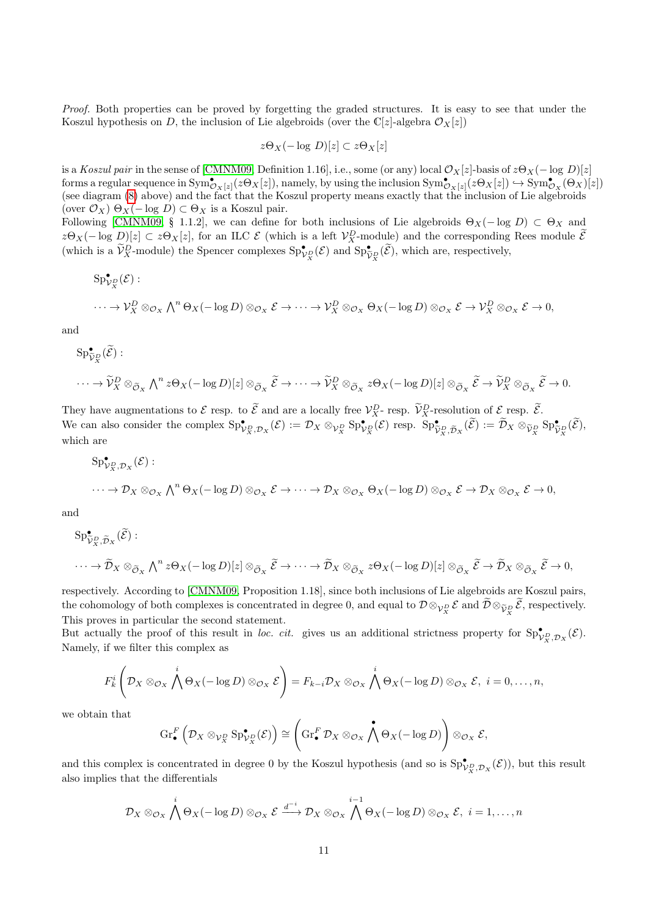Proof. Both properties can be proved by forgetting the graded structures. It is easy to see that under the Koszul hypothesis on D, the inclusion of Lie algebroids (over the C[z]-algebra  $\mathcal{O}_X[z]$ )

$$
z\Theta_X(-\log D)[z] \subset z\Theta_X[z]
$$

is a Koszul pair in the sense of [\[CMNM09,](#page-40-12) Definition 1.16], i.e., some (or any) local  $\mathcal{O}_X[z]$ -basis of  $z\Theta_X(- \log D)[z]$ forms a regular sequence in  $\text{Sym}^{\bullet}_{\mathcal{O}_X[z]}(z\Theta_X[z])$ , namely, by using the inclusion  $\text{Sym}^{\bullet}_{\mathcal{O}_X[z]}(z\Theta_X[z]) \hookrightarrow \text{Sym}^{\bullet}_{\mathcal{O}_X}(\Theta_X)[z])$ (see diagram [\(8\)](#page-6-0) above) and the fact that the Koszul property means exactly that the inclusion of Lie algebroids (over  $\mathcal{O}_X$ )  $\Theta_X(-\log D) \subset \Theta_X$  is a Koszul pair.

Following [\[CMNM09,](#page-40-12) § 1.1.2], we can define for both inclusions of Lie algebroids  $\Theta_X(- \log D) \subset \Theta_X$  and  $z\Theta_X(-\log D)[z] \subset z\Theta_X[z]$ , for an ILC  $\mathcal E$  (which is a left  $\mathcal V_X^D$ -module) and the corresponding Rees module  $\tilde{\mathcal E}$ (which is a  $\widetilde{\mathcal{V}}_{X}^{D}$ -module) the Spencer complexes  $\mathrm{Sp}_{\mathcal{V}_{X}^{D}}^{\bullet}(\mathcal{E})$  and  $\mathrm{Sp}_{\widetilde{\mathcal{V}}_{X}^{D}}^{\bullet}(\widetilde{\mathcal{E}})$ , which are, respectively,

 $\mathrm{Sp}^\bullet_{\mathcal{V}^D_X}(\mathcal{E})$  :

$$
\cdots \to \mathcal{V}_X^D \otimes_{\mathcal{O}_X} \bigwedge^n \Theta_X(-\log D) \otimes_{\mathcal{O}_X} \mathcal{E} \to \cdots \to \mathcal{V}_X^D \otimes_{\mathcal{O}_X} \Theta_X(-\log D) \otimes_{\mathcal{O}_X} \mathcal{E} \to \mathcal{V}_X^D \otimes_{\mathcal{O}_X} \mathcal{E} \to 0,
$$

and

$$
\mathrm{Sp}_{\widetilde{V}_X}^{\bullet}(\widetilde{\mathcal{E}}):
$$
  

$$
\cdots \to \widetilde{V}_X^D \otimes_{\widetilde{\mathcal{O}}_X} \bigwedge^n z \Theta_X(-\log D)[z] \otimes_{\widetilde{\mathcal{O}}_X} \widetilde{\mathcal{E}} \to \cdots \to \widetilde{V}_X^D \otimes_{\widetilde{\mathcal{O}}_X} z \Theta_X(-\log D)[z] \otimes_{\widetilde{\mathcal{O}}_X} \widetilde{\mathcal{E}} \to \widetilde{V}_X^D \otimes_{\widetilde{\mathcal{O}}_X} \widetilde{\mathcal{E}} \to 0.
$$

They have augmentations to  $\mathcal E$  resp. to  $\mathcal E$  and are a locally free  $\mathcal V_X^D$ -resp.  $\mathcal V_X^D$ -resolution of  $\mathcal E$  resp.  $\mathcal E$ . We can also consider the complex  $\mathrm{Sp}^{\bullet}_{\mathcal{V}_{X}^D, \mathcal{D}_X}(\mathcal{E}) := \mathcal{D}_X \otimes_{\mathcal{V}_{X}^D} \mathrm{Sp}^{\bullet}_{\mathcal{V}_{X}^D}(\mathcal{E})$  resp.  $\mathrm{Sp}^{\bullet}_{\widetilde{\mathcal{V}}_{X}^D, \widetilde{\mathcal{D}}_X}(\widetilde{\mathcal{E}}) := \widetilde{\mathcal{D}}_X \otimes_{\widetilde{\mathcal{V}}_{X}^D} \mathrm{Sp}^{\bullet}_{\widetilde$ which are

$$
Sp^{\bullet}_{V_X, \mathcal{D}_X}(\mathcal{E}) : \longrightarrow \mathcal{D}_X \otimes_{\mathcal{O}_X} \bigwedge^n \Theta_X(-\log D) \otimes_{\mathcal{O}_X} \mathcal{E} \to \cdots \to \mathcal{D}_X \otimes_{\mathcal{O}_X} \Theta_X(-\log D) \otimes_{\mathcal{O}_X} \mathcal{E} \to \mathcal{D}_X \otimes_{\mathcal{O}_X} \mathcal{E} \to 0,
$$

and

$$
\mathrm{Sp}_{\tilde{V}_X^D, \tilde{D}_X}^{\bullet}(\tilde{\mathcal{E}}):
$$
  

$$
\cdots \to \tilde{\mathcal{D}}_X \otimes_{\tilde{\mathcal{O}}_X} \bigwedge^n z \Theta_X(-\log D)[z] \otimes_{\tilde{\mathcal{O}}_X} \tilde{\mathcal{E}} \to \cdots \to \tilde{\mathcal{D}}_X \otimes_{\tilde{\mathcal{O}}_X} z \Theta_X(-\log D)[z] \otimes_{\tilde{\mathcal{O}}_X} \tilde{\mathcal{E}} \to \tilde{\mathcal{D}}_X \otimes_{\tilde{\mathcal{O}}_X} \tilde{\mathcal{E}} \to 0,
$$

respectively. According to [\[CMNM09,](#page-40-12) Proposition 1.18], since both inclusions of Lie algebroids are Koszul pairs, the cohomology of both complexes is concentrated in degree 0, and equal to  $\mathcal{D} \otimes_{\mathcal{V}_X^D} \mathcal{E}$  and  $\mathcal{D} \otimes_{\widetilde{\mathcal{V}}_X^D} \mathcal{E}$ , respectively. This proves in particular the second statement.

But actually the proof of this result in loc. cit. gives us an additional strictness property for  $\mathrm{Sp}^\bullet_{V_X,\mathcal{D}_X}(\mathcal{E})$ . Namely, if we filter this complex as

$$
F_k^i\left(\mathcal{D}_X\otimes_{\mathcal{O}_X}\bigwedge^i\Theta_X(-\log D)\otimes_{\mathcal{O}_X}\mathcal{E}\right)=F_{k-i}\mathcal{D}_X\otimes_{\mathcal{O}_X}\bigwedge^i\Theta_X(-\log D)\otimes_{\mathcal{O}_X}\mathcal{E},\ i=0,\ldots,n,
$$

we obtain that

$$
\operatorname{Gr}_{\bullet}^{F}\left(\mathcal{D}_{X}\otimes_{\mathcal{V}_{X}^{D}}\operatorname{Sp}_{\mathcal{V}_{X}^{D}}^{\bullet}(\mathcal{E})\right) \cong \left(\operatorname{Gr}_{\bullet}^{F}\mathcal{D}_{X}\otimes_{\mathcal{O}_{X}}\bigwedge^{\bullet}\Theta_{X}(-\log D)\right)\otimes_{\mathcal{O}_{X}}\mathcal{E},
$$

and this complex is concentrated in degree 0 by the Koszul hypothesis (and so is  $\mathrm{Sp}^{\bullet}_{\mathcal{V}_{X}^{D},\mathcal{D}_{X}}(\mathcal{E})$ ), but this result also implies that the differentials

$$
\mathcal{D}_X\otimes_{\mathcal{O}_X}\bigwedge^i\Theta_X(-\log D)\otimes_{\mathcal{O}_X}\mathcal{E}\xrightarrow{d^{-i}}\mathcal{D}_X\otimes_{\mathcal{O}_X}\bigwedge^{i-1}\Theta_X(-\log D)\otimes_{\mathcal{O}_X}\mathcal{E},\ i=1,\ldots,n
$$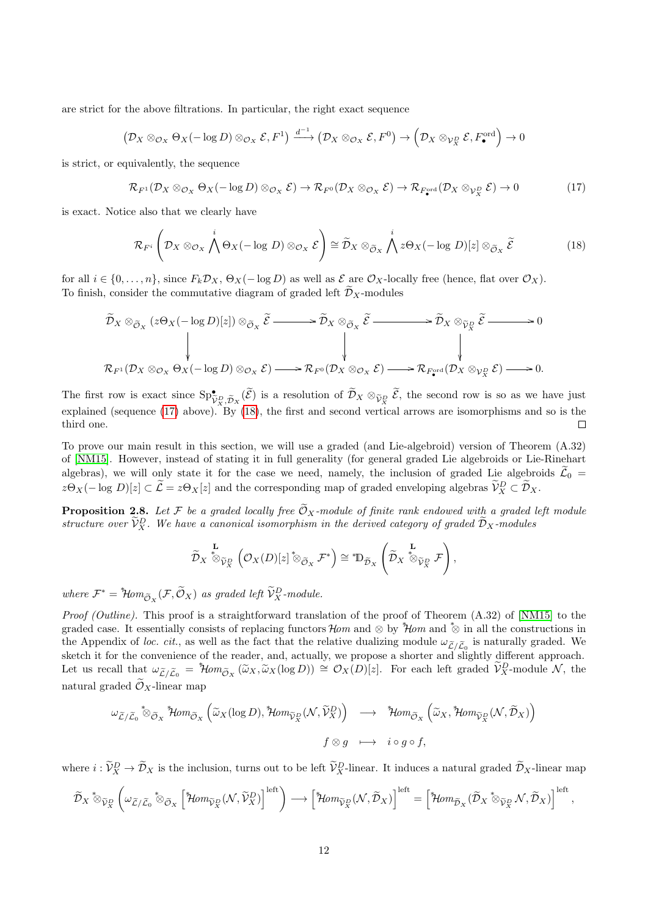are strict for the above filtrations. In particular, the right exact sequence

$$
(\mathcal{D}_X \otimes_{\mathcal{O}_X} \Theta_X(-\log D) \otimes_{\mathcal{O}_X} \mathcal{E}, F^1) \xrightarrow{d^{-1}} (\mathcal{D}_X \otimes_{\mathcal{O}_X} \mathcal{E}, F^0) \to (\mathcal{D}_X \otimes_{\mathcal{V}_X^D} \mathcal{E}, F^{\text{ord}}_{\bullet}) \to 0
$$

is strict, or equivalently, the sequence

<span id="page-11-0"></span>
$$
\mathcal{R}_{F^1}(\mathcal{D}_X \otimes_{\mathcal{O}_X} \Theta_X(-\log D) \otimes_{\mathcal{O}_X} \mathcal{E}) \to \mathcal{R}_{F^0}(\mathcal{D}_X \otimes_{\mathcal{O}_X} \mathcal{E}) \to \mathcal{R}_{F^{\text{ord}}_{\bullet}}(\mathcal{D}_X \otimes_{\mathcal{V}_X^D} \mathcal{E}) \to 0
$$
\n(17)

is exact. Notice also that we clearly have

<span id="page-11-1"></span>
$$
\mathcal{R}_{F^i}\left(\mathcal{D}_X\otimes_{\mathcal{O}_X}\bigwedge^i\Theta_X(-\log D)\otimes_{\mathcal{O}_X}\mathcal{E}\right)\cong\widetilde{\mathcal{D}}_X\otimes_{\widetilde{\mathcal{O}}_X}\bigwedge^i z\Theta_X(-\log D)[z]\otimes_{\widetilde{\mathcal{O}}_X}\widetilde{\mathcal{E}}\tag{18}
$$

for all  $i \in \{0, \ldots, n\}$ , since  $F_k \mathcal{D}_X$ ,  $\Theta_X(-\log D)$  as well as  $\mathcal E$  are  $\mathcal O_X$ -locally free (hence, flat over  $\mathcal O_X$ ). To finish, consider the commutative diagram of graded left  $\mathcal{D}_X$ -modules

$$
\widetilde{\mathcal{D}}_{X}\otimes_{\widetilde{\mathcal{O}}_{X}}(z\Theta_{X}(-\log D)[z])\otimes_{\widetilde{\mathcal{O}}_{X}}\widetilde{\mathcal{E}}\longrightarrow \widetilde{\mathcal{D}}_{X}\otimes_{\widetilde{\mathcal{O}}_{X}}\widetilde{\mathcal{E}}\longrightarrow \widetilde{\mathcal{D}}_{X}\otimes_{\widetilde{\mathcal{V}}_{X}^D}\widetilde{\mathcal{E}}\longrightarrow 0
$$
\n
$$
\downarrow \qquad \qquad \downarrow
$$
\n
$$
\mathcal{R}_{F^{1}}(\mathcal{D}_{X}\otimes_{\mathcal{O}_{X}}\Theta_{X}(-\log D)\otimes_{\mathcal{O}_{X}}\mathcal{E})\longrightarrow \mathcal{R}_{F^{0}}(\mathcal{D}_{X}\otimes_{\mathcal{O}_{X}}\mathcal{E})\longrightarrow \mathcal{R}_{F_{Y}^{\text{ord}}}(\mathcal{D}_{X}\otimes_{\mathcal{V}_{X}^D}\mathcal{E})\longrightarrow 0.
$$

The first row is exact since  $\text{Sp}_{\tilde{Y}_X}^{\bullet}$ ,  $\tilde{\mathcal{D}}_X$  ( $\tilde{\mathcal{E}}$ ) is a resolution of  $\tilde{\mathcal{D}}_X \otimes_{\tilde{Y}_X^D} \tilde{\mathcal{E}}$ , the second row is so as we have just explained (sequence [\(17\)](#page-11-0) above). By [\(18\)](#page-11-1), the first and second vertical arrows are isomorphisms and so is the third one.  $\Box$ 

To prove our main result in this section, we will use a graded (and Lie-algebroid) version of Theorem (A.32) of [\[NM15\]](#page-41-12). However, instead of stating it in full generality (for general graded Lie algebroids or Lie-Rinehart algebras), we will only state it for the case we need, namely, the inclusion of graded Lie algebroids  $\tilde{\mathcal{L}}_0$  =  $z\Theta_X(-\log D)[z] \subset \tilde{\mathcal{L}} = z\Theta_X[z]$  and the corresponding map of graded enveloping algebras  $\tilde{\mathcal{V}}_X^D \subset \tilde{\mathcal{D}}_X$ .

<span id="page-11-2"></span>**Proposition 2.8.** Let F be a graded locally free  $\widetilde{\mathcal{O}}_X$ -module of finite rank endowed with a graded left module structure over  $\widetilde{\mathcal{V}}_X^D$ . We have a canonical isomorphism in the derived category of graded  $\widetilde{\mathcal{D}}_X$ -modules

$$
\widetilde{\mathcal{D}}_X \overset{\mathbf{L}}{\otimes}_{\widetilde{\mathcal{V}}_X^D} \left( \mathcal{O}_X(D)[z] \overset{*}{\otimes}_{\widetilde{\mathcal{O}}_X} \mathcal{F}^* \right) \cong \overset{*}{\mathbb{D}}_{\widetilde{\mathcal{D}}_X} \left( \widetilde{\mathcal{D}}_X \overset{\mathbf{L}}{\otimes}_{\widetilde{\mathcal{V}}_X^D} \mathcal{F} \right),
$$

where  $\mathcal{F}^* = {}^*\!\!\operatorname{\mathcal{H}\!\!\mathit{om}}_{\widetilde{\mathcal{O}}_X}(\mathcal{F}, \widetilde{\mathcal{O}}_X)$  as graded left  $\widetilde{\mathcal{V}}^D_X$ -module.

Proof (Outline). This proof is a straightforward translation of the proof of Theorem (A.32) of [\[NM15\]](#page-41-12) to the graded case. It essentially consists of replacing functors  $\mathcal{H}om$  and  $\otimes$  by  $\mathcal{H}om$  and  $\otimes$  in all the constructions in the Appendix of loc. cit., as well as the fact that the relative dualizing module  $\omega_{\tilde{\mathcal{L}}/\tilde{\mathcal{L}}_0}$  is naturally graded. We sketch it for the convenience of the reader, and, actually, we propose a shorter and slightly different approach. Let us recall that  $\omega_{\widetilde{\mathcal{L}}/\widetilde{\mathcal{L}}_0} = {}^*\!\!\mathcal{H}om_{\widetilde{\mathcal{O}}_X}(\widetilde{\omega}_X,\widetilde{\omega}_X(\log D)) \cong \mathcal{O}_X(D)[z]$ . For each left graded  $\widetilde{\mathcal{V}}_X^D$ -module N, the natural graded  $\widetilde{\mathcal{O}}_X$ -linear map

$$
\omega_{\widetilde{\mathcal{L}}/\widetilde{\mathcal{L}}_0} \stackrel{*}{\otimes}_{\widetilde{\mathcal{O}}_X} \stackrel{*}{\uparrow} \text{Hom}_{\widetilde{\mathcal{O}}_X} \left( \widetilde{\omega}_X (\log D), \stackrel{*}{\uparrow} \text{Hom}_{\widetilde{\mathcal{V}}_X^D} (\mathcal{N}, \widetilde{\mathcal{V}}_X^D) \right) \longrightarrow \stackrel{*}{\to} \text{Hom}_{\widetilde{\mathcal{O}}_X} \left( \widetilde{\omega}_X, \stackrel{*}{\uparrow} \text{Hom}_{\widetilde{\mathcal{V}}_X^D} (\mathcal{N}, \widetilde{\mathcal{D}}_X) \right)
$$
\n
$$
f \otimes g \longrightarrow i \circ g \circ f,
$$

where  $i: \mathcal{V}_X^D \to \mathcal{D}_X$  is the inclusion, turns out to be left  $\mathcal{V}_X^D$ -linear. It induces a natural graded  $\mathcal{D}_X$ -linear map

$$
\widetilde{\mathcal{D}}_{X} \stackrel{\ast}{\otimes}_{\widetilde{\mathcal{V}}_{X}^{D}} \left( \omega_{\widetilde{\mathcal{L}}/\widetilde{\mathcal{L}}_{0}} \stackrel{\ast}{\otimes}_{\widetilde{\mathcal{O}}_{X}} \left[ \stackrel{\ast}{\mathcal{H}} \text{ dom}_{\widetilde{\mathcal{V}}_{X}^{D}}(\mathcal{N}, \widetilde{\mathcal{V}}_{X}^{D}) \right]^{left}} \right) \longrightarrow \left[ \stackrel{\ast}{\mathcal{H}} \text{ dom}_{\widetilde{\mathcal{V}}_{X}^{D}}(\mathcal{N}, \widetilde{\mathcal{D}}_{X}) \right]^{left}} = \left[ \stackrel{\ast}{\mathcal{H}} \text{ dom}_{\widetilde{\mathcal{D}}_{X}}(\widetilde{\mathcal{D}}_{X} \stackrel{\ast}{\otimes}_{\widetilde{\mathcal{V}}_{X}^{D}} \mathcal{N}, \widetilde{\mathcal{D}}_{X}) \right]^{left}} ,
$$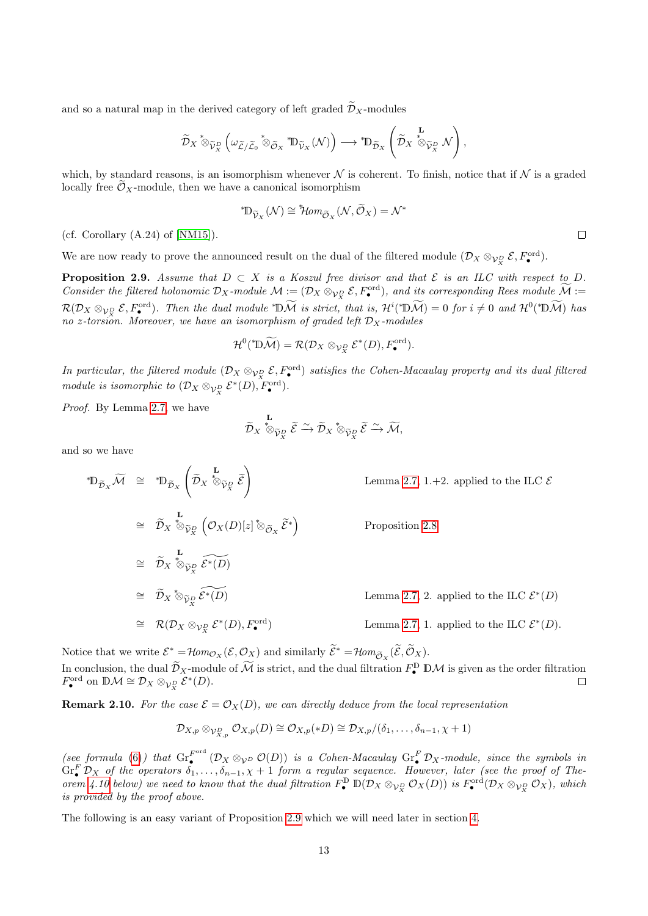and so a natural map in the derived category of left graded  $\widetilde{\mathcal{D}}_X$ -modules

$$
\widetilde{\mathcal{D}}_X \overset{\ast}{\otimes}_{\widetilde{\mathcal{V}}_X^D} \left( \omega_{\widetilde{\mathcal{L}}/\widetilde{\mathcal{L}}_0} \overset{\ast}{\otimes}_{\widetilde{\mathcal{O}}_X} \overset{\ast}{\mathbb{D}}_{\widetilde{\mathcal{V}}_X} (\mathcal{N}) \right) \longrightarrow \overset{\ast}{\mathbb{D}}_{\widetilde{\mathcal{D}}_X} \left( \widetilde{\mathcal{D}}_X \overset{\mathbf{L}}{\otimes}_{\widetilde{\mathcal{V}}_X^D} \mathcal{N} \right),
$$

which, by standard reasons, is an isomorphism whenever  $\mathcal N$  is coherent. To finish, notice that if  $\mathcal N$  is a graded locally free  $\widetilde{\mathcal{O}}_X$ -module, then we have a canonical isomorphism

$$
^*\!{\mathbb D}_{\widetilde {\mathcal V}_X}({\mathcal N})\cong {}^*\!\!\mathcal Hom_{\widetilde {\mathcal O}_X}({\mathcal N}, \widetilde {\mathcal O}_X)={\mathcal N}^*
$$

(cf. Corollary  $(A.24)$  of [\[NM15\]](#page-41-12)).

We are now ready to prove the announced result on the dual of the filtered module  $(\mathcal{D}_X \otimes_{\mathcal{V}_X^D} \mathcal{E}, F^{\text{ord}}_{\bullet}).$ 

<span id="page-12-0"></span>**Proposition 2.9.** Assume that  $D \subset X$  is a Koszul free divisor and that  $\mathcal{E}$  is an ILC with respect to D. Consider the filtered holonomic  $\mathcal{D}_X$ -module  $\mathcal{M} := (\mathcal{D}_X \otimes_{\mathcal{V}_X^D} \mathcal{E}, F^{\text{ord}}_{\bullet}),$  and its corresponding Rees module  $\widetilde{\mathcal{M}} :=$  $\mathcal{R}(\mathcal{D}_X \otimes_{\mathcal{V}_X^D} \mathcal{E}, F^{\text{ord}}_{\bullet}).$  Then the dual module \*D $\widetilde{\mathcal{M}}$  is strict, that is,  $\mathcal{H}^i$ (\*D $\widetilde{\mathcal{M}}$ ) = 0 for  $i \neq 0$  and  $\mathcal{H}^0$ (\*D $\widetilde{\mathcal{M}}$ ) has no z-torsion. Moreover, we have an isomorphism of graded left  $\mathcal{D}_X$ -modules

$$
\mathcal{H}^0({}^*\mathbb{D}\widetilde{\mathcal{M}})=\mathcal{R}(\mathcal{D}_X\otimes_{\mathcal{V}_X^D}\mathcal{E}^*(D),F^{\text{ord}}_{\bullet}).
$$

In particular, the filtered module  $(\mathcal{D}_X \otimes_{\mathcal{V}_X^D} \mathcal{E}, F^{\text{ord}}_{\bullet})$  satisfies the Cohen-Macaulay property and its dual filtered module is isomorphic to  $(\mathcal{D}_X \otimes_{\mathcal{V}_X^D} \mathcal{E}^*(D), F_{\bullet}^{\text{ord}}).$ 

Proof. By Lemma [2.7,](#page-9-1) we have

$$
\widetilde{\mathcal{D}}_X\overset{\mathbf{L}}{\otimes}_{\widetilde{\mathcal{V}}^D_X}\widetilde{\mathcal{E}}\overset{\sim}{\hookrightarrow}\widetilde{\mathcal{D}}_X\overset{*}{\otimes}_{\widetilde{\mathcal{V}}^D_X}\widetilde{\mathcal{E}}\overset{\sim}{\to}\widetilde{\mathcal{M}},
$$

and so we have

$$
\mathbb{D}_{\widetilde{\mathcal{D}}_{X}}\widetilde{\mathcal{M}} \cong \mathbb{D}_{\widetilde{\mathcal{D}}_{X}}\left(\widetilde{\mathcal{D}}_{X} \stackrel{\mathbf{L}}{\otimes}_{\widetilde{\mathcal{V}}_{X}^{D}} \widetilde{\mathcal{E}}\right)
$$
\n
$$
\cong \widetilde{\mathcal{D}}_{X} \stackrel{\mathbf{L}}{\otimes}_{\widetilde{\mathcal{V}}_{X}^{D}} \left(\mathcal{O}_{X}(D)[z] \stackrel{\ast}{\otimes}_{\widetilde{\mathcal{O}}_{X}} \widetilde{\mathcal{E}}^{*}\right)
$$
\n
$$
\cong \widetilde{\mathcal{D}}_{X} \stackrel{\mathbf{L}}{\otimes}_{\widetilde{\mathcal{V}}_{X}^{D}} \left(\mathcal{O}_{X}(D)[z] \stackrel{\ast}{\otimes}_{\widetilde{\mathcal{O}}_{X}} \widetilde{\mathcal{E}}^{*}\right)
$$
\n
$$
\cong \widetilde{\mathcal{D}}_{X} \stackrel{\mathbf{L}}{\otimes}_{\widetilde{\mathcal{V}}_{X}^{D}} \widetilde{\mathcal{E}}^{*}(D)
$$
\n
$$
\cong \widetilde{\mathcal{D}}_{X} \stackrel{\ast}{\otimes}_{\widetilde{\mathcal{V}}_{X}^{D}} \widetilde{\mathcal{E}}^{*}(D)
$$
\n
$$
\cong \mathcal{R}(\mathcal{D}_{X} \otimes_{\mathcal{V}_{X}^{D}} \mathcal{E}^{*}(D), F_{\bullet}^{\text{ord}})
$$
\n
$$
\cong \mathcal{R}(\mathcal{D}_{X} \otimes_{\mathcal{V}_{X}^{D}} \mathcal{E}^{*}(D), F_{\bullet}^{\text{ord}})
$$
\n
$$
\cong \mathcal{L}(\mathcal{D}_{X} \otimes_{\mathcal{V}_{X}^{D}} \mathcal{E}^{*}(D), F_{\bullet}^{\text{ord}})
$$
\n
$$
\cong \mathcal{L}(\mathcal{D}_{X} \otimes_{\mathcal{V}_{X}^{D}} \mathcal{E}^{*}(D), F_{\bullet}^{\text{ord}})
$$
\n
$$
\cong \mathcal{L}(\mathcal{D}_{X} \otimes_{\mathcal{V}_{X}^{D}} \mathcal{E}^{*}(D), F_{\bullet}^
$$

Notice that we write  $\mathcal{E}^* = \mathcal{H}om_{\mathcal{O}_X}(\mathcal{E}, \mathcal{O}_X)$  and similarly  $\widetilde{\mathcal{E}}^* = \mathcal{H}om_{\widetilde{\mathcal{O}}_X}(\widetilde{\mathcal{E}}, \widetilde{\mathcal{O}}_X)$ . In conclusion, the dual  $\widetilde{\mathcal{D}}_X$ -module of  $\widetilde{\mathcal{M}}$  is strict, and the dual filtration  $F^{\mathbb{D}}_{\bullet}$  DM is given as the order filtration  $F_{\bullet}^{\text{ord}}$  on  $\mathbb{D}\mathcal{M} \cong \mathcal{D}_X \otimes_{\mathcal{V}_X^D} \mathcal{E}^*(D)$ .  $\Box$ 

**Remark 2.10.** For the case  $\mathcal{E} = \mathcal{O}_X(D)$ , we can directly deduce from the local representation

$$
\mathcal{D}_{X,p} \otimes_{\mathcal{V}_{X,p}^D} \mathcal{O}_{X,p}(D) \cong \mathcal{O}_{X,p}(*D) \cong \mathcal{D}_{X,p}/(\delta_1,\ldots,\delta_{n-1},\chi+1)
$$

(see formula [\(6\)](#page-5-0)) that  $\operatorname{Gr}_{\bullet}^{F^{\text{ord}}}$  $\int_{\bullet}^{F^{ord}}(\mathcal{D}_{X}\otimes_{\mathcal{V}^{D}}\mathcal{O}(D))$  is a Cohen-Macaulay  $\mathrm{Gr}^F_{\bullet}\mathcal{D}_{X}$ -module, since the symbols in  $\text{Gr}_{\bullet}^{F}$   $\mathcal{D}_{X}$  of the operators  $\delta_{1},\ldots,\delta_{n-1},\chi+1$  form a regular sequence. However, later (see the proof of The-orem [4.10](#page-28-0) below) we need to know that the dual filtration  $F_{\bullet}^{\mathbb{D}} \mathbb{D}(\mathcal{D}_X \otimes_{\mathcal{V}_X^D} \mathcal{O}_X(D))$  is  $F_{\bullet}^{\text{ord}}(\mathcal{D}_X \otimes_{\mathcal{V}_X^D} \mathcal{O}_X)$ , which is provided by the proof above.

The following is an easy variant of Proposition [2.9](#page-12-0) which we will need later in section [4.](#page-22-0)

 $\Box$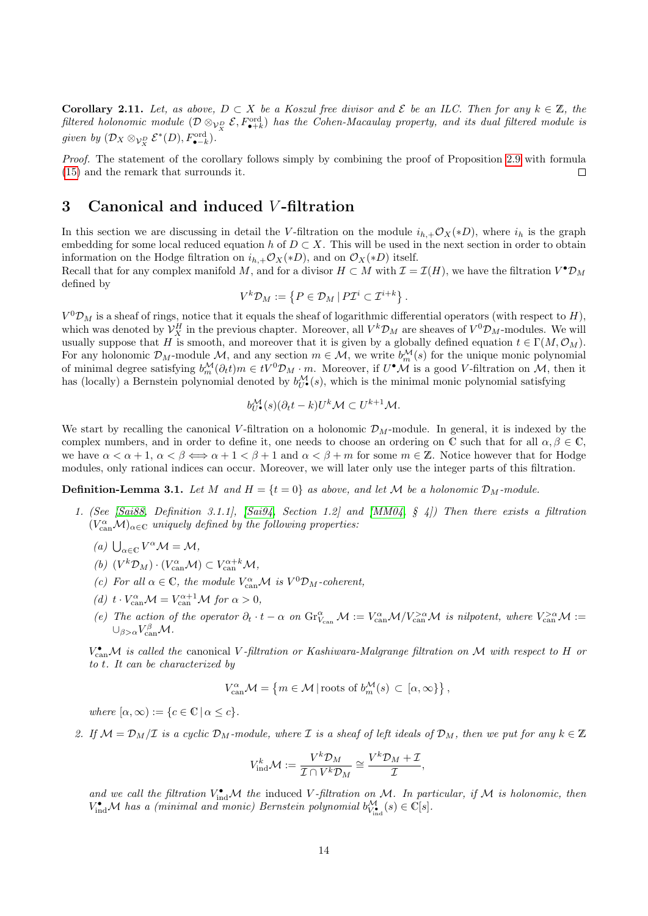<span id="page-13-2"></span>**Corollary 2.11.** Let, as above,  $D \subset X$  be a Koszul free divisor and  $\mathcal{E}$  be an ILC. Then for any  $k \in \mathbb{Z}$ , the filtered holonomic module  $(\mathcal{D} \otimes_{\mathcal{V}_X^D} \mathcal{E}, F^{\mathrm{ord}}_{\bullet+k})$  has the Cohen-Macaulay property, and its dual filtered module is given by  $(\mathcal{D}_X \otimes_{\mathcal{V}_X^D} \mathcal{E}^*(D), F_{\bullet-k}^{\text{ord}})$ .

Proof. The statement of the corollary follows simply by combining the proof of Proposition [2.9](#page-12-0) with formula [\(15\)](#page-8-2) and the remark that surrounds it.  $\Box$ 

### <span id="page-13-1"></span>3 Canonical and induced V -filtration

In this section we are discussing in detail the V-filtration on the module  $i_{h,+}\mathcal{O}_X(*D)$ , where  $i_h$  is the graph embedding for some local reduced equation h of  $D \subset X$ . This will be used in the next section in order to obtain information on the Hodge filtration on  $i_{h,+}\mathcal{O}_X(*D)$ , and on  $\mathcal{O}_X(*D)$  itself.

Recall that for any complex manifold M, and for a divisor  $H \subset M$  with  $\mathcal{I} = \mathcal{I}(H)$ , we have the filtration  $V^{\bullet} \mathcal{D}_M$ defined by

$$
V^k \mathcal{D}_M := \left\{ P \in \mathcal{D}_M \, | \, P \mathcal{I}^i \subset \mathcal{I}^{i+k} \right\}.
$$

 $V^{0}\mathcal{D}_{M}$  is a sheaf of rings, notice that it equals the sheaf of logarithmic differential operators (with respect to H), which was denoted by  $\mathcal{V}_X^H$  in the previous chapter. Moreover, all  $V^k \mathcal{D}_M$  are sheaves of  $V^0 \mathcal{D}_M$ -modules. We will usually suppose that H is smooth, and moreover that it is given by a globally defined equation  $t \in \Gamma(M, \mathcal{O}_M)$ . For any holonomic  $\mathcal{D}_M$ -module M, and any section  $m \in \mathcal{M}$ , we write  $b_m^{\mathcal{M}}(s)$  for the unique monic polynomial of minimal degree satisfying  $b_m^{\mathcal{M}}(\partial_t t)m \in tV^0\mathcal{D}_M \cdot m$ . Moreover, if  $U^{\bullet}\mathcal{M}$  is a good V-filtration on  $\mathcal{M}$ , then it has (locally) a Bernstein polynomial denoted by  $b_{U^{\bullet}}^{\mathcal{M}}(s)$ , which is the minimal monic polynomial satisfying

$$
b_{U^{\bullet}}^{\mathcal{M}}(s)(\partial_{t}t-k)U^{k}\mathcal{M}\subset U^{k+1}\mathcal{M}.
$$

We start by recalling the canonical V-filtration on a holonomic  $\mathcal{D}_M$ -module. In general, it is indexed by the complex numbers, and in order to define it, one needs to choose an ordering on C such that for all  $\alpha, \beta \in \mathbb{C}$ , we have  $\alpha < \alpha + 1$ ,  $\alpha < \beta \Longleftrightarrow \alpha + 1 < \beta + 1$  and  $\alpha < \beta + m$  for some  $m \in \mathbb{Z}$ . Notice however that for Hodge modules, only rational indices can occur. Moreover, we will later only use the integer parts of this filtration.

**Definition-Lemma 3.1.** Let M and  $H = \{t = 0\}$  as above, and let M be a holonomic  $\mathcal{D}_M$ -module.

- 1. (See [\[Sai88,](#page-41-0) Definition 3.1.1], [\[Sai94,](#page-41-16) Section 1.2] and [\[MM04,](#page-41-17) § 4]) Then there exists a filtration  $(V_{\text{can}}^{\alpha} \mathcal{M})_{\alpha \in \mathbb{C}}$  uniquely defined by the following properties:
	- (a)  $\bigcup_{\alpha \in \mathbb{C}} V^{\alpha} \mathcal{M} = \mathcal{M},$
	- (b)  $(V^k \mathcal{D}_M) \cdot (V_{\text{can}}^{\alpha} \mathcal{M}) \subset V_{\text{can}}^{\alpha+k} \mathcal{M},$
	- (c) For all  $\alpha \in \mathbb{C}$ , the module  $V_{\text{can}}^{\alpha} \mathcal{M}$  is  $V^0 \mathcal{D}_M$ -coherent,
	- (d)  $t \cdot V_{\text{can}}^{\alpha} \mathcal{M} = V_{\text{can}}^{\alpha+1} \mathcal{M}$  for  $\alpha > 0$ ,
	- (e) The action of the operator  $\partial_t \cdot t \alpha$  on  $\text{Gr}_{V_{\text{can}}}^{\alpha} \mathcal{M} := V_{\text{can}}^{\alpha} \mathcal{M}/V_{\text{can}}^{>\alpha} \mathcal{M}$  is nilpotent, where  $V_{\text{can}}^{>\alpha} \mathcal{M} :=$  $\cup_{\beta>\alpha}V_{\mathrm{can}}^{\beta}\mathcal{M}.$

 $V_{\text{can}}^{\bullet}$ M is called the canonical V-filtration or Kashiwara-Malgrange filtration on M with respect to H or to t. It can be characterized by

$$
V_{\text{can}}^{\alpha} \mathcal{M} = \left\{ m \in \mathcal{M} \, | \, \text{roots of } b_m^{\mathcal{M}}(s) \subset [\alpha, \infty] \right\},
$$

where  $[\alpha, \infty) := \{c \in \mathbb{C} \mid \alpha \leq c\}.$ 

<span id="page-13-0"></span>2. If  $\mathcal{M} = \mathcal{D}_M/\mathcal{I}$  is a cyclic  $\mathcal{D}_M$ -module, where  $\mathcal{I}$  is a sheaf of left ideals of  $\mathcal{D}_M$ , then we put for any  $k \in \mathbb{Z}$ 

$$
V_{\text{ind}}^k \mathcal{M} := \frac{V^k \mathcal{D}_M}{\mathcal{I} \cap V^k \mathcal{D}_M} \cong \frac{V^k \mathcal{D}_M + \mathcal{I}}{\mathcal{I}},
$$

and we call the filtration  $V_{ind}^{\bullet}M$  the induced V-filtration on M. In particular, if M is holonomic, then  $V_{\text{ind}}^{\bullet} \mathcal{M}$  has a (minimal and monic) Bernstein polynomial  $b_{V_{\text{ind}}^{\bullet}}^{\mathcal{M}}(s) \in \mathbb{C}[s]$ .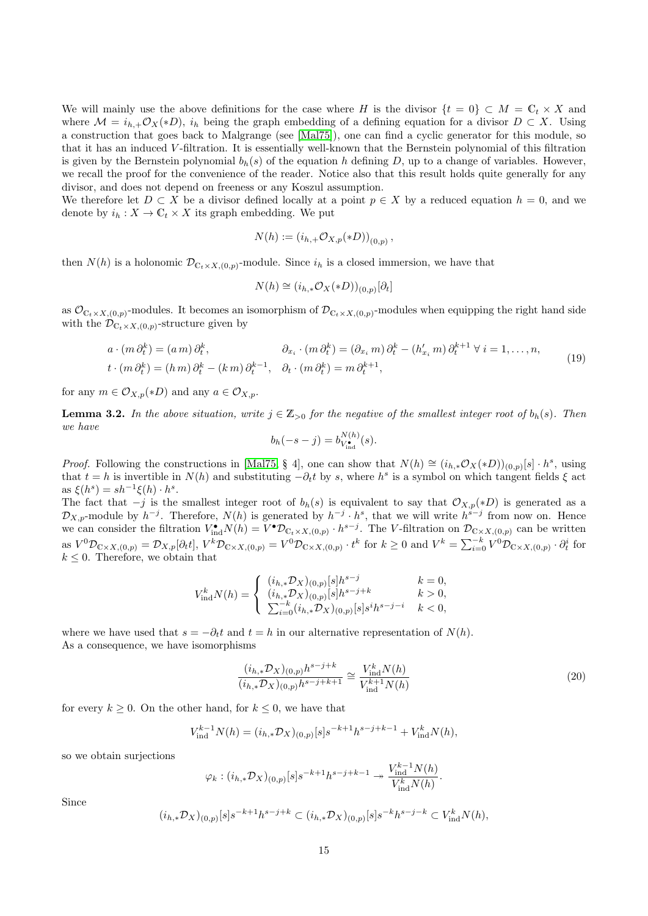We will mainly use the above definitions for the case where H is the divisor  $\{t = 0\} \subset M = \mathbb{C}_t \times X$  and where  $\mathcal{M} = i_{h,+}\mathcal{O}_X(*D), i_h$  being the graph embedding of a defining equation for a divisor  $D \subset X$ . Using a construction that goes back to Malgrange (see [\[Mal75\]](#page-41-18)), one can find a cyclic generator for this module, so that it has an induced V -filtration. It is essentially well-known that the Bernstein polynomial of this filtration is given by the Bernstein polynomial  $b_h(s)$  of the equation h defining D, up to a change of variables. However, we recall the proof for the convenience of the reader. Notice also that this result holds quite generally for any divisor, and does not depend on freeness or any Koszul assumption.

We therefore let  $D \subset X$  be a divisor defined locally at a point  $p \in X$  by a reduced equation  $h = 0$ , and we denote by  $i_h: X \to \mathbb{C}_t \times X$  its graph embedding. We put

$$
N(h) := (i_{h,+} \mathcal{O}_{X,p}(*D))_{(0,p)},
$$

then  $N(h)$  is a holonomic  $\mathcal{D}_{\mathbb{C}_t \times X,(0,p)}$ -module. Since  $i_h$  is a closed immersion, we have that

$$
N(h) \cong (i_{h,*} \mathcal{O}_X(*D))_{(0,p)}[\partial_t]
$$

as  $\mathcal{O}_{\mathbb{C}_t\times X,(0,p)}$ -modules. It becomes an isomorphism of  $\mathcal{D}_{\mathbb{C}_t\times X,(0,p)}$ -modules when equipping the right hand side with the  $\mathcal{D}_{\mathbb{C}_t \times X, (0,p)}$ -structure given by

<span id="page-14-0"></span>
$$
a \cdot (m \partial_t^k) = (a \, m) \, \partial_t^k, \qquad \partial_{x_i} \cdot (m \, \partial_t^k) = (\partial_{x_i} m) \, \partial_t^k - (h'_{x_i} m) \, \partial_t^{k+1} \, \forall \, i = 1, \dots, n,
$$
  

$$
t \cdot (m \, \partial_t^k) = (h \, m) \, \partial_t^k - (k \, m) \, \partial_t^{k-1}, \quad \partial_t \cdot (m \, \partial_t^k) = m \, \partial_t^{k+1},
$$
 (19)

for any  $m \in \mathcal{O}_{X,p}(*D)$  and any  $a \in \mathcal{O}_{X,p}$ .

<span id="page-14-1"></span>**Lemma 3.2.** In the above situation, write  $j \in \mathbb{Z}_{>0}$  for the negative of the smallest integer root of  $b_h(s)$ . Then we have

$$
b_h(-s-j) = b_{V_{\text{ind}}^{\bullet}}^{N(h)}(s).
$$

*Proof.* Following the constructions in [\[Mal75,](#page-41-18) § 4], one can show that  $N(h) \cong (i_{h,*} \mathcal{O}_X(*D))_{(0,p)}[s] \cdot h^s$ , using that  $t = h$  is invertible in  $N(h)$  and substituting  $-\partial_t t$  by s, where  $h^s$  is a symbol on which tangent fields  $\xi$  act as  $\xi(h^s) = sh^{-1}\xi(h) \cdot h^s$ .

The fact that  $-j$  is the smallest integer root of  $b_h(s)$  is equivalent to say that  $\mathcal{O}_{X,p}(*D)$  is generated as a  $\mathcal{D}_{X,p}$ -module by  $h^{-j}$ . Therefore,  $N(h)$  is generated by  $h^{-j} \cdot h^s$ , that we will write  $h^{s-j}$  from now on. Hence we can consider the filtration  $V_{ind}^{\bullet}N(h) = V^{\bullet}D_{\mathbb{C}_t\times X,(0,p)}\cdot h^{s-j}$ . The V-filtration on  $\mathcal{D}_{\mathbb{C}\times X,(0,p)}$  can be written as  $V^0 \mathcal{D}_{\mathbb{C} \times X,(0,p)} = \mathcal{D}_{X,p}[\partial_t t], V^k \mathcal{D}_{\mathbb{C} \times X,(0,p)} = V^0 \mathcal{D}_{\mathbb{C} \times X,(0,p)} \cdot t^k$  for  $k \geq 0$  and  $V^k = \sum_{i=0}^{-k} V^0 \mathcal{D}_{\mathbb{C} \times X,(0,p)} \cdot \partial_t^i$  for  $k \leq 0$ . Therefore, we obtain that

$$
V_{\text{ind}}^k N(h) = \left\{ \begin{array}{ll} (i_{h, *} \mathcal{D}_X)_{(0,p)}[s] h^{s-j} & k=0,\\ (i_{h, *} \mathcal{D}_X)_{(0,p)}[s] h^{s-j+k} & k>0,\\ \sum_{i=0}^{-k} (i_{h, *} \mathcal{D}_X)_{(0,p)}[s] s^i h^{s-j-i} & k<0, \end{array} \right.
$$

where we have used that  $s = -\partial_t t$  and  $t = h$  in our alternative representation of  $N(h)$ . As a consequence, we have isomorphisms

<span id="page-14-2"></span>
$$
\frac{(i_{h,*}\mathcal{D}_X)_{(0,p)}h^{s-j+k}}{(i_{h,*}\mathcal{D}_X)_{(0,p)}h^{s-j+k+1}} \cong \frac{V_{\text{ind}}^k N(h)}{V_{\text{ind}}^{k+1} N(h)}\tag{20}
$$

for every  $k > 0$ . On the other hand, for  $k \leq 0$ , we have that

$$
V_{\text{ind}}^{k-1} N(h) = (i_{h,*} \mathcal{D}_X)_{(0,p)}[s] s^{-k+1} h^{s-j+k-1} + V_{\text{ind}}^k N(h),
$$

so we obtain surjections

$$
\varphi_k : (i_{h,*} \mathcal{D}_X)_{(0,p)}[s] s^{-k+1} h^{s-j+k-1} \twoheadrightarrow \frac{V_{\text{ind}}^{k-1} N(h)}{V_{\text{ind}}^k N(h)}.
$$

Since

$$
(i_{h,*}\mathcal{D}_X)_{(0,p)}[s]s^{-k+1}h^{s-j+k} \subset (i_{h,*}\mathcal{D}_X)_{(0,p)}[s]s^{-k}h^{s-j-k} \subset V_{\text{ind}}^k N(h),
$$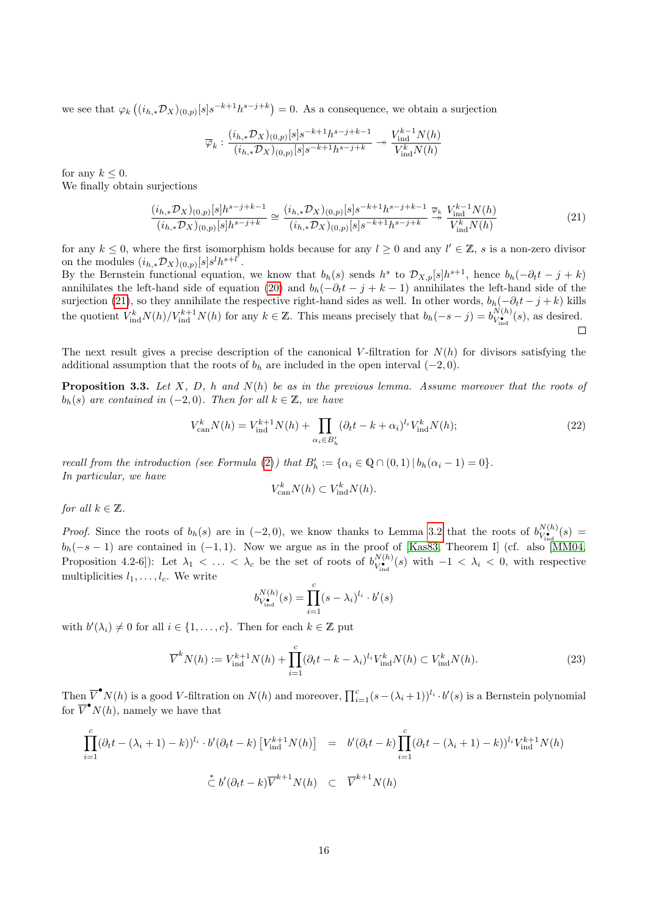we see that  $\varphi_k((i_{h,*}\mathcal{D}_X)_{(0,p)}[s]s^{-k+1}h^{s-j+k})=0$ . As a consequence, we obtain a surjection

$$
\overline{\varphi}_k: \frac{(i_{h,*}\mathcal{D}_X)_{(0,p)}[s]s^{-k+1}h^{s-j+k-1}}{(i_{h,*}\mathcal{D}_X)_{(0,p)}[s]s^{-k+1}h^{s-j+k}}\rightarrow\frac{V_{\text{ind}}^{k-1}N(h)}{V_{\text{ind}}^kN(h)}
$$

for any  $k \leq 0$ .

We finally obtain surjections

<span id="page-15-1"></span>
$$
\frac{(i_{h,*}\mathcal{D}_X)_{(0,p)}[s]h^{s-j+k-1}}{(i_{h,*}\mathcal{D}_X)_{(0,p)}[s]h^{s-j+k}} \cong \frac{(i_{h,*}\mathcal{D}_X)_{(0,p)}[s]s^{-k+1}h^{s-j+k-1}}{(i_{h,*}\mathcal{D}_X)_{(0,p)}[s]s^{-k+1}h^{s-j+k}} \stackrel{\overline{\varphi}_k}{\longrightarrow} \frac{V_{\text{ind}}^{k-1}N(h)}{V_{\text{ind}}^kN(h)}\tag{21}
$$

for any  $k \leq 0$ , where the first isomorphism holds because for any  $l \geq 0$  and any  $l' \in \mathbb{Z}$ , s is a non-zero divisor on the modules  $(i_{h,*}\mathcal{D}_X)_{(0,p)}[s]s^lh^{s+l^{\prime}}.$ 

By the Bernstein functional equation, we know that  $b_h(s)$  sends  $h^s$  to  $\mathcal{D}_{X,p}[s]h^{s+1}$ , hence  $b_h(-\partial_t t - j + k)$ annihilates the left-hand side of equation [\(20\)](#page-14-2) and  $b_h(-\partial_t t - j + k - 1)$  annihilates the left-hand side of the surjection [\(21\)](#page-15-1), so they annihilate the respective right-hand sides as well. In other words,  $b_h(-\partial_t t - j + k)$  kills the quotient  $V_{\text{ind}}^{k} N(h)/V_{\text{ind}}^{k+1} N(h)$  for any  $k \in \mathbb{Z}$ . This means precisely that  $b_h(-s-j) = b_{V_{\text{ind}}^{k}}^{N(h)}$  $V_{V_{\text{ind}}}^{N(h)}(s)$ , as desired.  $\Box$ 

The next result gives a precise description of the canonical V-filtration for  $N(h)$  for divisors satisfying the additional assumption that the roots of  $b<sub>h</sub>$  are included in the open interval  $(-2, 0)$ .

<span id="page-15-0"></span>**Proposition 3.3.** Let X, D, h and  $N(h)$  be as in the previous lemma. Assume moreover that the roots of  $b_h(s)$  are contained in (−2,0). Then for all  $k \in \mathbb{Z}$ , we have

<span id="page-15-3"></span>
$$
V_{\text{can}}^{k} N(h) = V_{\text{ind}}^{k+1} N(h) + \prod_{\alpha_i \in B_h'} (\partial_t t - k + \alpha_i)^{l_i} V_{\text{ind}}^{k} N(h); \tag{22}
$$

recall from the introduction (see Formula [\(2\)](#page-2-1)) that  $B'_h := {\alpha_i \in \mathbb{Q} \cap (0,1) | b_h(\alpha_i - 1) = 0}.$ In particular, we have

$$
V_{\text{can}}^k N(h) \subset V_{\text{ind}}^k N(h).
$$

for all  $k \in \mathbb{Z}$ .

*Proof.* Since the roots of  $b_h(s)$  are in  $(-2, 0)$ , we know thanks to Lemma [3.2](#page-14-1) that the roots of  $b_{V_{\bullet}}^{N(h)}$ .  $V^{N(h)}_{V_{ind}}(s) =$  $b_h(-s-1)$  are contained in  $(-1, 1)$ . Now we argue as in the proof of [\[Kas83,](#page-40-13) Theorem I] (cf. also [\[MM04,](#page-41-17) Proposition 4.2-6]): Let  $\lambda_1 < \ldots < \lambda_c$  be the set of roots of  $b_{V_{\bullet}}^{N(h)}$ .  $V^{\mathcal{N}(h)}_{\mathbf{v}_{\mathbf{n}\mathbf{d}}}(\mathbf{s})$  with  $-1 < \lambda_i < 0$ , with respective multiplicities  $l_1, \ldots, l_c$ . We write

$$
b_{V_{\text{ind}}^{\bullet}}^{N(h)}(s) = \prod_{i=1}^{c} (s - \lambda_i)^{l_i} \cdot b'(s)
$$

with  $b'(\lambda_i) \neq 0$  for all  $i \in \{1, ..., c\}$ . Then for each  $k \in \mathbb{Z}$  put

<span id="page-15-2"></span>
$$
\overline{V}^k N(h) := V_{\text{ind}}^{k+1} N(h) + \prod_{i=1}^c (\partial_t t - k - \lambda_i)^{l_i} V_{\text{ind}}^k N(h) \subset V_{\text{ind}}^k N(h). \tag{23}
$$

Then  $\overline{V}^{\bullet}N(h)$  is a good V-filtration on  $N(h)$  and moreover,  $\prod_{i=1}^{c}(s-(\lambda_i+1))^{l_i}\cdot b'(s)$  is a Bernstein polynomial for  $\overline{V}^{\bullet}N(h)$ , namely we have that

$$
\prod_{i=1}^{c} (\partial_t t - (\lambda_i + 1) - k))^{l_i} \cdot b' (\partial_t t - k) \left[ V_{\text{ind}}^{k+1} N(h) \right] = b' (\partial_t t - k) \prod_{i=1}^{c} (\partial_t t - (\lambda_i + 1) - k))^{l_i} V_{\text{ind}}^{k+1} N(h)
$$
  

$$
\stackrel{*}{\subset} b' (\partial_t t - k) \overline{V}^{k+1} N(h) \subset \overline{V}^{k+1} N(h)
$$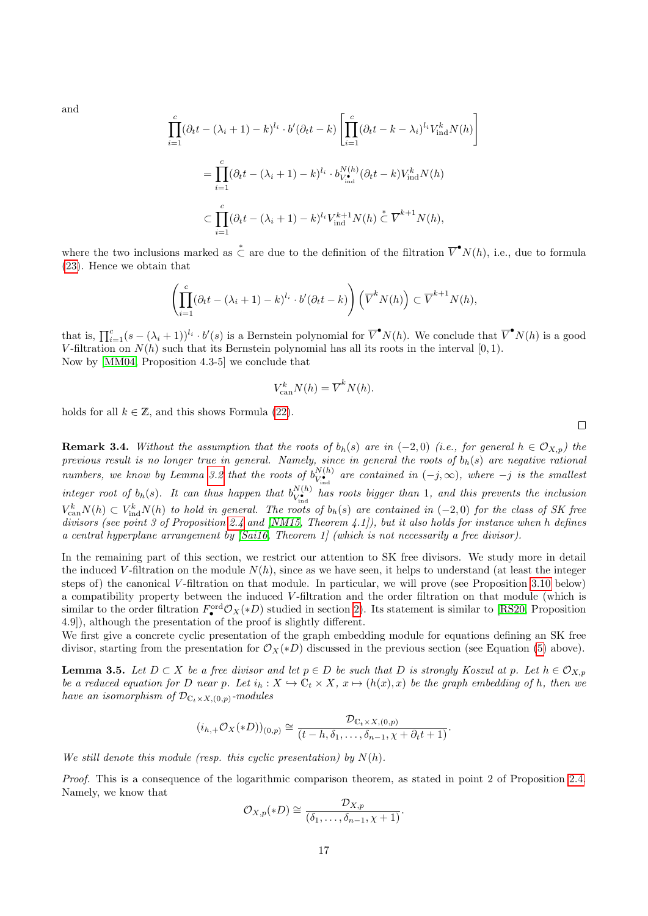and

$$
\prod_{i=1}^{c} (\partial_t t - (\lambda_i + 1) - k)^{l_i} \cdot b'(\partial_t t - k) \left[ \prod_{i=1}^{c} (\partial_t t - k - \lambda_i)^{l_i} V_{\text{ind}}^k N(h) \right]
$$
  

$$
= \prod_{i=1}^{c} (\partial_t t - (\lambda_i + 1) - k)^{l_i} \cdot b_{V_{\text{ind}}}^{N(h)} (\partial_t t - k) V_{\text{ind}}^k N(h)
$$
  

$$
\subset \prod_{i=1}^{c} (\partial_t t - (\lambda_i + 1) - k)^{l_i} V_{\text{ind}}^{k+1} N(h) \stackrel{*}{\subset} \overline{V}^{k+1} N(h),
$$

where the two inclusions marked as  $\stackrel{*}{\subset}$  are due to the definition of the filtration  $\overline{V}^{\bullet}N(h)$ , i.e., due to formula [\(23\)](#page-15-2). Hence we obtain that

$$
\left(\prod_{i=1}^c (\partial_t t - (\lambda_i + 1) - k)^{l_i} \cdot b' (\partial_t t - k)\right) \left(\overline{V}^k N(h)\right) \subset \overline{V}^{k+1} N(h),
$$

that is,  $\prod_{i=1}^{c} (s - (\lambda_i + 1))^{l_i} \cdot b'(s)$  is a Bernstein polynomial for  $\overline{V}^{\bullet} N(h)$ . We conclude that  $\overline{V}^{\bullet} N(h)$  is a good V-filtration on  $N(h)$  such that its Bernstein polynomial has all its roots in the interval  $[0, 1)$ . Now by [\[MM04,](#page-41-17) Proposition 4.3-5] we conclude that

$$
V_{\text{can}}^k N(h) = \overline{V}^k N(h).
$$

holds for all  $k \in \mathbb{Z}$ , and this shows Formula [\(22\)](#page-15-3).

**Remark 3.4.** Without the assumption that the roots of  $b_h(s)$  are in (−2,0) (i.e., for general  $h \in \mathcal{O}_{X,p}$ ) the previous result is no longer true in general. Namely, since in general the roots of  $b_h(s)$  are negative rational numbers, we know by Lemma [3.2](#page-14-1) that the roots of  $b_{V^{\bullet}}^{N(h)}$  $\frac{U(N+h)}{V_{\text{ind}}^{\bullet}}$  are contained in  $(-j,\infty)$ , where  $-j$  is the smallest integer root of  $b_h(s)$ . It can thus happen that  $b_{V\bullet}^{N(h)}$  $V_{\text{ind}}^{N(h)}$  has roots bigger than 1, and this prevents the inclusion  $V_{\text{can}}^k N(h) \subset V_{\text{ind}}^k N(h)$  to hold in general. The roots of  $b_h(s)$  are contained in  $(-2,0)$  for the class of SK free divisors (see point 3 of Proposition [2.4](#page-4-3) and [\[NM15,](#page-41-12) Theorem 4.1]), but it also holds for instance when h defines a central hyperplane arrangement by [\[Sai16,](#page-41-19) Theorem 1] (which is not necessarily a free divisor).

In the remaining part of this section, we restrict our attention to SK free divisors. We study more in detail the induced V-filtration on the module  $N(h)$ , since as we have seen, it helps to understand (at least the integer steps of) the canonical V -filtration on that module. In particular, we will prove (see Proposition [3.10](#page-21-0) below) a compatibility property between the induced V -filtration and the order filtration on that module (which is similar to the order filtration  $F_{\bullet}^{\text{ord}} \mathcal{O}_X(*D)$  studied in section [2\)](#page-3-0). Its statement is similar to [\[RS20,](#page-41-20) Proposition 4.9]), although the presentation of the proof is slightly different.

We first give a concrete cyclic presentation of the graph embedding module for equations defining an SK free divisor, starting from the presentation for  $\mathcal{O}_X(*D)$  discussed in the previous section (see Equation [\(5\)](#page-4-1) above).

<span id="page-16-0"></span>**Lemma 3.5.** Let  $D \subset X$  be a free divisor and let  $p \in D$  be such that D is strongly Koszul at p. Let  $h \in \mathcal{O}_{X,p}$ be a reduced equation for D near p. Let  $i_h : X \hookrightarrow \mathbb{C}_t \times X$ ,  $x \mapsto (h(x), x)$  be the graph embedding of h, then we have an isomorphism of  $\mathcal{D}_{\mathbb{C}_{t}\times X, (0,p)}$ -modules

$$
(i_{h,+}\mathcal{O}_X(*D))_{(0,p)} \cong \frac{\mathcal{D}_{\mathbb{C}_t \times X,(0,p)}}{(t-h,\delta_1,\ldots,\delta_{n-1},\chi+\partial_t t+1)}.
$$

We still denote this module (resp. this cyclic presentation) by  $N(h)$ .

Proof. This is a consequence of the logarithmic comparison theorem, as stated in point 2 of Proposition [2.4.](#page-4-3) Namely, we know that

$$
\mathcal{O}_{X,p}(*D) \cong \frac{\mathcal{D}_{X,p}}{(\delta_1,\ldots,\delta_{n-1},\chi+1)}.
$$

 $\Box$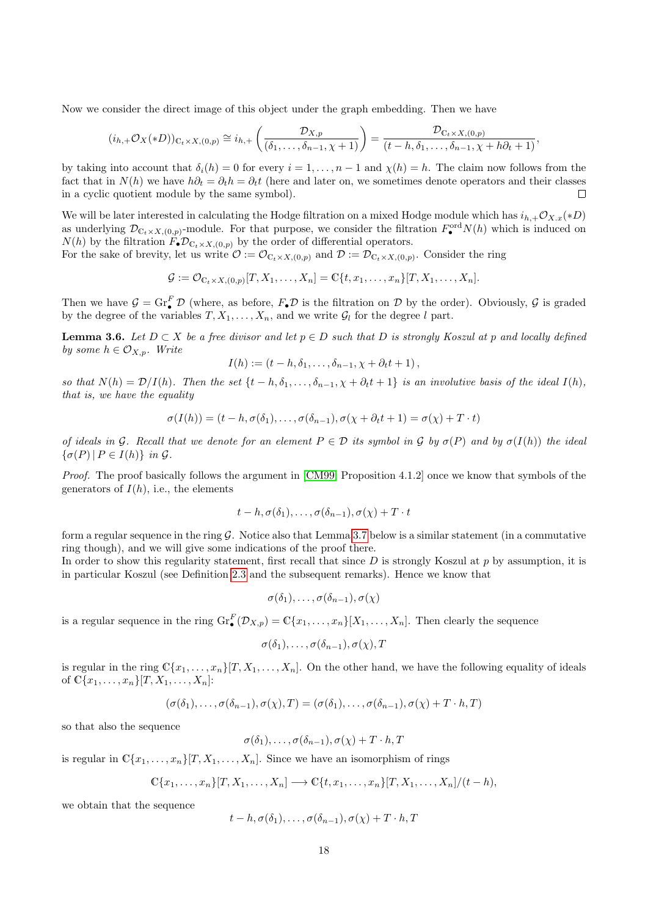Now we consider the direct image of this object under the graph embedding. Then we have

$$
(i_{h,+}\mathcal{O}_X(*D))_{\mathbb{C}_t\times X,(0,p)}\cong i_{h,+}\left(\frac{\mathcal{D}_{X,p}}{(\delta_1,\ldots,\delta_{n-1},\chi+1)}\right)=\frac{\mathcal{D}_{\mathbb{C}_t\times X,(0,p)}}{(t-h,\delta_1,\ldots,\delta_{n-1},\chi+h\partial_t+1)},
$$

by taking into account that  $\delta_i(h) = 0$  for every  $i = 1, \ldots, n-1$  and  $\chi(h) = h$ . The claim now follows from the fact that in  $N(h)$  we have  $h\partial_t = \partial_t h = \partial_t t$  (here and later on, we sometimes denote operators and their classes in a cyclic quotient module by the same symbol).  $\Box$ 

We will be later interested in calculating the Hodge filtration on a mixed Hodge module which has  $i_{h,+}\mathcal{O}_{X,x}(*D)$ as underlying  $\mathcal{D}_{\mathbb{C}_t \times X,(0,p)}$ -module. For that purpose, we consider the filtration  $F_{\bullet}^{\text{ord}}N(h)$  which is induced on  $N(h)$  by the filtration  $F_{\bullet} \mathcal{D}_{\mathbb{C}_t \times X,(0,p)}$  by the order of differential operators.

For the sake of brevity, let us write  $\mathcal{O} := \mathcal{O}_{\mathbb{C}_t \times X,(0,p)}$  and  $\mathcal{D} := \mathcal{D}_{\mathbb{C}_t \times X,(0,p)}$ . Consider the ring

$$
\mathcal{G} := \mathcal{O}_{\mathbb{C}_t \times X, (0,p)}[T, X_1, \dots, X_n] = \mathbb{C}\{t, x_1, \dots, x_n\}[T, X_1, \dots, X_n].
$$

Then we have  $G = \text{Gr}_{\bullet}^{F} \mathcal{D}$  (where, as before,  $F_{\bullet} \mathcal{D}$  is the filtration on  $\mathcal{D}$  by the order). Obviously,  $\mathcal{G}$  is graded by the degree of the variables  $T, X_1, \ldots, X_n$ , and we write  $\mathcal{G}_l$  for the degree l part.

<span id="page-17-0"></span>**Lemma 3.6.** Let  $D \subset X$  be a free divisor and let  $p \in D$  such that D is strongly Koszul at p and locally defined by some  $h \in \mathcal{O}_{X,p}$ . Write

$$
I(h) := (t - h, \delta_1, \ldots, \delta_{n-1}, \chi + \partial_t t + 1),
$$

so that  $N(h) = \mathcal{D}/I(h)$ . Then the set  $\{t-h, \delta_1, \ldots, \delta_{n-1}, \chi+\partial_t t+1\}$  is an involutive basis of the ideal  $I(h)$ , that is, we have the equality

$$
\sigma(I(h)) = (t - h, \sigma(\delta_1), \dots, \sigma(\delta_{n-1}), \sigma(\chi + \partial_t t + 1) = \sigma(\chi) + T \cdot t)
$$

of ideals in G. Recall that we denote for an element  $P \in \mathcal{D}$  its symbol in G by  $\sigma(P)$  and by  $\sigma(I(h))$  the ideal  $\{\sigma(P) | P \in I(h)\}\; in\; \mathcal{G}.$ 

Proof. The proof basically follows the argument in [\[CM99,](#page-40-7) Proposition 4.1.2] once we know that symbols of the generators of  $I(h)$ , i.e., the elements

$$
t-h, \sigma(\delta_1), \ldots, \sigma(\delta_{n-1}), \sigma(\chi) + T \cdot t
$$

form a regular sequence in the ring  $\mathcal G$ . Notice also that Lemma [3.7](#page-18-0) below is a similar statement (in a commutative ring though), and we will give some indications of the proof there.

In order to show this regularity statement, first recall that since  $D$  is strongly Koszul at p by assumption, it is in particular Koszul (see Definition [2.3](#page-4-0) and the subsequent remarks). Hence we know that

$$
\sigma(\delta_1),\ldots,\sigma(\delta_{n-1}),\sigma(\chi)
$$

is a regular sequence in the ring  $\mathrm{Gr}_{\bullet}^{F}(\mathcal{D}_{X,p}) = \mathbb{C}\{x_1,\ldots,x_n\}[X_1,\ldots,X_n]$ . Then clearly the sequence

$$
\sigma(\delta_1),\ldots,\sigma(\delta_{n-1}),\sigma(\chi),T
$$

is regular in the ring  $\mathbb{C}\{x_1,\ldots,x_n\}[T, X_1,\ldots,X_n]$ . On the other hand, we have the following equality of ideals of  $\mathbb{C}\{x_1, \ldots, x_n\}$   $[T, X_1, \ldots, X_n]$ :

$$
(\sigma(\delta_1),\ldots,\sigma(\delta_{n-1}),\sigma(\chi),T)=(\sigma(\delta_1),\ldots,\sigma(\delta_{n-1}),\sigma(\chi)+T\cdot h,T)
$$

so that also the sequence

$$
\sigma(\delta_1),\ldots,\sigma(\delta_{n-1}),\sigma(\chi)+T\cdot h,T
$$

is regular in  $\mathbb{C}\{x_1,\ldots,x_n\}[T, X_1,\ldots,X_n]$ . Since we have an isomorphism of rings

$$
\mathbb{C}\{x_1,\ldots,x_n\}[T,X_1,\ldots,X_n]\longrightarrow \mathbb{C}\{t,x_1,\ldots,x_n\}[T,X_1,\ldots,X_n]/(t-h),
$$

we obtain that the sequence

 $t-h, \sigma(\delta_1), \ldots, \sigma(\delta_{n-1}), \sigma(\chi) + T \cdot h, T$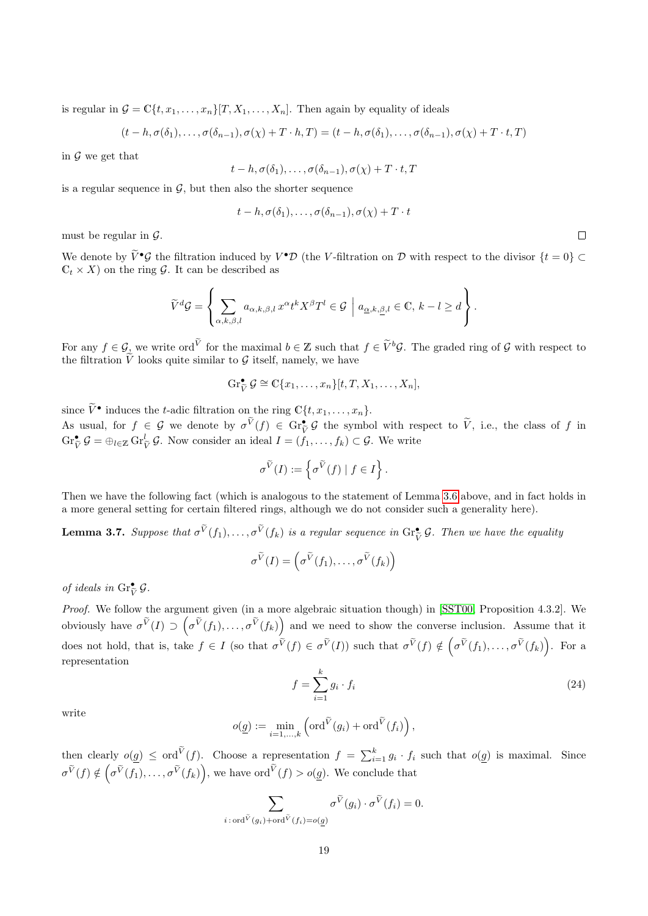is regular in  $G = \mathbb{C}\{t, x_1, \ldots, x_n\} [T, X_1, \ldots, X_n]$ . Then again by equality of ideals

$$
(t-h,\sigma(\delta_1),\ldots,\sigma(\delta_{n-1}),\sigma(\chi)+T\cdot h,T)=(t-h,\sigma(\delta_1),\ldots,\sigma(\delta_{n-1}),\sigma(\chi)+T\cdot t,T)
$$

in  $\mathcal G$  we get that

$$
t-h, \sigma(\delta_1), \ldots, \sigma(\delta_{n-1}), \sigma(\chi) + T \cdot t, T
$$

is a regular sequence in  $\mathcal{G}$ , but then also the shorter sequence

$$
t-h, \sigma(\delta_1), \ldots, \sigma(\delta_{n-1}), \sigma(\chi) + T \cdot t
$$

must be regular in  $\mathcal{G}$ .

We denote by  $\tilde{V}^{\bullet}\mathcal{G}$  the filtration induced by  $V^{\bullet}\mathcal{D}$  (the V-filtration on  $\mathcal{D}$  with respect to the divisor  $\{t = 0\} \subset$  $C_t \times X$  on the ring G. It can be described as

$$
\widetilde{V}^d \mathcal{G} = \left\{ \sum_{\alpha,k,\beta,l} a_{\alpha,k,\beta,l} x^{\alpha} t^k X^{\beta} T^l \in \mathcal{G} \mid a_{\underline{\alpha},k,\underline{\beta},l} \in \mathbb{C}, k-l \geq d \right\}.
$$

For any  $f \in \mathcal{G}_{\lambda}$  we write ord<sup>V</sup> for the maximal  $b \in \mathbb{Z}$  such that  $f \in \tilde{V}^b\mathcal{G}$ . The graded ring of  $\mathcal{G}$  with respect to the filtration V looks quite similar to  $\mathcal G$  itself, namely, we have

$$
\operatorname{Gr}_{\widetilde{V}}^{\bullet} \mathcal{G} \cong \mathbb{C}\{x_1,\ldots,x_n\}[t,T,X_1,\ldots,X_n],
$$

since  $\widetilde{V}^{\bullet}$  induces the t-adic filtration on the ring  $\mathbb{C}\lbrace t, x_1, \ldots, x_n \rbrace$ . As usual, for  $f \in \mathcal{G}$  we denote by  $\sigma^{\tilde{V}}(f) \in \text{Gr}_{\tilde{V}}^{\bullet} \mathcal{G}$  the symbol with respect to  $\tilde{V}$ , i.e., the class of  $f$  in  $\text{Gr}_{\tilde{V}}^{\bullet} \mathcal{G} = \bigoplus_{l \in \mathbb{Z}} \text{Gr}_{\tilde{V}}^l \mathcal{G}$ . Now consider an ideal

$$
\sigma^{\widetilde{V}}(I) := \left\{ \sigma^{\widetilde{V}}(f) \mid f \in I \right\}.
$$

Then we have the following fact (which is analogous to the statement of Lemma [3.6](#page-17-0) above, and in fact holds in a more general setting for certain filtered rings, although we do not consider such a generality here).

<span id="page-18-0"></span>**Lemma 3.7.** Suppose that  $\sigma^{\tilde{V}}(f_1), \ldots, \sigma^{\tilde{V}}(f_k)$  is a regular sequence in  $\text{Gr}_{\tilde{V}}^{\bullet} \mathcal{G}$ . Then we have the equality

$$
\sigma^{\widetilde{V}}(I) = \left(\sigma^{\widetilde{V}}(f_1), \ldots, \sigma^{\widetilde{V}}(f_k)\right)
$$

of ideals in  $\text{Gr}_{\widetilde{V}}^{\bullet} \mathcal{G}$ .

Proof. We follow the argument given (in a more algebraic situation though) in [\[SST00,](#page-42-3) Proposition 4.3.2]. We obviously have  $\sigma^{\tilde{V}}(I) \supset \left(\sigma^{\tilde{V}}(f_1), \ldots, \sigma^{\tilde{V}}(f_k)\right)$  and we need to show the converse inclusion. Assume that it does not hold, that is, take  $f \in I$  (so that  $\sigma^{\widetilde{V}}(f) \in \sigma^{\widetilde{V}}(I)$ ) such that  $\sigma^{\widetilde{V}}(f) \notin (\sigma^{\widetilde{V}}(f_1), \ldots, \sigma^{\widetilde{V}}(f_k))$ . For a representation

<span id="page-18-1"></span>
$$
f = \sum_{i=1}^{k} g_i \cdot f_i \tag{24}
$$

write

$$
o(\underline{g}) := \min_{i=1,\ldots,k} \left( \text{ord}^{\widetilde{V}}(g_i) + \text{ord}^{\widetilde{V}}(f_i) \right),
$$

then clearly  $o(g) \leq \text{ord}^{\tilde{V}}(f)$ . Choose a representation  $f = \sum_{i=1}^{k} g_i \cdot f_i$  such that  $o(g)$  is maximal. Since  $\sigma^{\widetilde{V}}(f) \notin (\sigma^{\widetilde{V}}(f_1), \ldots, \sigma^{\widetilde{V}}(f_k)),$  we have  $\text{ord}^{\widetilde{V}}(f) > o(g)$ . We conclude that

$$
\sum_{i:\text{ord}^{\widetilde{V}}(g_i)+\text{ord}^{\widetilde{V}}(f_i)=o(g)} \sigma^{\widetilde{V}}(g_i) \cdot \sigma^{\widetilde{V}}(f_i) = 0.
$$

 $\Box$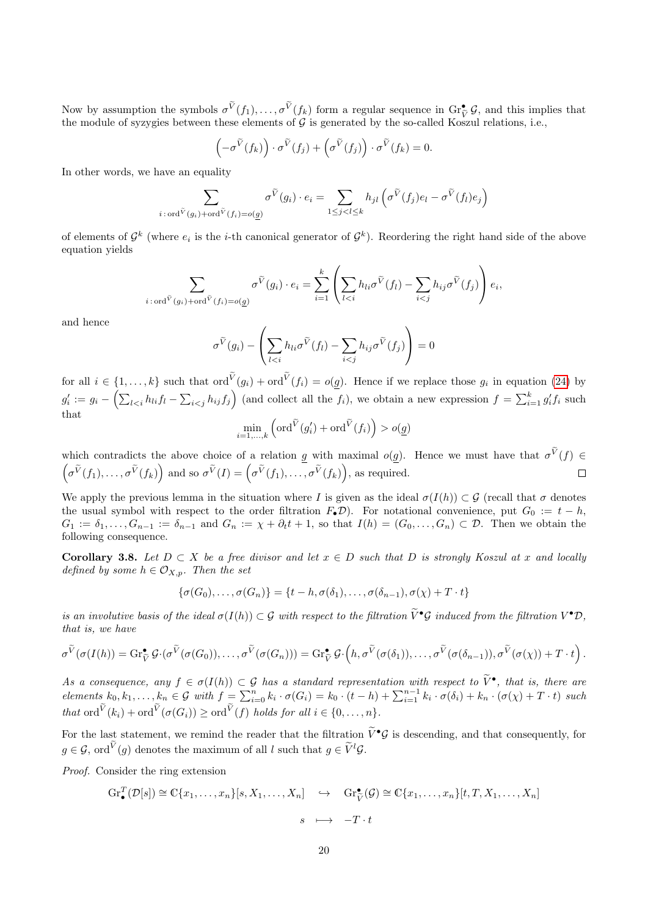Now by assumption the symbols  $\sigma^{\dot{V}}(f_1), \ldots, \sigma^{\dot{V}}(f_k)$  form a regular sequence in  $\text{Gr}^{\bullet}_{\mathcal{V}}\mathcal{G}$ , and this implies that the module of guarantee between these elements of G is generated by the se called Keg the module of syzygies between these elements of  $G$  is generated by the so-called Koszul relations, i.e.,

$$
\left(-\sigma^{\widetilde{V}}(f_k)\right)\cdot \sigma^{\widetilde{V}}(f_j)+\left(\sigma^{\widetilde{V}}(f_j)\right)\cdot \sigma^{\widetilde{V}}(f_k)=0.
$$

In other words, we have an equality

$$
\sum_{i:\text{ord}^{\widetilde{V}}(g_i)+\text{ord}^{\widetilde{V}}(f_i)=o(g)}\sigma^{\widetilde{V}}(g_i)\cdot e_i=\sum_{1\leq j
$$

of elements of  $\mathcal{G}^k$  (where  $e_i$  is the *i*-th canonical generator of  $\mathcal{G}^k$ ). Reordering the right hand side of the above equation yields

$$
\sum_{i:\text{ord}^{\tilde{V}}(g_i)+\text{ord}^{\tilde{V}}(f_i)=o(g)} \sigma^{\tilde{V}}(g_i) \cdot e_i = \sum_{i=1}^k \left( \sum_{l
$$

and hence

$$
\sigma^{\widetilde{V}}(g_i) - \left(\sum_{l < i} h_{li}\sigma^{\widetilde{V}}(f_l) - \sum_{i < j} h_{ij}\sigma^{\widetilde{V}}(f_j)\right) = 0
$$

for all  $i \in \{1, ..., k\}$  such that  $\text{ord}^V(g_i) + \text{ord}^V(f_i) = o(g)$ . Hence if we replace those  $g_i$  in equation [\(24\)](#page-18-1) by  $g'_i := g_i - \left(\sum_{l < i} h_{li} f_l - \sum_{i < j} h_{ij} f_j\right)$  (and collect all the  $f_i$ ), we obtain a new expression  $f = \sum_{i=1}^k g'_i f_i$  such that

$$
\min_{i=1,\ldots,k} \left( \text{ord}^{\widetilde{V}}(g'_i) + \text{ord}^{\widetilde{V}}(f_i) \right) > o(g)
$$

which contradicts the above choice of a relation g with maximal  $o(g)$ . Hence we must have that  $\sigma^V(f) \in$  $(\sigma^{\tilde{V}}(f_1),\ldots,\sigma^{\tilde{V}}(f_k))$  and so  $\sigma^{\tilde{V}}(I) = (\sigma^{\tilde{V}}(f_1),\ldots,\sigma^{\tilde{V}}(f_k)),$  as required.  $\Box$ 

We apply the previous lemma in the situation where I is given as the ideal  $\sigma(I(h)) \subset \mathcal{G}$  (recall that  $\sigma$  denotes the usual symbol with respect to the order filtration  $F_{\bullet}D$ ). For notational convenience, put  $G_0 := t - h$ ,  $G_1 := \delta_1, \ldots, G_{n-1} := \delta_{n-1}$  and  $G_n := \chi + \partial_t t + 1$ , so that  $I(h) = (G_0, \ldots, G_n) \subset \mathcal{D}$ . Then we obtain the following consequence.

<span id="page-19-0"></span>Corollary 3.8. Let  $D \subset X$  be a free divisor and let  $x \in D$  such that D is strongly Koszul at x and locally defined by some  $h \in \mathcal{O}_{X,p}$ . Then the set

$$
\{\sigma(G_0),\ldots,\sigma(G_n)\}=\{t-h,\sigma(\delta_1),\ldots,\sigma(\delta_{n-1}),\sigma(\chi)+T\cdot t\}
$$

is an involutive basis of the ideal  $\sigma(I(h)) \subset \mathcal{G}$  with respect to the filtration  $\tilde{V}^{\bullet} \mathcal{G}$  induced from the filtration  $V^{\bullet} \mathcal{D}$ , that is, we have

$$
\sigma^{\widetilde{V}}(\sigma(I(h)) = \mathrm{Gr}_{\widetilde{V}}^{\bullet} \mathcal{G} \cdot (\sigma^{\widetilde{V}}(\sigma(G_0)), \ldots, \sigma^{\widetilde{V}}(\sigma(G_n))) = \mathrm{Gr}_{\widetilde{V}}^{\bullet} \mathcal{G} \cdot \left(h, \sigma^{\widetilde{V}}(\sigma(\delta_1)), \ldots, \sigma^{\widetilde{V}}(\sigma(\delta_{n-1})), \sigma^{\widetilde{V}}(\sigma(\chi)) + T \cdot t\right).
$$

As a consequence, any  $f \in \sigma(I(h)) \subset \mathcal{G}$  has a standard representation with respect to  $\widetilde{V}^{\bullet}$ , that is, there are elements  $k_0, k_1, \ldots, k_n \in \mathcal{G}$  with  $f = \sum_{i=0}^n k_i \cdot \sigma(G_i) = k_0 \cdot (t - h) + \sum_{i=1}^{n-1} k_i \cdot \sigma(\delta_i) + k_n \cdot (\sigma(\chi) + T \cdot t)$  such that  $\text{ord}^V(k_i) + \text{ord}^V(\sigma(G_i)) \geq \text{ord}^V(f)$  holds for all  $i \in \{0, \ldots, n\}.$ 

For the last statement, we remind the reader that the filtration  $\tilde{V}^{\bullet} \mathcal{G}$  is descending, and that consequently, for  $g \in \mathcal{G}$ , ord<sup>V</sup> $(g)$  denotes the maximum of all l such that  $g \in \widetilde{V}^l \mathcal{G}$ .

Proof. Consider the ring extension

$$
\mathrm{Gr}_{\bullet}^{T}(\mathcal{D}[s]) \cong \mathbb{C}\{x_{1}, \ldots, x_{n}\}[s, X_{1}, \ldots, X_{n}] \quad \hookrightarrow \quad \mathrm{Gr}_{\tilde{V}}^{\bullet}(\mathcal{G}) \cong \mathbb{C}\{x_{1}, \ldots, x_{n}\}[t, T, X_{1}, \ldots, X_{n}]
$$

$$
s \quad \longmapsto \quad -T \cdot t
$$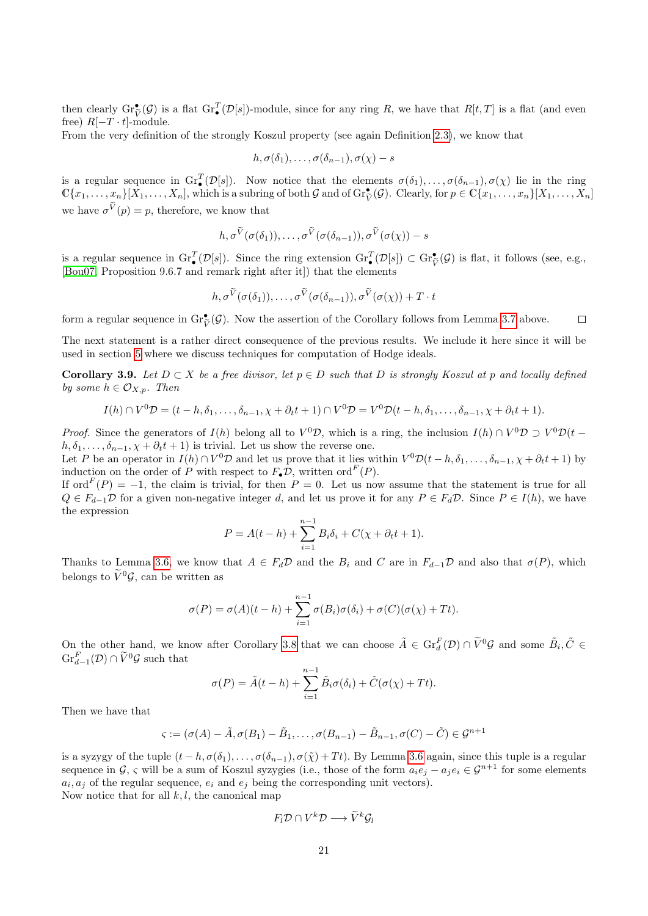then clearly  $\mathrm{Gr}_{\widetilde{V}}^{\bullet}(\mathcal{G})$  is a flat  $\mathrm{Gr}_{\bullet}^{T}(\mathcal{D}[s])$ -module, since for any ring R, we have that  $R[t,T]$  is a flat (and even free)  $R[-T \cdot t]$ -module.

From the very definition of the strongly Koszul property (see again Definition [2.3\)](#page-4-0), we know that

$$
h, \sigma(\delta_1), \ldots, \sigma(\delta_{n-1}), \sigma(\chi) - s
$$

is a regular sequence in  $\mathrm{Gr}_{\bullet}^{T}(\mathcal{D}[s])$ . Now notice that the elements  $\sigma(\delta_1), \ldots, \sigma(\delta_{n-1}), \sigma(\chi)$  lie in the ring  $\mathbb{C}\{x_1,\ldots,x_n\}\xspace[\overline{X}_1,\ldots,\overline{X}_n],$  which is a subring of both G and of  $\operatorname{Gr}_{\widetilde{V}}^{\bullet}(\mathcal{G})$ . Clearly, for  $p \in \mathbb{C}\{x_1,\ldots,x_n\}\xspace[\overline{X}_1,\ldots,\overline{X}_n]$ we have  $\sigma^V(p) = p$ , therefore, we know that

$$
h, \sigma^{\widetilde{V}}(\sigma(\delta_1)), \ldots, \sigma^{\widetilde{V}}(\sigma(\delta_{n-1})), \sigma^{\widetilde{V}}(\sigma(\chi)) - s
$$

is a regular sequence in  $\text{Gr}_{\mathcal{I}}^T(\mathcal{D}[s])$ . Since the ring extension  $\text{Gr}_{\mathcal{I}}^T(\mathcal{D}[s]) \subset \text{Gr}_{\tilde{V}}^{\bullet}(\mathcal{G})$  is flat, it follows (see, e.g.,  $\text{Descent}$ ). [\[Bou07,](#page-40-14) Proposition 9.6.7 and remark right after it]) that the elements

$$
h, \sigma^{\widetilde{V}}(\sigma(\delta_1)), \ldots, \sigma^{\widetilde{V}}(\sigma(\delta_{n-1})), \sigma^{\widetilde{V}}(\sigma(\chi)) + T \cdot t
$$

form a regular sequence in  $\mathrm{Gr}_{\tilde{V}}^{\bullet}(\mathcal{G})$ . Now the assertion of the Corollary follows from Lemma [3.7](#page-18-0) above.  $\Box$ 

The next statement is a rather direct consequence of the previous results. We include it here since it will be used in section [5](#page-30-0) where we discuss techniques for computation of Hodge ideals.

<span id="page-20-0"></span>Corollary 3.9. Let  $D \subset X$  be a free divisor, let  $p \in D$  such that D is strongly Koszul at p and locally defined by some  $h \in \mathcal{O}_{X,n}$ . Then

$$
I(h) \cap V^{0}D = (t-h, \delta_{1}, \ldots, \delta_{n-1}, \chi + \partial_{t}t + 1) \cap V^{0}D = V^{0}D(t-h, \delta_{1}, \ldots, \delta_{n-1}, \chi + \partial_{t}t + 1).
$$

*Proof.* Since the generators of  $I(h)$  belong all to  $V^0\mathcal{D}$ , which is a ring, the inclusion  $I(h) \cap V^0\mathcal{D} \supset V^0\mathcal{D}(t$  $h, \delta_1, \ldots, \delta_{n-1}, \chi + \partial_t t + 1$  is trivial. Let us show the reverse one.

Let P be an operator in  $I(h) \cap V^0 \mathcal{D}$  and let us prove that it lies within  $V^0 \mathcal{D}(t-h, \delta_1, \ldots, \delta_{n-1}, \chi + \partial_t t + 1)$  by induction on the order of P with respect to  $F_{\bullet} \mathcal{D}$ , written ord  $F(P)$ .

If ord<sup> $F(P) = -1$ , the claim is trivial, for then  $P = 0$ . Let us now assume that the statement is true for all</sup>  $Q \in F_{d-1}\mathcal{D}$  for a given non-negative integer d, and let us prove it for any  $P \in F_d\mathcal{D}$ . Since  $P \in I(h)$ , we have the expression

$$
P = A(t - h) + \sum_{i=1}^{n-1} B_i \delta_i + C(\chi + \partial_t t + 1).
$$

Thanks to Lemma [3.6,](#page-17-0) we know that  $A \in F_d\mathcal{D}$  and the  $B_i$  and C are in  $F_{d-1}\mathcal{D}$  and also that  $\sigma(P)$ , which belongs to  $\widetilde{V}^0 \mathcal{G}$ , can be written as

$$
\sigma(P) = \sigma(A)(t-h) + \sum_{i=1}^{n-1} \sigma(B_i)\sigma(\delta_i) + \sigma(C)(\sigma(\chi) + Tt).
$$

On the other hand, we know after Corollary [3.8](#page-19-0) that we can choose  $\tilde{A} \in \text{Gr}_{d}^{F}(\mathcal{D}) \cap \tilde{V}^{0} \mathcal{G}$  and some  $\tilde{B}_{i}, \tilde{C} \in \mathbb{R}^{F}$  $\mathrm{Gr}_{d-1}^F(\mathcal{D}) \cap \widetilde{V}^0 \mathcal{G}$  such that

$$
\sigma(P) = \tilde{A}(t-h) + \sum_{i=1}^{n-1} \tilde{B}_i \sigma(\delta_i) + \tilde{C}(\sigma(\chi) + Tt).
$$

Then we have that

$$
\varsigma := (\sigma(A) - \tilde{A}, \sigma(B_1) - \tilde{B}_1, \dots, \sigma(B_{n-1}) - \tilde{B}_{n-1}, \sigma(C) - \tilde{C}) \in \mathcal{G}^{n+1}
$$

is a syzygy of the tuple  $(t - h, \sigma(\delta_1), \ldots, \sigma(\delta_{n-1}), \sigma(\tilde{\chi}) + Tt)$ . By Lemma [3.6](#page-17-0) again, since this tuple is a regular sequence in G,  $\varsigma$  will be a sum of Koszul syzygies (i.e., those of the form  $a_i e_j - a_j e_i \in \mathcal{G}^{n+1}$  for some elements  $a_i, a_j$  of the regular sequence,  $e_i$  and  $e_j$  being the corresponding unit vectors).

Now notice that for all  $k, l$ , the canonical map

$$
F_l \mathcal{D} \cap V^k \mathcal{D} \longrightarrow \widetilde{V}^k \mathcal{G}_l
$$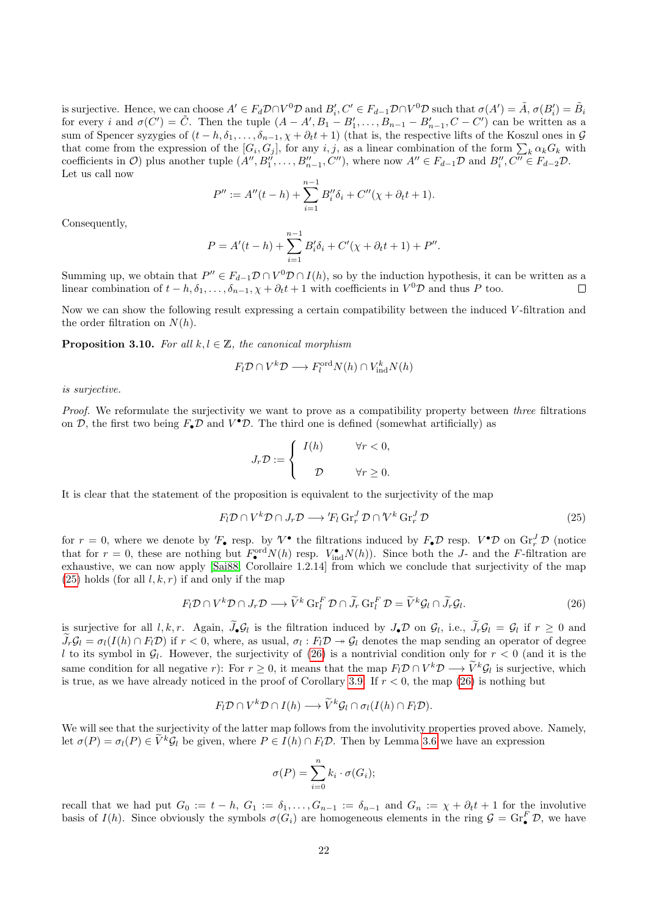is surjective. Hence, we can choose  $A' \in F_d \mathcal{D} \cap V^0 \mathcal{D}$  and  $B'_i, C' \in F_{d-1} \mathcal{D} \cap V^0 \mathcal{D}$  such that  $\sigma(A') = \tilde{A}, \sigma(B'_i) = \tilde{B}_i$ for every *i* and  $\sigma(C') = \tilde{C}$ . Then the tuple  $(A - A', B_1 - B'_1, \ldots, B_{n-1} - B'_{n-1}, C - C')$  can be written as a sum of Spencer syzygies of  $(t - h, \delta_1, \ldots, \delta_{n-1}, \chi + \partial_t t + 1)$  (that is, the respective lifts of the Koszul ones in  $\mathcal G$ that come from the expression of the  $[G_i, G_j]$ , for any i, j, as a linear combination of the form  $\sum_k \alpha_k G_k$  with coefficients in  $\mathcal{O}$ ) plus another tuple  $(A'', B''_1, \ldots, B''_{n-1}, C'')$ , where now  $A'' \in F_{d-1} \mathcal{D}$  and  $B''_i, C'' \in F_{d-2} \mathcal{D}$ . Let us call now

$$
P'' := A''(t - h) + \sum_{i=1}^{n-1} B_i'' \delta_i + C''(\chi + \partial_t t + 1).
$$

Consequently,

$$
P = A'(t - h) + \sum_{i=1}^{n-1} B'_i \delta_i + C'(\chi + \partial_t t + 1) + P''.
$$

Summing up, we obtain that  $P'' \in F_{d-1} \mathcal{D} \cap V^0 \mathcal{D} \cap I(h)$ , so by the induction hypothesis, it can be written as a linear combination of  $t - h, \delta_1, \ldots, \delta_{n-1}, \chi + \partial_t t + 1$  with coefficients in  $V^0 \mathcal{D}$  and thus P too.  $\Box$ 

Now we can show the following result expressing a certain compatibility between the induced V -filtration and the order filtration on  $N(h)$ .

<span id="page-21-0"></span>**Proposition 3.10.** For all  $k, l \in \mathbb{Z}$ , the canonical morphism

$$
F_l \mathcal{D} \cap V^k \mathcal{D} \longrightarrow F_l^{\text{ord}} N(h) \cap V_{\text{ind}}^k N(h)
$$

is surjective.

Proof. We reformulate the surjectivity we want to prove as a compatibility property between three filtrations on D, the first two being  $F_{\bullet}D$  and  $V^{\bullet}D$ . The third one is defined (somewhat artificially) as

$$
J_r \mathcal{D} := \begin{cases} I(h) & \forall r < 0, \\ \mathcal{D} & \forall r \ge 0. \end{cases}
$$

It is clear that the statement of the proposition is equivalent to the surjectivity of the map

<span id="page-21-1"></span>
$$
F_l \mathcal{D} \cap V^k \mathcal{D} \cap J_r \mathcal{D} \longrightarrow {}'F_l \operatorname{Gr}_r^J \mathcal{D} \cap {}'V^k \operatorname{Gr}_r^J \mathcal{D}
$$
\n
$$
(25)
$$

for  $r = 0$ , where we denote by  $'F_{\bullet}$  resp. by  $V^{\bullet}$  the filtrations induced by  $F_{\bullet} \mathcal{D}$  resp.  $V^{\bullet} \mathcal{D}$  on  $\text{Gr}_{r}^{J} \mathcal{D}$  (notice that for  $r = 0$ , these are nothing but  $F_{\bullet}^{\text{ord}}N(h)$  resp.  $V_{\text{ind}}^{\bullet}N(h)$ ). Since both the J- and the F-filtration are exhaustive, we can now apply [\[Sai88,](#page-41-0) Corollaire 1.2.14] from which we conclude that surjectivity of the map  $(25)$  holds (for all  $l, k, r$ ) if and only if the map

<span id="page-21-2"></span>
$$
F_l \mathcal{D} \cap V^k \mathcal{D} \cap J_r \mathcal{D} \longrightarrow \widetilde{V}^k \operatorname{Gr}_l^F \mathcal{D} \cap \widetilde{J}_r \operatorname{Gr}_l^F \mathcal{D} = \widetilde{V}^k \mathcal{G}_l \cap \widetilde{J}_r \mathcal{G}_l. \tag{26}
$$

is surjective for all  $l, k, r$ . Again,  $J_{\bullet} \mathcal{G}_l$  is the filtration induced by  $J_{\bullet} \mathcal{D}$  on  $\mathcal{G}_l$ , i.e.,  $J_r \mathcal{G}_l = \mathcal{G}_l$  if  $r \geq 0$  and  $\widetilde{J}_r \mathcal{G}_l = \sigma_l(I(h) \cap F_l \mathcal{D})$  if  $r < 0$ , where, as usual,  $\sigma_l : F_l \mathcal{D} \to \mathcal{G}_l$  denotes the map sending an operator of degree l to its symbol in  $\mathcal{G}_l$ . However, the surjectivity of [\(26\)](#page-21-2) is a nontrivial condition only for  $r < 0$  (and it is the same condition for all negative r): For  $r \geq 0$ , it means that the map  $F_l \mathcal{D} \cap V^k \mathcal{D} \longrightarrow \tilde{V}^k \mathcal{G}_l$  is surjective, which is true, as we have already noticed in the proof of Corollary [3.9.](#page-20-0) If  $r < 0$ , the map [\(26\)](#page-21-2) is nothing but

$$
F_l \mathcal{D} \cap V^k \mathcal{D} \cap I(h) \longrightarrow \widetilde{V}^k \mathcal{G}_l \cap \sigma_l(I(h) \cap F_l \mathcal{D}).
$$

We will see that the surjectivity of the latter map follows from the involutivity properties proved above. Namely, let  $\sigma(P) = \sigma_l(P) \in \tilde{V}^k \mathcal{G}_l$  be given, where  $P \in I(h) \cap F_l \mathcal{D}$ . Then by Lemma [3.6](#page-17-0) we have an expression

$$
\sigma(P) = \sum_{i=0}^{n} k_i \cdot \sigma(G_i);
$$

recall that we had put  $G_0 := t - h$ ,  $G_1 := \delta_1, \ldots, G_{n-1} := \delta_{n-1}$  and  $G_n := \chi + \partial_t t + 1$  for the involutive basis of  $I(h)$ . Since obviously the symbols  $\sigma(G_i)$  are homogeneous elements in the ring  $\mathcal{G} = \text{Gr}_{\bullet}^F \mathcal{D}$ , we have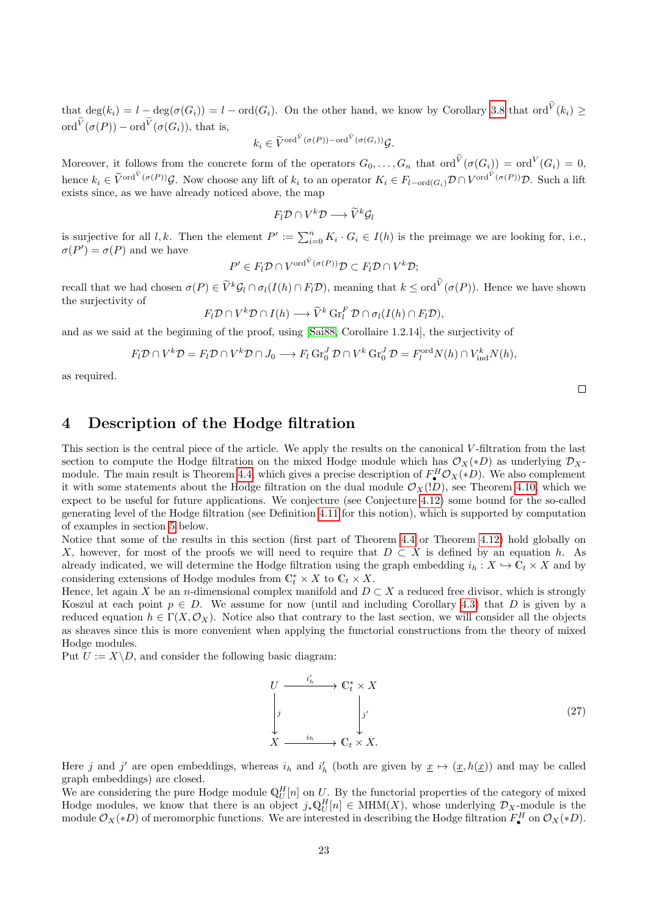that  $\deg(k_i) = l - \deg(\sigma(G_i)) = l - \text{ord}(G_i)$ . On the other hand, we know by Corollary [3.8](#page-19-0) that ord<sup>V</sup> $(k_i) \ge$ ord $V(\sigma(P))$  – ord $V(\sigma(G_i))$ , that is,

$$
k_i \in \widetilde{V}^{\text{ord}}^{\widetilde{V}}(\sigma(P)) - \text{ord}^{\widetilde{V}}(\sigma(G_i))\mathcal{G}.
$$

Moreover, it follows from the concrete form of the operators  $G_0, \ldots, G_n$  that  $\text{ord}^V(\sigma(G_i)) = \text{ord}^V(G_i) = 0$ , hence  $k_i \in \widetilde{V}^{\text{ord}^V(\sigma(P))}\mathcal{G}$ . Now choose any lift of  $k_i$  to an operator  $K_i \in F_{l-\text{ord}(G_i)}\mathcal{D} \cap V^{\text{ord}^V(\sigma(P))}\mathcal{D}$ . Such a lift exists since, as we have already noticed above, the map

$$
F_l \mathcal{D} \cap V^k \mathcal{D} \longrightarrow \widetilde{V}^k \mathcal{G}_l
$$

is surjective for all l, k. Then the element  $P' := \sum_{i=0}^{n} K_i \cdot G_i \in I(h)$  is the preimage we are looking for, i.e.,  $\sigma(P') = \sigma(P)$  and we have

$$
P' \in F_l \mathcal{D} \cap V^{\text{ord}^V(\sigma(P))} \mathcal{D} \subset F_l \mathcal{D} \cap V^k \mathcal{D};
$$

recall that we had chosen  $\sigma(P) \in \widetilde{V}^k \mathcal{G}_l \cap \sigma_l(I(h) \cap F_l \mathcal{D})$ , meaning that  $k \leq \text{ord}^V(\sigma(P))$ . Hence we have shown the surjectivity of

 $F_l \mathcal{D} \cap V^k \mathcal{D} \cap I(h) \longrightarrow \widetilde{V}^k \operatorname{Gr}_l^F \mathcal{D} \cap \sigma_l(I(h) \cap F_l \mathcal{D}),$ 

and as we said at the beginning of the proof, using [\[Sai88,](#page-41-0) Corollaire 1.2.14], the surjectivity of

$$
F_l \mathcal{D} \cap V^k \mathcal{D} = F_l \mathcal{D} \cap V^k \mathcal{D} \cap J_0 \longrightarrow F_l \operatorname{Gr}_0^J \mathcal{D} \cap V^k \operatorname{Gr}_0^J \mathcal{D} = F_l^{\operatorname{ord}} N(h) \cap V_{\operatorname{ind}}^k N(h),
$$

as required.

### <span id="page-22-0"></span>4 Description of the Hodge filtration

This section is the central piece of the article. We apply the results on the canonical V -filtration from the last section to compute the Hodge filtration on the mixed Hodge module which has  $\mathcal{O}_X(*D)$  as underlying  $\mathcal{D}_X$ -module. The main result is Theorem [4.4,](#page-26-0) which gives a precise description of  $F^H_\bullet \mathcal{O}_X(*D)$ . We also complement it with some statements about the Hodge filtration on the dual module  $\mathcal{O}_X(1D)$ , see Theorem [4.10,](#page-28-0) which we expect to be useful for future applications. We conjecture (see Conjecture [4.12\)](#page-29-0) some bound for the so-called generating level of the Hodge filtration (see Definition [4.11](#page-29-1) for this notion), which is supported by computation of examples in section [5](#page-30-0) below.

Notice that some of the results in this section (first part of Theorem [4.4](#page-26-0) or Theorem [4.12\)](#page-29-0) hold globally on X, however, for most of the proofs we will need to require that  $D \subset X$  is defined by an equation h. As already indicated, we will determine the Hodge filtration using the graph embedding  $i_h : X \hookrightarrow \mathbb{C}_t \times X$  and by considering extensions of Hodge modules from  $\mathbb{C}_t^* \times X$  to  $\mathbb{C}_t \times X$ .

Hence, let again X be an n-dimensional complex manifold and  $D \subset X$  a reduced free divisor, which is strongly Koszul at each point  $p \in D$ . We assume for now (until and including Corollary [4.3\)](#page-25-0) that D is given by a reduced equation  $h \in \Gamma(X, \mathcal{O}_X)$ . Notice also that contrary to the last section, we will consider all the objects as sheaves since this is more convenient when applying the functorial constructions from the theory of mixed Hodge modules.

Put  $U := X \backslash D$ , and consider the following basic diagram:

<span id="page-22-1"></span>
$$
U \xrightarrow{i'_h} \mathbb{C}_t^* \times X
$$
\n
$$
\downarrow j
$$
\n
$$
X \xrightarrow{i_h} \mathbb{C}_t \times X.
$$
\n(27)

Here j and j' are open embeddings, whereas  $i_h$  and  $i'_h$  (both are given by  $\underline{x} \mapsto (\underline{x}, h(\underline{x}))$  and may be called graph embeddings) are closed.

We are considering the pure Hodge module  $\mathbb{Q}_U^H[n]$  on U. By the functorial properties of the category of mixed Hodge modules, we know that there is an object  $j_*\mathbb{Q}_U^H[n] \in \text{MHM}(X)$ , whose underlying  $\mathcal{D}_X$ -module is the module  $\mathcal{O}_X(*D)$  of meromorphic functions. We are interested in describing the Hodge filtration  $F^H_\bullet$  on  $\mathcal{O}_X(*D)$ .

 $\Box$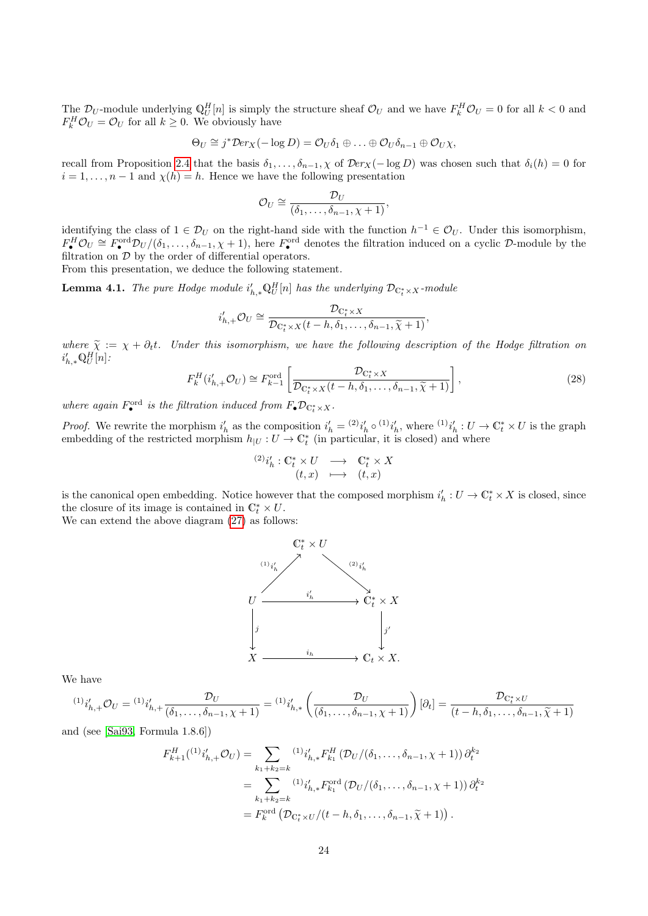The  $\mathcal{D}_U$ -module underlying  $\mathbb{Q}_U^H[n]$  is simply the structure sheaf  $\mathcal{O}_U$  and we have  $F_k^H \mathcal{O}_U = 0$  for all  $k < 0$  and  $F_k^H \mathcal{O}_U = \mathcal{O}_U$  for all  $k \geq 0$ . We obviously have

$$
\Theta_U \cong j^* \mathcal{D} e r_X(-\log D) = \mathcal{O}_U \delta_1 \oplus \ldots \oplus \mathcal{O}_U \delta_{n-1} \oplus \mathcal{O}_U \chi,
$$

recall from Proposition [2.4](#page-4-3) that the basis  $\delta_1, \ldots, \delta_{n-1}, \chi$  of  $\mathcal{D}er_X(-\log D)$  was chosen such that  $\delta_i(h) = 0$  for  $i = 1, \ldots, n-1$  and  $\chi(h) = h$ . Hence we have the following presentation

$$
\mathcal{O}_U \cong \frac{\mathcal{D}_U}{(\delta_1,\ldots,\delta_{n-1},\chi+1)},
$$

identifying the class of  $1 \in \mathcal{D}_U$  on the right-hand side with the function  $h^{-1} \in \mathcal{O}_U$ . Under this isomorphism,  $F_{\bullet}^H \mathcal{O}_U \cong F_{\bullet}^{\text{ord}} \mathcal{D}_U/(\delta_1,\ldots,\delta_{n-1},\chi+1)$ , here  $F_{\bullet}^{\text{ord}}$  denotes the filtration induced on a cyclic  $\mathcal{D}\text{-module}$  by the filtration on  $D$  by the order of differential operators.

From this presentation, we deduce the following statement.

<span id="page-23-0"></span>**Lemma 4.1.** The pure Hodge module  $i'_{h,*}\mathbb{Q}_U^H[n]$  has the underlying  $\mathcal{D}_{\mathbb{C}_t^*\times X}$ -module

$$
i'_{h,+}\mathcal{O}_U \cong \frac{\mathcal{D}_{\mathbb{C}_t^* \times X}}{\mathcal{D}_{\mathbb{C}_t^* \times X}(t-h,\delta_1,\ldots,\delta_{n-1},\widetilde{\chi}+1)},
$$

where  $\tilde{\chi} := \chi + \partial_t t$ . Under this isomorphism, we have the following description of the Hodge filtration on  $i'_{h,*} \mathbb{Q}_U^H[n]$ :

$$
F_k^H(i'_{h,+}\mathcal{O}_U) \cong F_{k-1}^{\text{ord}}\left[\frac{\mathcal{D}_{\mathbb{C}_t^* \times X}}{\mathcal{D}_{\mathbb{C}_t^* \times X}(t-h,\delta_1,\ldots,\delta_{n-1},\tilde{\chi}+1)}\right],\tag{28}
$$

where again  $F_{\bullet}^{\text{ord}}$  is the filtration induced from  $F_{\bullet} \mathcal{D}_{\mathbb{C}_{t}^{*} \times X}$ .

*Proof.* We rewrite the morphism  $i'_h$  as the composition  $i'_h = {}^{(2)}i'_h \circ {}^{(1)}i'_h$ , where  ${}^{(1)}i'_h : U \to \mathbb{C}^*_t \times U$  is the graph embedding of the restricted morphism  $h_{|U}: U \to \mathbb{C}^*_t$  (in particular, it is closed) and where

$$
\begin{array}{rcc} \hbox{$_{(2)}$} i'_h:\mathbb{C}^*_t\times U &\longrightarrow &\mathbb{C}^*_t\times X\\ (t,x) &\longmapsto & (t,x) \end{array}
$$

is the canonical open embedding. Notice however that the composed morphism  $i'_h: U \to \mathbb{C}_t^* \times X$  is closed, since the closure of its image is contained in  $\mathbb{C}_t^* \times U$ .

We can extend the above diagram  $(27)$  as follows:



We have

$$
{}^{(1)}i'_{h,+}\mathcal{O}_U = {}^{(1)}i'_{h,+}\frac{\mathcal{D}_U}{(\delta_1,\ldots,\delta_{n-1},\chi+1)} = {}^{(1)}i'_{h,*}\left(\frac{\mathcal{D}_U}{(\delta_1,\ldots,\delta_{n-1},\chi+1)}\right)[\partial_t] = \frac{\mathcal{D}_{\mathbb{C}_t^*\times U}}{(t-h,\delta_1,\ldots,\delta_{n-1},\tilde{\chi}+1)}
$$

and (see [\[Sai93,](#page-41-2) Formula 1.8.6])

$$
F_{k+1}^{H}({}^{(1)}i'_{h,+}\mathcal{O}_{U}) = \sum_{k_{1}+k_{2}=k} {}^{(1)}i'_{h,*}F_{k_{1}}^{H}(\mathcal{D}_{U}/(\delta_{1},\ldots,\delta_{n-1},\chi+1)) \partial_{t}^{k_{2}}
$$
  
= 
$$
\sum_{k_{1}+k_{2}=k} {}^{(1)}i'_{h,*}F_{k_{1}}^{\text{ord}}(\mathcal{D}_{U}/(\delta_{1},\ldots,\delta_{n-1},\chi+1)) \partial_{t}^{k_{2}}
$$
  
= 
$$
F_{k}^{\text{ord}}(\mathcal{D}_{\mathbb{C}_{t}^{*}\times U}/(t-h,\delta_{1},\ldots,\delta_{n-1},\widetilde{\chi}+1)).
$$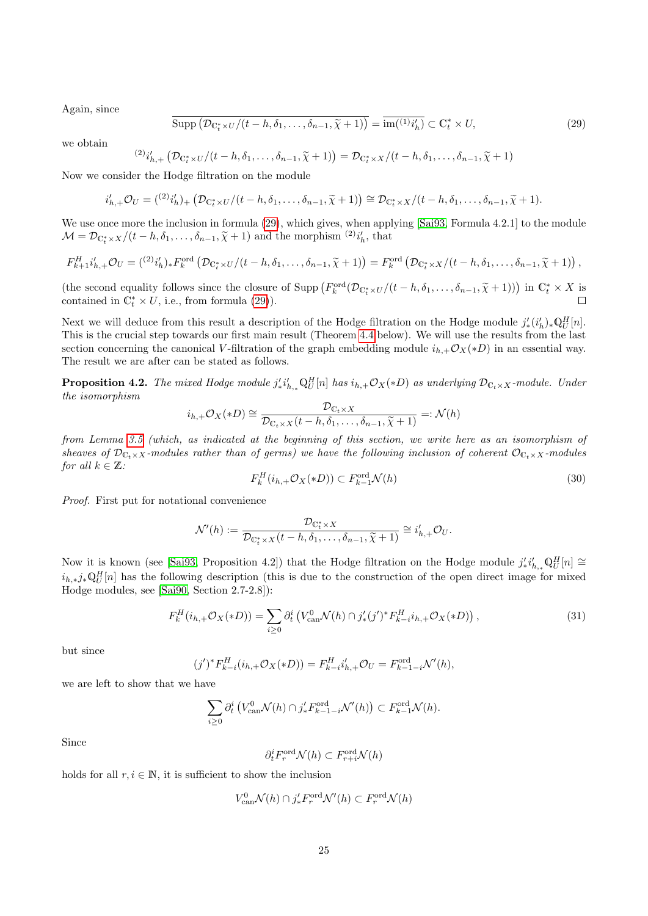Again, since

<span id="page-24-0"></span>
$$
\overline{\text{Supp}\left(\mathcal{D}_{\mathbb{C}_t^* \times U}/(t-h,\delta_1,\ldots,\delta_{n-1},\widetilde{\chi}+1)\right)} = \overline{\text{im}(\mathbb{C}^*)_{t}} \subset \mathbb{C}_t^* \times U,
$$
\n(29)

we obtain

$$
{}^{(2)}i'_{h,+}\left(\mathcal{D}_{\mathbb{C}_t^* \times U}/(t-h,\delta_1,\ldots,\delta_{n-1},\widetilde{\chi}+1)\right) = \mathcal{D}_{\mathbb{C}_t^* \times X}/(t-h,\delta_1,\ldots,\delta_{n-1},\widetilde{\chi}+1)
$$

Now we consider the Hodge filtration on the module

$$
i'_{h,+}\mathcal{O}_U = (2i'_{h})_+\left(\mathcal{D}_{\mathbb{C}_t^* \times U}/(t-h,\delta_1,\ldots,\delta_{n-1},\widetilde{\chi}+1)\right) \cong \mathcal{D}_{\mathbb{C}_t^* \times X}/(t-h,\delta_1,\ldots,\delta_{n-1},\widetilde{\chi}+1).
$$

We use once more the inclusion in formula  $(29)$ , which gives, when applying [\[Sai93,](#page-41-2) Formula 4.2.1] to the module  $\mathcal{M} = \mathcal{D}_{\mathbb{C}_t^* \times X}/(t-h, \delta_1, \ldots, \delta_{n-1}, \widetilde{\chi} + 1)$  and the morphism  ${}^{(2)}i'_h$ , that

$$
F_{k+1}^H i'_{h,+} \mathcal{O}_U = \left( \begin{matrix} (2)_{i'_h} \end{matrix} \right)_* F_k^{\text{ord}} \left( \mathcal{D}_{\mathbb{C}_t^* \times U} / (t-h, \delta_1, \ldots, \delta_{n-1}, \widetilde{\chi} + 1) \right) = F_k^{\text{ord}} \left( \mathcal{D}_{\mathbb{C}_t^* \times X} / (t-h, \delta_1, \ldots, \delta_{n-1}, \widetilde{\chi} + 1) \right),
$$

(the second equality follows since the closure of Supp  $(F_k^{\text{ord}}(\mathcal{D}_{\mathbb{C}_t^* \times U}/(t-h,\delta_1,\ldots,\delta_{n-1},\tilde{\chi}+1)))$  in  $\mathbb{C}_t^* \times X$  is<br>contained in  $\mathbb{C}_t^* \times U$  i.e., from formula (20)) contained in  $\mathbb{C}_t^* \times U$ , i.e., from formula [\(29\)](#page-24-0)).  $\Box$ 

Next we will deduce from this result a description of the Hodge filtration on the Hodge module  $j'_{*}(i'_{h})_{*}\mathbb{Q}_{U}^{H}[n]$ . This is the crucial step towards our first main result (Theorem [4.4](#page-26-0) below). We will use the results from the last section concerning the canonical V-filtration of the graph embedding module  $i_{h,+}\mathcal{O}_X(*D)$  in an essential way. The result we are after can be stated as follows.

<span id="page-24-1"></span>**Proposition 4.2.** The mixed Hodge module  $j'_*i'_{h,*}\mathbb{Q}_U^H[n]$  has  $i_{h,+}\mathcal{O}_X(*D)$  as underlying  $\mathcal{D}_{\mathbb{C}_t\times X}$ -module. Under the isomorphism

$$
i_{h,+}\mathcal{O}_X(*D) \cong \frac{\mathcal{D}_{\mathbb{C}_t \times X}}{\mathcal{D}_{\mathbb{C}_t \times X}(t-h,\delta_1,\ldots,\delta_{n-1},\widetilde{\chi}+1)} =: \mathcal{N}(h)
$$

from Lemma [3.5](#page-16-0) (which, as indicated at the beginning of this section, we write here as an isomorphism of sheaves of  $\mathcal{D}_{C_t\times X}$ -modules rather than of germs) we have the following inclusion of coherent  $\mathcal{O}_{C_t\times X}$ -modules for all  $k \in \mathbb{Z}$ :

<span id="page-24-2"></span>
$$
F_k^H(i_{h,+}\mathcal{O}_X(*D)) \subset F_{k-1}^{\text{ord}}\mathcal{N}(h)
$$
\n
$$
(30)
$$

Proof. First put for notational convenience

$$
\mathcal{N}'(h) := \frac{\mathcal{D}_{\mathbb{C}_{t}^{*}\times X}}{\mathcal{D}_{\mathbb{C}_{t}^{*}\times X}(t-h,\delta_{1},\ldots,\delta_{n-1},\widetilde{\chi}+1)} \cong i'_{h,+} \mathcal{O}_{U}.
$$

Now it is known (see [\[Sai93,](#page-41-2) Proposition 4.2]) that the Hodge filtration on the Hodge module  $j'_*i'_{h,*}\mathbb{Q}_U^H[n] \cong$  $i_{h,*}j_*\mathbb{Q}_U^H[n]$  has the following description (this is due to the construction of the open direct image for mixed Hodge modules, see [\[Sai90,](#page-41-1) Section 2.7-2.8]):

$$
F_k^H(i_{h,+}\mathcal{O}_X(*D)) = \sum_{i\geq 0} \partial_i^i \left( V_{\text{can}}^0 \mathcal{N}(h) \cap j'_*(j')^* F_{k-i}^H i_{h,+} \mathcal{O}_X(*D) \right),\tag{31}
$$

but since

$$
(j')^* F_{k-i}^H(i_{h,+} \mathcal{O}_X(*D)) = F_{k-i}^H i'_{h,+} \mathcal{O}_U = F_{k-1-i}^{\text{ord}} \mathcal{N}'(h),
$$

we are left to show that we have

$$
\sum_{i\geq 0} \partial_t^i \left( V_{\text{can}}^0 \mathcal{N}(h) \cap j'_* F_{k-1-i}^{\text{ord}} \mathcal{N}'(h) \right) \subset F_{k-1}^{\text{ord}} \mathcal{N}(h).
$$

Since

$$
\partial_t^i F_r^{\text{ord}} \mathcal{N}(h) \subset F_{r+i}^{\text{ord}} \mathcal{N}(h)
$$

holds for all  $r, i \in \mathbb{N}$ , it is sufficient to show the inclusion

 $\overline{(\ }$ 

$$
V_{\text{can}}^0 \mathcal{N}(h) \cap j'_* F_r^{\text{ord}} \mathcal{N}'(h) \subset F_r^{\text{ord}} \mathcal{N}(h)
$$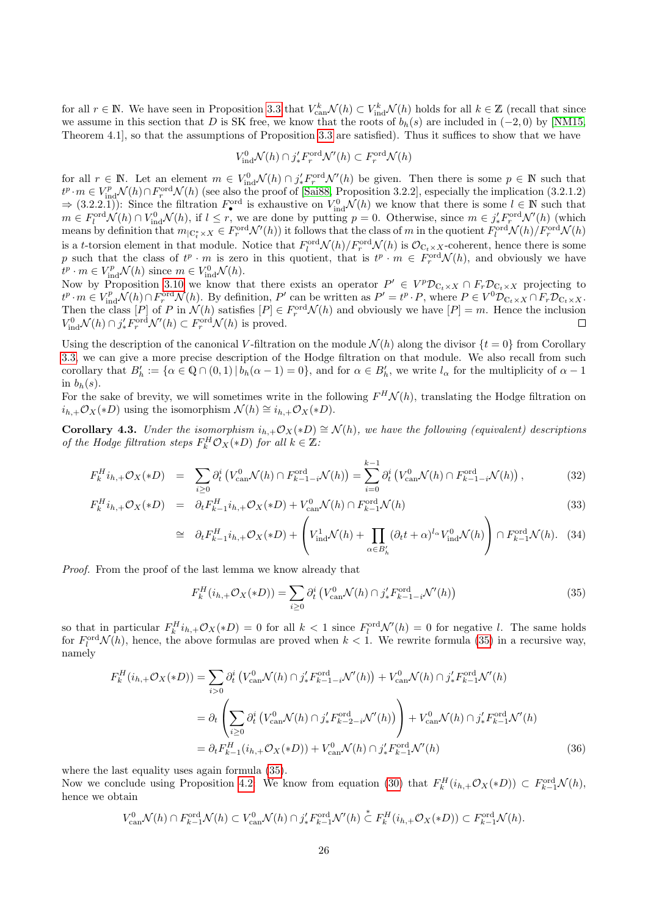for all  $r \in \mathbb{N}$ . We have seen in Proposition [3.3](#page-15-0) that  $V_{\text{can}}^k \mathcal{N}(h) \subset V_{\text{ind}}^k \mathcal{N}(h)$  holds for all  $k \in \mathbb{Z}$  (recall that since we assume in this section that D is SK free, we know that the roots of  $b_h(s)$  are included in  $(-2,0)$  by [\[NM15,](#page-41-12) Theorem 4.1], so that the assumptions of Proposition [3.3](#page-15-0) are satisfied). Thus it suffices to show that we have

$$
V_{\text{ind}}^{0} \mathcal{N}(h) \cap j'_{*} F_{r}^{\text{ord}} \mathcal{N}'(h) \subset F_{r}^{\text{ord}} \mathcal{N}(h)
$$

for all  $r \in \mathbb{N}$ . Let an element  $m \in V_{\text{ind}}^0 \mathcal{N}(h) \cap j'_* F_r^{\text{ord}} \mathcal{N}'(h)$  be given. Then there is some  $p \in \mathbb{N}$  such that  $t^p \cdot m \in V_{\text{ind}}^p \mathcal{N}(h) \cap F_r^{\text{ord}} \mathcal{N}(h)$  (see also the proof of [\[Sai88,](#page-41-0) Proposition 3.2.2], especially the implication (3.2.1.2)  $\Rightarrow$  (3.2.2.1)): Since the filtration  $F_{\bullet}^{\text{ord}}$  is exhaustive on  $V_{\text{ind}}^0 \mathcal{N}(h)$  we know that there is some  $l \in \mathbb{N}$  such that  $m \in F_l^{\text{ord}}(\mathcal{N}(h)) \cap V_{\text{ind}}^0 \mathcal{N}(h)$ , if  $l \leq r$ , we are done by putting  $p = 0$ . Otherwise, since  $m \in j'_* F_r^{\text{ord}} \mathcal{N}'(h)$  (which means by definition that  $m_{\vert \mathbb{C}^*_t \times X} \in F_r^{\text{ord}}\mathcal{N}'(h)$  it follows that the class of m in the quotient  $F_l^{\text{ord}}\mathcal{N}(h)/F_r^{\text{ord}}\mathcal{N}(h)$ is a t-torsion element in that module. Notice that  $F_l^{\text{ord}}\mathcal{N}(h)/F_r^{\text{ord}}\mathcal{N}(h)$  is  $\mathcal{O}_{\mathbb{C}_t\times X}$ -coherent, hence there is some p such that the class of  $t^p \cdot m$  is zero in this quotient, that is  $t^p \cdot m \in F_r^{\text{ord}}(\mathcal{N}(h))$ , and obviously we have  $t^p \cdot m \in V_{\text{ind}}^p \mathcal{N}(h)$  since  $m \in V_{\text{ind}}^0 \mathcal{N}(h)$ .

Now by Proposition [3.10](#page-21-0) we know that there exists an operator  $P' \in V^p \mathcal{D}_{\mathbb{C}_t \times X} \cap F_r \mathcal{D}_{\mathbb{C}_t \times X}$  projecting to  $t^p \cdot m \in V_{\text{ind}}^p \mathcal{N}(h) \cap F_r^{\text{ord}} \mathcal{N}(h)$ . By definition, P' can be written as  $P' = t^p \cdot P$ , where  $P \in V^0 \mathcal{D}_{\mathbb{C}_t \times X} \cap F_r \mathcal{D}_{\mathbb{C}_t \times X}$ . Then the class  $[P]$  of P in  $\mathcal{N}(h)$  satisfies  $[P] \in F_r^{\text{ord}} \mathcal{N}(h)$  and obviously we have  $[P] = m$ . Hence the inclusion  $V_{\text{ind}}^{0} \mathcal{N}(h) \cap j'_{*} F_{r}^{\text{ord}} \mathcal{N}'(h) \subset F_{r}^{\text{ord}} \mathcal{N}(h)$  is proved.

Using the description of the canonical V-filtration on the module  $\mathcal{N}(h)$  along the divisor  $\{t = 0\}$  from Corollary [3.3,](#page-15-0) we can give a more precise description of the Hodge filtration on that module. We also recall from such corollary that  $B'_h := \{ \alpha \in \mathbb{Q} \cap (0,1) \mid b_h(\alpha-1)=0 \}$ , and for  $\alpha \in B'_h$ , we write  $l_\alpha$  for the multiplicity of  $\alpha-1$ in  $b_h(s)$ .

For the sake of brevity, we will sometimes write in the following  $F^H \mathcal{N}(h)$ , translating the Hodge filtration on  $i_{h,+}\mathcal{O}_X(*D)$  using the isomorphism  $\mathcal{N}(h) \cong i_{h,+}\mathcal{O}_X(*D)$ .

<span id="page-25-0"></span>Corollary 4.3. Under the isomorphism  $i_{h,+}\mathcal{O}_X(*D) \cong \mathcal{N}(h)$ , we have the following (equivalent) descriptions of the Hodge filtration steps  $F_k^H \mathcal{O}_X(*D)$  for all  $k \in \mathbb{Z}$ .

<span id="page-25-3"></span>
$$
F_k^H i_{h,+} \mathcal{O}_X(*D) = \sum_{i \geq 0} \partial_t^i \left( V_{\text{can}}^0 \mathcal{N}(h) \cap F_{k-1-i}^{\text{ord}} \mathcal{N}(h) \right) = \sum_{i=0}^{k-1} \partial_t^i \left( V_{\text{can}}^0 \mathcal{N}(h) \cap F_{k-1-i}^{\text{ord}} \mathcal{N}(h) \right), \tag{32}
$$

$$
F_k^H i_{h,+} \mathcal{O}_X(*D) = \partial_t F_{k-1}^H i_{h,+} \mathcal{O}_X(*D) + V_{\text{can}}^0 \mathcal{N}(h) \cap F_{k-1}^{\text{ord}} \mathcal{N}(h)
$$
\n(33)

$$
\cong \partial_t F_{k-1}^H i_{h,+} \mathcal{O}_X(*D) + \left( V_{\text{ind}}^1 \mathcal{N}(h) + \prod_{\alpha \in B'_h} (\partial_t t + \alpha)^{l_{\alpha}} V_{\text{ind}}^0 \mathcal{N}(h) \right) \cap F_{k-1}^{\text{ord}} \mathcal{N}(h). \tag{34}
$$

Proof. From the proof of the last lemma we know already that

<span id="page-25-2"></span><span id="page-25-1"></span>
$$
F_k^H(i_{h,+}\mathcal{O}_X(*D)) = \sum_{i\geq 0} \partial_t^i \left( V_{\text{can}}^0 \mathcal{N}(h) \cap j'_* F_{k-1-i}^{\text{ord}} \mathcal{N}'(h) \right)
$$
(35)

so that in particular  $F_k^H i_{h,+} \mathcal{O}_X(*D) = 0$  for all  $k < 1$  since  $F_l^{\text{ord}} \mathcal{N}'(h) = 0$  for negative l. The same holds for  $F_l^{\text{ord}}(\mathcal{N}(h))$ , hence, the above formulas are proved when  $k < 1$ . We rewrite formula [\(35\)](#page-25-1) in a recursive way, namely

$$
F_k^H(i_{h,+}\mathcal{O}_X(*D)) = \sum_{i>0} \partial_t^i \left( V_{\text{can}}^0 \mathcal{N}(h) \cap j'_* F_{k-1-i}^{\text{ord}} \mathcal{N}'(h) \right) + V_{\text{can}}^0 \mathcal{N}(h) \cap j'_* F_{k-1}^{\text{ord}} \mathcal{N}'(h)
$$
  

$$
= \partial_t \left( \sum_{i\geq 0} \partial_t^i \left( V_{\text{can}}^0 \mathcal{N}(h) \cap j'_* F_{k-2-i}^{\text{ord}} \mathcal{N}'(h) \right) \right) + V_{\text{can}}^0 \mathcal{N}(h) \cap j'_* F_{k-1}^{\text{ord}} \mathcal{N}'(h)
$$
  

$$
= \partial_t F_{k-1}^H(i_{h,+}\mathcal{O}_X(*D)) + V_{\text{can}}^0 \mathcal{N}(h) \cap j'_* F_{k-1}^{\text{ord}} \mathcal{N}'(h)
$$
(36)

where the last equality uses again formula [\(35\)](#page-25-1).

Now we conclude using Proposition [4.2:](#page-24-1) We know from equation [\(30\)](#page-24-2) that  $F_k^H(i_{h,+}\mathcal{O}_X(*D)) \subset F_{k-1}^{\text{ord}}\mathcal{N}(h)$ , hence we obtain

$$
V_{\mathrm{can}}^0 \mathcal{N}(h) \cap F_{k-1}^{\mathrm{ord}} \mathcal{N}(h) \subset V_{\mathrm{can}}^0 \mathcal{N}(h) \cap j'_* F_{k-1}^{\mathrm{ord}} \mathcal{N}'(h) \stackrel{*}{\subset} F_k^H(i_{h,+} \mathcal{O}_X(*D)) \subset F_{k-1}^{\mathrm{ord}} \mathcal{N}(h).
$$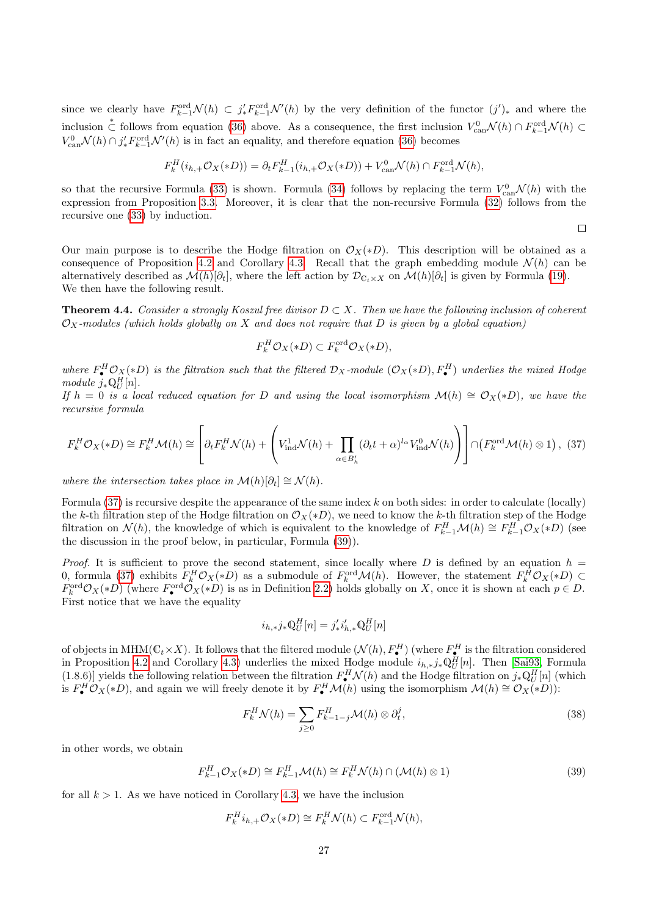since we clearly have  $F_{k-1}^{\text{ord}}\mathcal{N}(h) \subset j'_*F_{k-1}^{\text{ord}}\mathcal{N}'(h)$  by the very definition of the functor  $(j')_*$  and where the inclusion  $\stackrel{*}{\subset}$  follows from equation [\(36\)](#page-25-2) above. As a consequence, the first inclusion  $V_{\text{can}}^0 \mathcal{N}(h) \cap F_{k-1}^{\text{ord}} \mathcal{N}(h) \subset$  $V_{\text{can}}^0 \mathcal{N}(h) \cap j'_* F_{k-1}^{\text{ord}} \mathcal{N}'(h)$  is in fact an equality, and therefore equation [\(36\)](#page-25-2) becomes

$$
F_k^H(i_{h,+}\mathcal{O}_X(*D))=\partial_t F_{k-1}^H(i_{h,+}\mathcal{O}_X(*D))+V_{\textrm{can}}^0\mathcal{N}(h)\cap F_{k-1}^{\textrm{ord}}\mathcal{N}(h),
$$

so that the recursive Formula [\(33\)](#page-25-3) is shown. Formula [\(34\)](#page-25-3) follows by replacing the term  $V_{\text{can}}^0 \mathcal{N}(h)$  with the expression from Proposition [3.3.](#page-15-0) Moreover, it is clear that the non-recursive Formula [\(32\)](#page-25-3) follows from the recursive one [\(33\)](#page-25-3) by induction.

 $\Box$ 

Our main purpose is to describe the Hodge filtration on  $\mathcal{O}_X(*D)$ . This description will be obtained as a consequence of Proposition [4.2](#page-24-1) and Corollary [4.3.](#page-25-0) Recall that the graph embedding module  $\mathcal{N}(h)$  can be alternatively described as  $\mathcal{M}(h)[\partial_t]$ , where the left action by  $\mathcal{D}_{\mathbb{C}_t\times X}$  on  $\mathcal{M}(h)[\partial_t]$  is given by Formula [\(19\)](#page-14-0). We then have the following result.

<span id="page-26-0"></span>**Theorem 4.4.** Consider a strongly Koszul free divisor  $D \subset X$ . Then we have the following inclusion of coherent  $\mathcal{O}_X$ -modules (which holds globally on X and does not require that D is given by a global equation)

$$
F_k^H \mathcal{O}_X(*D) \subset F_k^{\text{ord}} \mathcal{O}_X(*D),
$$

where  $F^H_\bullet \mathcal{O}_X(*D)$  is the filtration such that the filtered  $\mathcal{D}_X$ -module  $(\mathcal{O}_X(*D), F^H_\bullet)$  underlies the mixed Hodge module  $j_*\mathbb{Q}_U^H[n]$ .

If  $h = 0$  is a local reduced equation for D and using the local isomorphism  $\mathcal{M}(h) \cong \mathcal{O}_X(*D)$ , we have the recursive formula

<span id="page-26-1"></span>
$$
F_k^H \mathcal{O}_X(*D) \cong F_k^H \mathcal{M}(h) \cong \left[ \partial_t F_k^H \mathcal{N}(h) + \left( V_{\text{ind}}^1 \mathcal{N}(h) + \prod_{\alpha \in B'_h} (\partial_t t + \alpha)^{l_\alpha} V_{\text{ind}}^0 \mathcal{N}(h) \right) \right] \cap \left( F_k^{\text{ord}} \mathcal{M}(h) \otimes 1 \right), \tag{37}
$$

where the intersection takes place in  $\mathcal{M}(h)[\partial_t] \cong \mathcal{N}(h)$ .

Formula  $(37)$  is recursive despite the appearance of the same index k on both sides: in order to calculate (locally) the k-th filtration step of the Hodge filtration on  $\mathcal{O}_X(*D)$ , we need to know the k-th filtration step of the Hodge filtration on  $\mathcal{N}(h)$ , the knowledge of which is equivalent to the knowledge of  $F_{k-1}^H \mathcal{M}(h) \cong F_{k-1}^H \mathcal{O}_X(*D)$  (see the discussion in the proof below, in particular, Formula [\(39\)](#page-26-2)).

*Proof.* It is sufficient to prove the second statement, since locally where D is defined by an equation  $h =$ 0, formula [\(37\)](#page-26-1) exhibits  $F_k^H \mathcal{O}_X(*D)$  as a submodule of  $F_k^{\text{ord}} \mathcal{M}(h)$ . However, the statement  $F_k^H \mathcal{O}_X(*D)$   $\subset$  $F_k^{\text{ord}}\mathcal{O}_X(*D)$  (where  $F_{\bullet}^{\text{ord}}\mathcal{O}_X(*D)$  is as in Definition [2.2\)](#page-4-2) holds globally on X, once it is shown at each  $p \in D$ . First notice that we have the equality

$$
i_{h,*}j_*\mathbb{Q}_U^H[n] = j'_*i'_{h,*}\mathbb{Q}_U^H[n]
$$

of objects in MHM( $\mathbb{C}_t \times X$ ). It follows that the filtered module  $(\mathcal{N}(h), F^H_{\bullet})$  (where  $F^H_{\bullet}$  is the filtration considered in Proposition [4.2](#page-24-1) and Corollary [4.3\)](#page-25-0) underlies the mixed Hodge module  $i_{h,*}j_*\mathbb{Q}_U^H[n]$ . Then [\[Sai93,](#page-41-2) Formula (1.8.6)] yields the following relation between the filtration  $F^H_{\bullet} \mathcal{N}(h)$  and the Hodge filtration on  $j_* \mathbb{Q}_U^H[n]$  (which is  $F_{\bullet}^H \mathcal{O}_X(*D)$ , and again we will freely denote it by  $F_{\bullet}^H \mathcal{M}(h)$  using the isomorphism  $\mathcal{M}(h) \cong \mathcal{O}_X(*D)$ :

<span id="page-26-3"></span>
$$
F_k^H \mathcal{N}(h) = \sum_{j \ge 0} F_{k-1-j}^H \mathcal{M}(h) \otimes \partial_t^j,
$$
\n(38)

in other words, we obtain

<span id="page-26-2"></span>
$$
F_{k-1}^H \mathcal{O}_X(*D) \cong F_{k-1}^H \mathcal{M}(h) \cong F_k^H \mathcal{N}(h) \cap (\mathcal{M}(h) \otimes 1)
$$
\n(39)

for all  $k > 1$ . As we have noticed in Corollary [4.3,](#page-25-0) we have the inclusion

$$
F_k^H i_{h,+} \mathcal{O}_X(*D) \cong F_k^H \mathcal{N}(h) \subset F_{k-1}^{\text{ord}} \mathcal{N}(h),
$$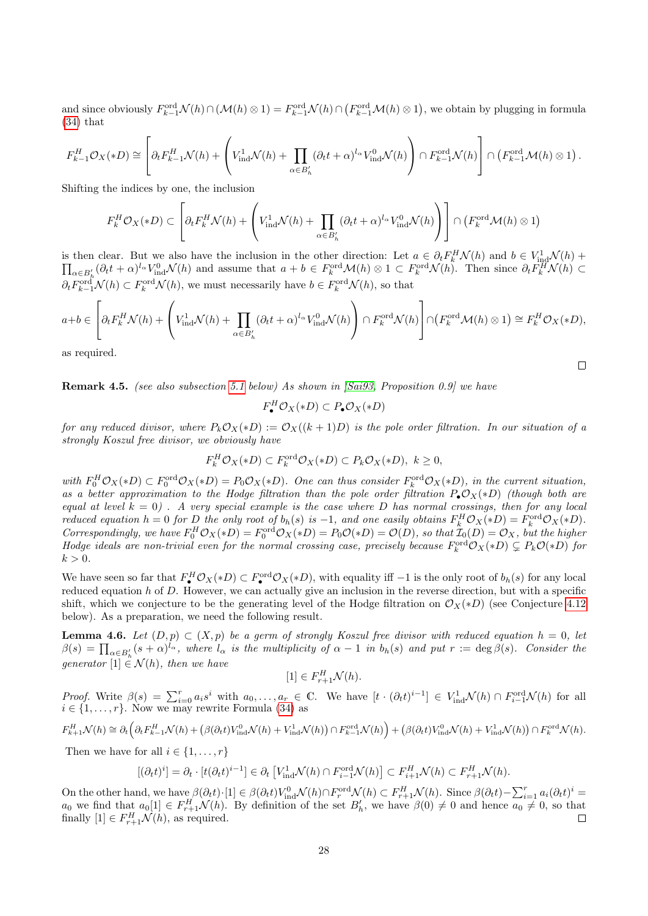and since obviously  $F_{k-1}^{\text{ord}}\mathcal{N}(h) \cap (\mathcal{M}(h) \otimes 1) = F_{k-1}^{\text{ord}}\mathcal{N}(h) \cap (F_{k-1}^{\text{ord}}\mathcal{M}(h) \otimes 1)$ , we obtain by plugging in formula [\(34\)](#page-25-3) that

$$
F_{k-1}^H \mathcal{O}_X(*D) \cong \left[\partial_t F_{k-1}^H \mathcal{N}(h) + \left(V_{\text{ind}}^1 \mathcal{N}(h) + \prod_{\alpha \in B'_h} (\partial_t t + \alpha)^{l_{\alpha}} V_{\text{ind}}^0 \mathcal{N}(h)\right) \cap F_{k-1}^{\text{ord}} \mathcal{N}(h)\right] \cap \left(F_{k-1}^{\text{ord}} \mathcal{M}(h) \otimes 1\right).
$$

Shifting the indices by one, the inclusion

$$
F_k^H \mathcal{O}_X(*D) \subset \left[\partial_t F_k^H \mathcal{N}(h) + \left(V_{\text{ind}}^1 \mathcal{N}(h) + \prod_{\alpha \in B'_h} (\partial_t t + \alpha)^{l_{\alpha}} V_{\text{ind}}^0 \mathcal{N}(h)\right)\right] \cap \left(F_k^{\text{ord}} \mathcal{M}(h) \otimes 1\right)
$$

is then clear. But we also have the inclusion in the other direction: Let  $a \in \partial_t F_k^H \mathcal{N}(h)$  and  $b \in V_{\text{in}}^1$  $\Pi$  $\chi^1_\mathrm{ind} \mathcal{N}(h) +$  ${}_{\alpha\in B'_{h}}(\partial_{t}t+\alpha)^{l_{\alpha}}V_{\text{ind}}^{0}\mathcal{N}(h)$  and assume that  $a+b\in F_{k}^{\text{ord}}\mathcal{M}(h)\otimes 1\subset F_{k}^{\text{ord}}\mathcal{N}(h)$ . Then since  $\partial_{t}F_{k}^{H}\mathcal{N}(h)\subset$  $\partial_t F_{k-1}^{\text{ord}} \mathcal{N}(h) \subset F_k^{\text{ord}} \mathcal{N}(h)$ , we must necessarily have  $b \in F_k^{\text{ord}} \mathcal{N}(h)$ , so that

$$
a+b \in \left[\partial_t F_k^H \mathcal{N}(h) + \left(V_{\text{ind}}^1 \mathcal{N}(h) + \prod_{\alpha \in B'_h} (\partial_t t + \alpha)^{l_{\alpha}} V_{\text{ind}}^0 \mathcal{N}(h)\right) \cap F_k^{\text{ord}} \mathcal{N}(h)\right] \cap \left(F_k^{\text{ord}} \mathcal{M}(h) \otimes 1\right) \cong F_k^H \mathcal{O}_X(*D),
$$

 $\Box$ 

as required.

<span id="page-27-1"></span>Remark 4.5. (see also subsection [5.1](#page-36-0) below) As shown in [\[Sai93,](#page-41-2) Proposition 0.9] we have

$$
F_{\bullet}^H \mathcal{O}_X(*D) \subset P_{\bullet} \mathcal{O}_X(*D)
$$

for any reduced divisor, where  $P_kO_X(*D) := O_X((k+1)D)$  is the pole order filtration. In our situation of a strongly Koszul free divisor, we obviously have

$$
F_k^H \mathcal{O}_X(*D) \subset F_k^{\text{ord}} \mathcal{O}_X(*D) \subset P_k \mathcal{O}_X(*D), \ k \ge 0,
$$

with  $F_0^H \mathcal{O}_X(*D) \subset F_0^{\text{ord}} \mathcal{O}_X(*D) = P_0 \mathcal{O}_X(*D)$ . One can thus consider  $F_k^{\text{ord}} \mathcal{O}_X(*D)$ , in the current situation, as a better approximation to the Hodge filtration than the pole order filtration  $P_{\bullet}\mathcal{O}_X(*D)$  (though both are equal at level  $k = 0$ ). A very special example is the case where D has normal crossings, then for any local reduced equation  $h = 0$  for D the only root of  $b_h(s)$  is  $-1$ , and one easily obtains  $F_k^H \mathcal{O}_X(*D) = F_k^{\text{ord}} \mathcal{O}_X(*D)$ . Correspondingly, we have  $F_0^H \mathcal{O}_X(*D) = F_0^{\text{ord}} \mathcal{O}_X(*D) = P_0 \mathcal{O}(*D) = \mathcal{O}(D)$ , so that  $\mathcal{I}_0(D) = \mathcal{O}_X$ , but the higher Hodge ideals are non-trivial even for the normal crossing case, precisely because  $F_k^{\text{ord}}\mathcal{O}_X(*D) \subsetneq P_k\mathcal{O}(*D)$  for  $k > 0$ .

We have seen so far that  $F^H_\bullet \mathcal{O}_X(*D) \subset F^{\text{ord}}_\bullet \mathcal{O}_X(*D)$ , with equality iff  $-1$  is the only root of  $b_h(s)$  for any local reduced equation  $h$  of  $D$ . However, we can actually give an inclusion in the reverse direction, but with a specific shift, which we conjecture to be the generating level of the Hodge filtration on  $\mathcal{O}_X(*D)$  (see Conjecture [4.12](#page-29-0) below). As a preparation, we need the following result.

<span id="page-27-0"></span>**Lemma 4.6.** Let  $(D, p) \subset (X, p)$  be a germ of strongly Koszul free divisor with reduced equation  $h = 0$ , let  $\beta(s) = \prod_{\alpha \in B'_h} (s + \alpha)^{l_{\alpha}},$  where  $l_{\alpha}$  is the multiplicity of  $\alpha - 1$  in  $b_h(s)$  and put  $r := \deg \beta(s)$ . Consider the generator  $[1] \in \mathcal{N}(h)$ , then we have

$$
[1] \in F_{r+1}^H \mathcal{N}(h).
$$

*Proof.* Write  $\beta(s) = \sum_{i=0}^r a_i s^i$  with  $a_0, \ldots, a_r \in \mathbb{C}$ . We have  $[t \cdot (\partial_t t)^{i-1}] \in V_{\text{ind}}^1 \mathcal{N}(h) \cap F_{i-1}^{\text{ord}} \mathcal{N}(h)$  for all  $i \in \{1, \ldots, r\}$ . Now we may rewrite Formula [\(34\)](#page-25-3) as

$$
F_{k+1}^H \mathcal{N}(h) \cong \partial_t \left( \partial_t F_{k-1}^H \mathcal{N}(h) + \left( \beta(\partial_t t) V_{\text{ind}}^0 \mathcal{N}(h) + V_{\text{ind}}^1 \mathcal{N}(h) \right) \cap F_{k-1}^{\text{ord}} \mathcal{N}(h) \right) + \left( \beta(\partial_t t) V_{\text{ind}}^0 \mathcal{N}(h) + V_{\text{ind}}^1 \mathcal{N}(h) \right) \cap F_k^{\text{ord}} \mathcal{N}(h).
$$

Then we have for all  $i \in \{1, \ldots, r\}$ 

$$
[(\partial_t t)^i] = \partial_t \cdot [t(\partial_t t)^{i-1}] \in \partial_t \left[ V_{\text{ind}}^1 \mathcal{N}(h) \cap F_{i-1}^{\text{ord}} \mathcal{N}(h) \right] \subset F_{i+1}^H \mathcal{N}(h) \subset F_{r+1}^H \mathcal{N}(h).
$$

On the other hand, we have  $\beta(\partial_t t) \cdot [1] \in \beta(\partial_t t) V_{\text{ind}}^0 \mathcal{N}(h) \cap F_r^{\text{ord}} \mathcal{N}(h) \subset F_{r+1}^H \mathcal{N}(h)$ . Since  $\beta(\partial_t t) - \sum_{i=1}^r a_i (\partial_t t)^i =$  $a_0$  we find that  $a_0[1] \in F_{r+1}^H \mathcal{N}(h)$ . By definition of the set  $B'_h$ , we have  $\beta(0) \neq 0$  and hence  $a_0 \neq 0$ , so that finally  $[1] \in F_{r+1}^H \mathcal{N}(h)$ , as required.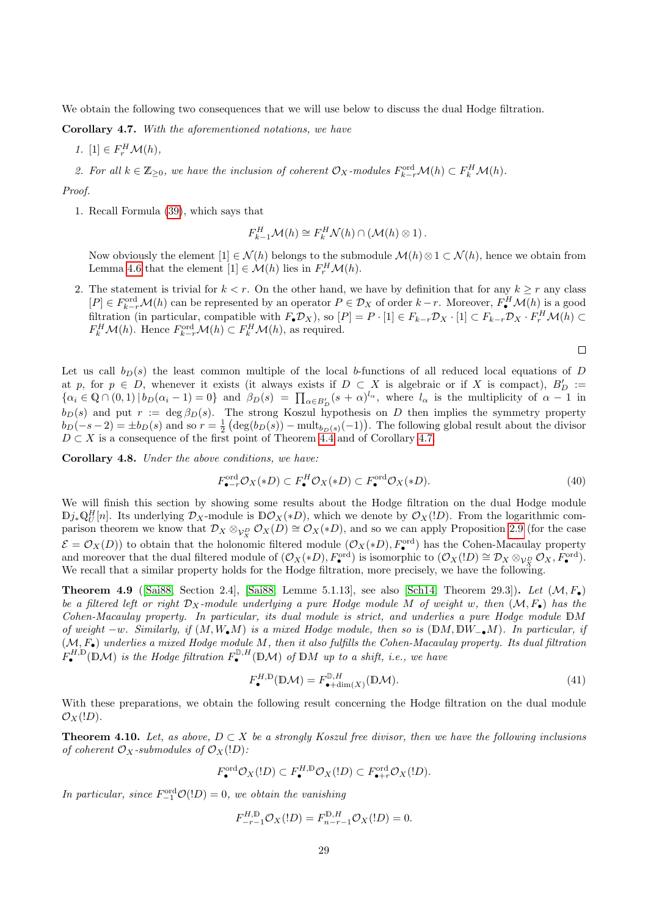We obtain the following two consequences that we will use below to discuss the dual Hodge filtration.

<span id="page-28-1"></span>Corollary 4.7. With the aforementioned notations, we have

1. [1]  $\in F_r^H \mathcal{M}(h)$ ,

2. For all  $k \in \mathbb{Z}_{\geq 0}$ , we have the inclusion of coherent  $\mathcal{O}_X$ -modules  $F_{k-r}^{\text{ord}}\mathcal{M}(h) \subset F_k^H\mathcal{M}(h)$ .

Proof.

1. Recall Formula [\(39\)](#page-26-2), which says that

$$
F_{k-1}^H \mathcal{M}(h) \cong F_k^H \mathcal{N}(h) \cap (\mathcal{M}(h) \otimes 1).
$$

Now obviously the element  $[1] \in \mathcal{N}(h)$  belongs to the submodule  $\mathcal{M}(h) \otimes 1 \subset \mathcal{N}(h)$ , hence we obtain from Lemma [4.6](#page-27-0) that the element  $[1] \in \mathcal{M}(h)$  lies in  $F_r^H \mathcal{M}(h)$ .

2. The statement is trivial for  $k < r$ . On the other hand, we have by definition that for any  $k \geq r$  any class  $[P] \in F_{k-r}^{\text{ord}}\mathcal{M}(h)$  can be represented by an operator  $P \in \mathcal{D}_X$  of order  $k-r$ . Moreover,  $F^H_{\bullet}\mathcal{M}(h)$  is a good filtration (in particular, compatible with  $F_{\bullet}\mathcal{D}_X$ ), so  $[P] = P \cdot [1] \in F_{k-r}\mathcal{D}_X \cdot [1] \subset F_{k-r}\mathcal{D}_X \cdot F_r^H \mathcal{M}(h) \subset$  $F_k^H \mathcal{M}(h)$ . Hence  $F_{k-r}^{\text{ord}} \mathcal{M}(h) \subset F_k^H \mathcal{M}(h)$ , as required.

$$
\Box
$$

Let us call  $b<sub>D</sub>(s)$  the least common multiple of the local b-functions of all reduced local equations of D at p, for  $p \in D$ , whenever it exists (it always exists if  $D \subset X$  is algebraic or if X is compact),  $B'_D :=$  $\{\alpha_i \in \mathbb{Q} \cap (0,1) \mid b_D(\alpha_i-1)=0\}$  and  $\beta_D(s) = \prod_{\alpha \in B'_D} (s+\alpha)^{l_{\alpha}},$  where  $l_{\alpha}$  is the multiplicity of  $\alpha-1$  in  $b_D(s)$  and put  $r := \deg \beta_D(s)$ . The strong Koszul hypothesis on D then implies the symmetry property  $b_D(-s-2) = \pm b_D(s)$  and so  $r = \frac{1}{2} (\deg(b_D(s)) - \text{mult}_{b_D(s)}(-1))$ . The following global result about the divisor  $D \subset X$  is a consequence of the first point of Theorem [4.4](#page-26-0) and of Corollary [4.7.](#page-28-1)

<span id="page-28-3"></span>Corollary 4.8. Under the above conditions, we have:

<span id="page-28-2"></span>
$$
F_{\bullet - r}^{\text{ord}} \mathcal{O}_X(*D) \subset F_{\bullet}^H \mathcal{O}_X(*D) \subset F_{\bullet}^{\text{ord}} \mathcal{O}_X(*D). \tag{40}
$$

We will finish this section by showing some results about the Hodge filtration on the dual Hodge module  $\mathbb{D}j_*\mathbb{Q}_U^H[n]$ . Its underlying  $\mathcal{D}_X$ -module is  $\mathbb{D}\mathcal{O}_X(*D)$ , which we denote by  $\mathcal{O}_X(!D)$ . From the logarithmic comparison theorem we know that  $\mathcal{D}_X \otimes_{\mathcal{V}_X^D} \mathcal{O}_X(D) \cong \mathcal{O}_X(*D)$ , and so we can apply Proposition [2.9](#page-12-0) (for the case  $\mathcal{E} = \mathcal{O}_X(D)$  to obtain that the holonomic filtered module  $(\mathcal{O}_X(*D), F_{\bullet}^{\text{ord}})$  has the Cohen-Macaulay property and moreover that the dual filtered module of  $(\mathcal{O}_X(*D), F^{\text{ord}}_{\bullet})$  is isomorphic to  $(\mathcal{O}_X(!D) \cong \mathcal{D}_X \otimes_{\mathcal{V}_Y^D} \mathcal{O}_X, F^{\text{ord}}_{\bullet}).$ We recall that a similar property holds for the Hodge filtration, more precisely, we have the following.

<span id="page-28-4"></span>**Theorem 4.9** ([\[Sai88,](#page-41-0) Section 2.4], [\[Sai88,](#page-41-0) Lemme 5.1.13], see also [\[Sch14,](#page-42-2) Theorem 29.3]). Let  $(M, F<sub>•</sub>)$ be a filtered left or right  $\mathcal{D}_X$ -module underlying a pure Hodge module M of weight w, then  $(\mathcal{M}, F_{\bullet})$  has the Cohen-Macaulay property. In particular, its dual module is strict, and underlies a pure Hodge module DM of weight  $-w$ . Similarly, if  $(M, W_{\bullet}M)$  is a mixed Hodge module, then so is  $(DM, DW_{\bullet}M)$ . In particular, if  $(\mathcal{M}, F_{\bullet})$  underlies a mixed Hodge module M, then it also fulfills the Cohen-Macaulay property. Its dual filtration  $F_{\bullet}^{H, \mathbb{D}}(\mathbb{D} \mathcal{M})$  is the Hodge filtration  $F_{\bullet}^{\mathbb{D}, H}(\mathbb{D} \mathcal{M})$  of  $\mathbb{D} M$  up to a shift, i.e., we have

$$
F_{\bullet}^{H,\mathbb{D}}(\mathbb{D}\mathcal{M}) = F_{\bullet+\dim(X)}^{\mathbb{D},H}(\mathbb{D}\mathcal{M}).
$$
\n(41)

With these preparations, we obtain the following result concerning the Hodge filtration on the dual module  $\mathcal{O}_X($ !D).

<span id="page-28-0"></span>**Theorem 4.10.** Let, as above,  $D \subset X$  be a strongly Koszul free divisor, then we have the following inclusions of coherent  $\mathcal{O}_X$ -submodules of  $\mathcal{O}_X(1D)$ :

$$
F_{\bullet}^{\operatorname{ord}} \mathcal{O}_X(\mathfrak{l} D) \subset F_{\bullet}^{H, \mathbb{D}} \mathcal{O}_X(\mathfrak{l} D) \subset F_{\bullet+r}^{\operatorname{ord}} \mathcal{O}_X(\mathfrak{l} D).
$$

In particular, since  $F_{-1}^{\text{ord}}\mathcal{O}(!D) = 0$ , we obtain the vanishing

$$
F_{-r-1}^{H,\mathbb{D}} \mathcal{O}_X(lD) = F_{n-r-1}^{\mathbb{D},H} \mathcal{O}_X(lD) = 0.
$$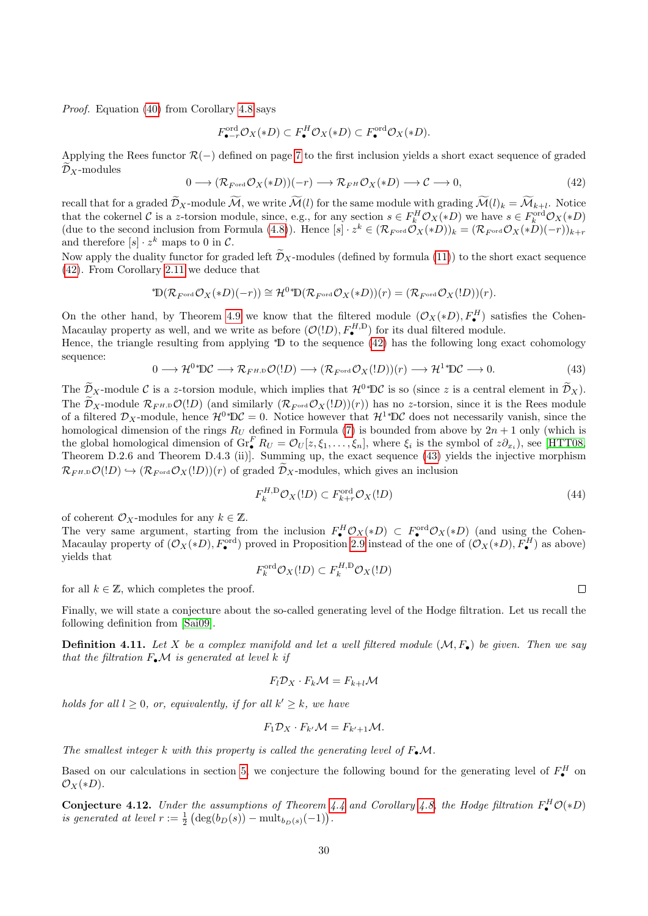Proof. Equation [\(40\)](#page-28-2) from Corollary [4.8](#page-28-3) says

$$
F_{\bullet - r}^{\operatorname{ord}} \mathcal{O}_X(*D) \subset F_{\bullet}^H \mathcal{O}_X(*D) \subset F_{\bullet}^{\operatorname{ord}} \mathcal{O}_X(*D).
$$

Applying the Rees functor  $\mathcal{R}(-)$  defined on page [7](#page-6-0) to the first inclusion yields a short exact sequence of graded  $\mathcal{D}_X$ -modules

<span id="page-29-2"></span>
$$
0 \longrightarrow (\mathcal{R}_{F^{\text{ord}}} \mathcal{O}_X(*D))(-r) \longrightarrow \mathcal{R}_{F^H} \mathcal{O}_X(*D) \longrightarrow \mathcal{C} \longrightarrow 0,
$$
\n(42)

recall that for a graded  $\mathcal{D}_X$ -module M, we write  $\mathcal{M}(l)$  for the same module with grading  $\mathcal{M}(l)_k = \mathcal{M}_{k+l}$ . Notice that the cokernel C is a z-torsion module, since, e.g., for any section  $s \in F_k^H \mathcal{O}_X(*D)$  we have  $s \in F_k^{\text{ord}} \mathcal{O}_X(*D)$ (due to the second inclusion from Formula [\(4.8\)](#page-28-3)). Hence  $[s] \cdot z^k \in (\mathcal{R}_{F^{\text{ord}}} \mathcal{O}_X(*D))_k = (\mathcal{R}_{F^{\text{ord}}} \mathcal{O}_X(*D)(-r))_{k+r}$ and therefore  $[s] \cdot z^k$  maps to 0 in C.

Now apply the duality functor for graded left  $\tilde{\mathcal{D}}_X$ -modules (defined by formula [\(11\)](#page-8-3)) to the short exact sequence [\(42\)](#page-29-2). From Corollary [2.11](#page-13-2) we deduce that

$$
{}^*\!{\mathbb{D}}(\mathcal{R}_{F^{\operatorname{ord}}}\mathcal{O}_X(*D)(-r))\cong \mathcal{H}^0 {}^*\!{\mathbb{D}}(\mathcal{R}_{F^{\operatorname{ord}}}\mathcal{O}_X(*D))(r)=(\mathcal{R}_{F^{\operatorname{ord}}}\mathcal{O}_X(!D))(r).
$$

On the other hand, by Theorem [4.9](#page-28-4) we know that the filtered module  $(\mathcal{O}_X(*D), F^H_{\bullet})$  satisfies the Cohen-On the other hand, by Theorem 4.9 we know that the intered module  $(\mathcal{O}_X(\mathcal{F}_L), F_{\bullet})$  sat Macaulay property as well, and we write as before  $(\mathcal{O}(1D), F_{\bullet}^{(I,D)})$  for its dual filtered module.

Hence, the triangle resulting from applying <sup>∗</sup>D to the sequence [\(42\)](#page-29-2) has the following long exact cohomology sequence:

<span id="page-29-3"></span>
$$
0 \longrightarrow \mathcal{H}^{0*} \mathbb{D} \mathcal{C} \longrightarrow \mathcal{R}_{F^H, \mathbb{D}} \mathcal{O}(!D) \longrightarrow (\mathcal{R}_{F^{ord}} \mathcal{O}_X(!D))(r) \longrightarrow \mathcal{H}^{1*} \mathbb{D} \mathcal{C} \longrightarrow 0. \tag{43}
$$

The  $\widetilde{\mathcal{D}}_X$ -module C is a z-torsion module, which implies that  $\mathcal{H}^{0*} \mathbb{D} \mathcal{C}$  is so (since z is a central element in  $\widetilde{\mathcal{D}}_X$ ). The  $\widetilde{\mathcal{D}}_X$ -module  $\mathcal{R}_{F^{H,D}}\mathcal{O}(!D)$  (and similarly  $(\mathcal{R}_{F^{ord}}\mathcal{O}_X(lD))(r)$ ) has no z-torsion, since it is the Rees module of a filtered  $\mathcal{D}_X$ -module, hence  $\mathcal{H}^{0*} \mathbb{D} \mathcal{C} = 0$ . Notice however that  $\mathcal{H}^{1*} \mathbb{D} \mathcal{C}$  does not necessarily vanish, since the homological dimension of the rings  $R_U$  defined in Formula [\(7\)](#page-5-1) is bounded from above by  $2n + 1$  only (which is the global homological dimension of  $\operatorname{Gr}_{\bullet}^{F} R_U = \mathcal{O}_U[z, \xi_1, \ldots, \xi_n]$ , where  $\xi_i$  is the symbol of  $z \partial_{x_i}$ ), see [\[HTT08,](#page-40-15) Theorem D.2.6 and Theorem D.4.3 (ii)]. Summing up, the exact sequence [\(43\)](#page-29-3) yields the injective morphism  $\mathcal{R}_{F^H,D}\mathcal{O}(!D) \hookrightarrow (\mathcal{R}_{F^{ord}}\mathcal{O}_X(!D))(r)$  of graded  $\widetilde{\mathcal{D}}_X$ -modules, which gives an inclusion

$$
F_k^{H,\mathbb{D}} \mathcal{O}_X(!D) \subset F_{k+r}^{\text{ord}} \mathcal{O}_X(!D) \tag{44}
$$

of coherent  $\mathcal{O}_X$ -modules for any  $k \in \mathbb{Z}$ .

The very same argument, starting from the inclusion  $F^H_{\bullet} \mathcal{O}_X(*D) \subset F^{\text{ord}}_{\bullet} \mathcal{O}_X(*D)$  (and using the Cohen-Macaulay property of  $(\mathcal{O}_X(*D), F^{\text{ord}}_{\bullet})$  proved in Proposition [2.9](#page-12-0) instead of the one of  $(\mathcal{O}_X(*D), F^H_{\bullet})$  as above) yields that

$$
F_k^{\operatorname{ord}} \mathcal{O}_X(\mathord!D) \subset F_k^{H,\operatorname{D}} \mathcal{O}_X(\mathord!D)
$$

for all  $k \in \mathbb{Z}$ , which completes the proof.

Finally, we will state a conjecture about the so-called generating level of the Hodge filtration. Let us recall the following definition from [\[Sai09\]](#page-41-7).

<span id="page-29-1"></span>**Definition 4.11.** Let X be a complex manifold and let a well filtered module  $(M, F_{\bullet})$  be given. Then we say that the filtration  $F_{\bullet} \mathcal{M}$  is generated at level k if

$$
F_l \mathcal{D}_X \cdot F_k \mathcal{M} = F_{k+l} \mathcal{M}
$$

holds for all  $l \geq 0$ , or, equivalently, if for all  $k' \geq k$ , we have

$$
F_1 \mathcal{D}_X \cdot F_{k'} \mathcal{M} = F_{k'+1} \mathcal{M}.
$$

The smallest integer k with this property is called the generating level of  $F_{\bullet} \mathcal{M}$ .

Based on our calculations in section [5,](#page-30-0) we conjecture the following bound for the generating level of  $F^H_{\bullet}$  on  $\mathcal{O}_X(*D)$ .

<span id="page-29-0"></span>**Conjecture 4.12.** Under the assumptions of Theorem [4.4](#page-26-0) and Corollary [4.8,](#page-28-3) the Hodge filtration  $F_{\bullet}^H \mathcal{O}(*D)$ is generated at level  $r := \frac{1}{2} \left( \deg(b_D(s)) - \text{mult}_{b_D(s)}(-1) \right)$ .

 $\Box$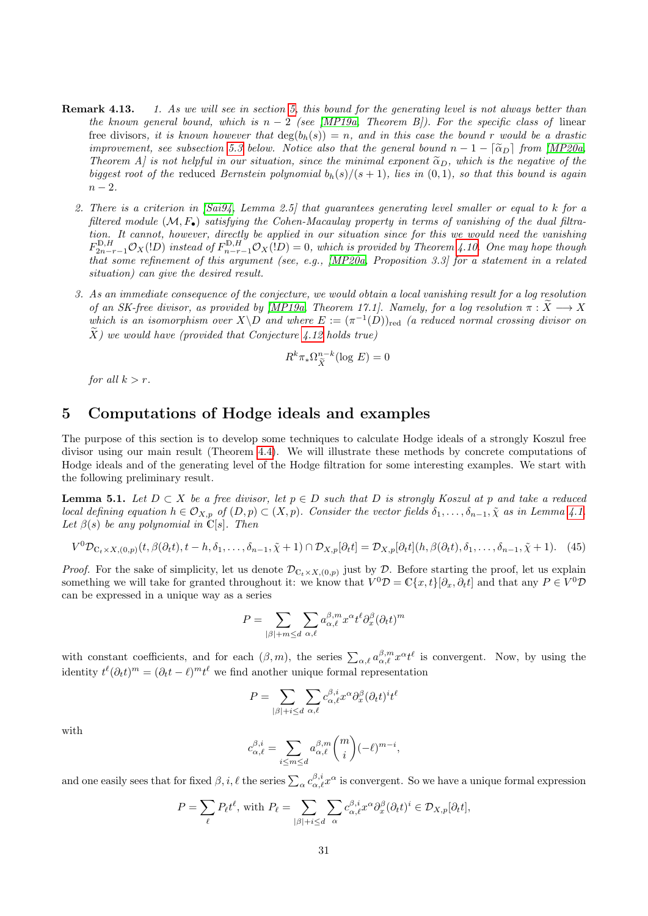- **Remark 4.13.** 1. As we will see in section [5,](#page-30-0) this bound for the generating level is not always better than the known general bound, which is  $n-2$  (see [\[MP19a,](#page-41-3) Theorem B]). For the specific class of linear free divisors, it is known however that  $deg(b_h(s)) = n$ , and in this case the bound r would be a drastic improvement, see subsection [5.3](#page-37-0) below. Notice also that the general bound  $n-1-\lceil \widetilde{\alpha}_D \rceil$  from [\[MP20a,](#page-41-5) Theorem A] is not helpful in our situation, since the minimal exponent  $\tilde{\alpha}_D$ , which is the negative of the biggest root of the reduced Bernstein polynomial  $b_h(s)/(s+1)$ , lies in  $(0,1)$ , so that this bound is again  $n-2$ .
	- 2. There is a criterion in [\[Sai94,](#page-41-16) Lemma 2.5] that guarantees generating level smaller or equal to k for a filtered module  $(M, F_{\bullet})$  satisfying the Cohen-Macaulay property in terms of vanishing of the dual filtration. It cannot, however, directly be applied in our situation since for this we would need the vanishing  $F_{2n-r-1}^{\mathbb{D},H}\mathcal{O}_X(1D)$  instead of  $F_{n-r-1}^{\mathbb{D},H}\mathcal{O}_X(1D) = 0$ , which is provided by Theorem [4.10.](#page-28-0) One may hope though that some refinement of this argument (see, e.g., [\[MP20a,](#page-41-5) Proposition 3.3] for a statement in a related situation) can give the desired result.
	- 3. As an immediate consequence of the conjecture, we would obtain a local vanishing result for a log resolution of an SK-free divisor, as provided by [\[MP19a,](#page-41-3) Theorem 17.1]. Namely, for a log resolution  $\pi : \tilde{X} \longrightarrow X$ which is an isomorphism over  $X\backslash D$  and where  $E := (\pi^{-1}(D))_{\text{red}}$  (a reduced normal crossing divisor on  $\widetilde{X}$ ) we would have (provided that Conjecture [4.12](#page-29-0) holds true)

$$
R^k \pi_* \Omega_{\widetilde{X}}^{n-k}(\log E) = 0
$$

for all  $k > r$ .

### <span id="page-30-0"></span>5 Computations of Hodge ideals and examples

The purpose of this section is to develop some techniques to calculate Hodge ideals of a strongly Koszul free divisor using our main result (Theorem [4.4\)](#page-26-0). We will illustrate these methods by concrete computations of Hodge ideals and of the generating level of the Hodge filtration for some interesting examples. We start with the following preliminary result.

<span id="page-30-2"></span>**Lemma 5.1.** Let  $D \subset X$  be a free divisor, let  $p \in D$  such that D is strongly Koszul at p and take a reduced local defining equation  $h \in \mathcal{O}_{X,p}$  of  $(D, p) \subset (X, p)$ . Consider the vector fields  $\delta_1, \ldots, \delta_{n-1}, \tilde{\chi}$  as in Lemma [4.1.](#page-23-0) Let  $\beta(s)$  be any polynomial in  $\mathbb{C}[s]$ . Then

<span id="page-30-1"></span>
$$
V^{0}\mathcal{D}_{\mathbb{C}_{t}\times X,(0,p)}(t,\beta(\partial_{t}t),t-h,\delta_{1},\ldots,\delta_{n-1},\tilde{\chi}+1)\cap\mathcal{D}_{X,p}[\partial_{t}t]=\mathcal{D}_{X,p}[\partial_{t}t](h,\beta(\partial_{t}t),\delta_{1},\ldots,\delta_{n-1},\tilde{\chi}+1). \tag{45}
$$

*Proof.* For the sake of simplicity, let us denote  $\mathcal{D}_{\mathbb{C}_t \times X,(0,p)}$  just by  $\mathcal{D}$ . Before starting the proof, let us explain something we will take for granted throughout it: we know that  $V^0D = \mathbb{C}\{x, t\}[\partial_x, \partial_t t]$  and that any  $P \in V^0D$ can be expressed in a unique way as a series

$$
P = \sum_{|\beta|+m \leq d} \sum_{\alpha,\ell} a^{\beta,m}_{\alpha,\ell} x^{\alpha} t^{\ell} \partial_x^{\beta} (\partial_t t)^m
$$

with constant coefficients, and for each  $(\beta, m)$ , the series  $\sum_{\alpha,\ell} a_{\alpha,\ell}^{\beta,m} x^{\alpha} t^{\ell}$  is convergent. Now, by using the identity  $t^{\ell}(\partial_t t)^m = (\partial_t t - \ell)^m t^{\ell}$  we find another unique formal representation

$$
P = \sum_{|\beta|+i\leq d}\sum_{\alpha,\ell} c^{\beta,i}_{\alpha,\ell}x^\alpha \partial_x^\beta (\partial_t t)^i t^\ell
$$

with

$$
c_{\alpha,\ell}^{\beta,i} = \sum_{i \le m \le d} a_{\alpha,\ell}^{\beta,m} \binom{m}{i} (-\ell)^{m-i},
$$

and one easily sees that for fixed  $\beta, i, \ell$  the series  $\sum_{\alpha} c_{\alpha,\ell}^{\beta,i} x^{\alpha}$  is convergent. So we have a unique formal expression

$$
P = \sum_{\ell} P_{\ell} t^{\ell}, \text{ with } P_{\ell} = \sum_{|\beta|+i \leq d} \sum_{\alpha} c_{\alpha,\ell}^{\beta,i} x^{\alpha} \partial_x^{\beta} (\partial_t t)^i \in \mathcal{D}_{X,p}[\partial_t t],
$$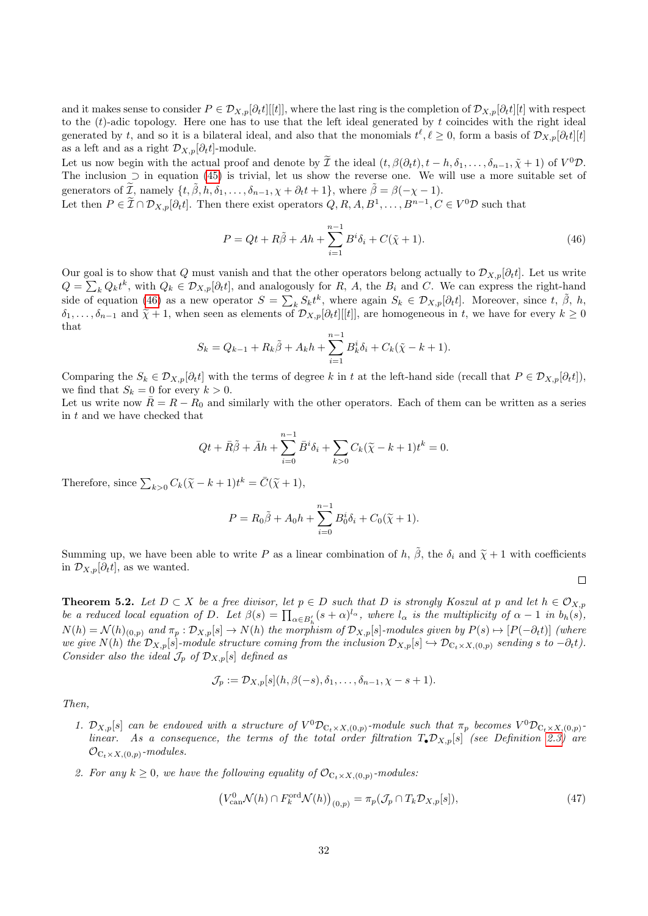and it makes sense to consider  $P \in \mathcal{D}_{X,p}[\partial_t t][[t]]$ , where the last ring is the completion of  $\mathcal{D}_{X,p}[\partial_t t][t]$  with respect to the  $(t)$ -adic topology. Here one has to use that the left ideal generated by  $t$  coincides with the right ideal generated by t, and so it is a bilateral ideal, and also that the monomials  $t^{\ell}, \ell \ge 0$ , form a basis of  $\mathcal{D}_{X,p}[\partial_t t][t]$ as a left and as a right  $\mathcal{D}_{X,p}[\partial_t t]$ -module.

Let us now begin with the actual proof and denote by  $\mathcal{I}$  the ideal  $(t, \beta(\partial_t t), t - h, \delta_1, \ldots, \delta_{n-1}, \tilde{\chi} + 1)$  of  $V^0 \mathcal{D}$ . The inclusion  $\supset$  in equation [\(45\)](#page-30-1) is trivial, let us show the reverse one. We will use a more suitable set of generators of  $\widetilde{\mathcal{I}}$ , namely  $\{t, \widetilde{\beta}, h, \delta_1, \ldots, \delta_{n-1}, \chi + \partial_t t + 1\}$ , where  $\widetilde{\beta} = \beta(-\chi - 1)$ .

Let then  $P \in \tilde{\mathcal{I}} \cap \mathcal{D}_{X,p}[\partial_t t]$ . Then there exist operators  $Q, R, A, B^1, \ldots, B^{n-1}, C \in V^0\mathcal{D}$  such that

<span id="page-31-1"></span>
$$
P = Qt + R\tilde{\beta} + Ah + \sum_{i=1}^{n-1} B^i \delta_i + C(\tilde{\chi} + 1).
$$
 (46)

Our goal is to show that Q must vanish and that the other operators belong actually to  $\mathcal{D}_{X,p}[\partial_t t]$ . Let us write  $Q = \sum_k Q_k t^k$ , with  $Q_k \in \mathcal{D}_{X,p}[\partial_t t]$ , and analogously for R, A, the  $B_i$  and C. We can express the right-hand side of equation [\(46\)](#page-31-1) as a new operator  $S = \sum_{k} S_k t^k$ , where again  $S_k \in \mathcal{D}_{X,p}[\partial_t t]$ . Moreover, since  $t, \tilde{\beta}, h$ ,  $\delta_1, \ldots, \delta_{n-1}$  and  $\tilde{\chi} + 1$ , when seen as elements of  $\mathcal{D}_{X,p}[\partial_t t][[t]]$ , are homogeneous in t, we have for every  $k \geq 0$ that

$$
S_k = Q_{k-1} + R_k \tilde{\beta} + A_k h + \sum_{i=1}^{n-1} B_k^i \delta_i + C_k (\tilde{\chi} - k + 1).
$$

Comparing the  $S_k \in \mathcal{D}_{X,p}[\partial_t t]$  with the terms of degree k in t at the left-hand side (recall that  $P \in \mathcal{D}_{X,p}[\partial_t t]$ ), we find that  $S_k = 0$  for every  $k > 0$ .

Let us write now  $\bar{R} = R - R_0$  and similarly with the other operators. Each of them can be written as a series in t and we have checked that

$$
Qt + \bar{R}\tilde{\beta} + \bar{A}h + \sum_{i=0}^{n-1} \bar{B}^i \delta_i + \sum_{k>0} C_k (\tilde{\chi} - k + 1)t^k = 0.
$$

Therefore, since  $\sum_{k>0} C_k(\tilde{\chi}-k+1)t^k = \bar{C}(\tilde{\chi}+1),$ 

$$
P = R_0 \tilde{\beta} + A_0 h + \sum_{i=0}^{n-1} B_0^i \delta_i + C_0(\tilde{\chi} + 1).
$$

Summing up, we have been able to write P as a linear combination of h,  $\tilde{\beta}$ , the  $\delta_i$  and  $\tilde{\chi}+1$  with coefficients in  $\mathcal{D}_{X,p}[\partial_t t]$ , as we wanted.

<span id="page-31-0"></span>**Theorem 5.2.** Let  $D \subset X$  be a free divisor, let  $p \in D$  such that D is strongly Koszul at p and let  $h \in \mathcal{O}_{X,p}$ be a reduced local equation of D. Let  $\beta(s) = \prod_{\alpha \in B'_h} (s + \alpha)^{l_{\alpha}}$ , where  $l_{\alpha}$  is the multiplicity of  $\alpha - 1$  in  $b_h(s)$ ,  $N(h) = \mathcal{N}(h)_{(0,p)}$  and  $\pi_p : \mathcal{D}_{X,p}[s] \to N(h)$  the morphism of  $\mathcal{D}_{X,p}[s]$ -modules given by  $P(s) \mapsto [P(-\partial_t t)]$  (where we give  $N(h)$  the  $\mathcal{D}_{X,p}[s]$ -module structure coming from the inclusion  $\mathcal{D}_{X,p}[s] \hookrightarrow \mathcal{D}_{\mathbb{C}_t \times X,(0,p)}$  sending s to  $-\partial_t t$ ). Consider also the ideal  $\mathcal{J}_p$  of  $\mathcal{D}_{X,p}[s]$  defined as

$$
\mathcal{J}_p := \mathcal{D}_{X,p}[s](h,\beta(-s),\delta_1,\ldots,\delta_{n-1},\chi-s+1).
$$

Then,

- 1.  $\mathcal{D}_{X,p}[s]$  can be endowed with a structure of  $V^0\mathcal{D}_{\mathbb{C}_t\times X,(0,p)}$ -module such that  $\pi_p$  becomes  $V^0\mathcal{D}_{\mathbb{C}_t\times X,(0,p)}$ linear. As a consequence, the terms of the total order filtration  $T_{\bullet}\mathcal{D}_{X,p}[s]$  (see Definition [2.3\)](#page-4-0) are  $\mathcal{O}_{\mathbb{C}_t \times X, (0,p)}$ -modules.
- 2. For any  $k \geq 0$ , we have the following equality of  $\mathcal{O}_{\mathbb{C}_t \times X, (0,p)}$ -modules.

<span id="page-31-2"></span>
$$
\left(V_{\text{can}}^{0}\mathcal{N}(h)\cap F_{k}^{\text{ord}}\mathcal{N}(h)\right)_{(0,p)}=\pi_{p}(\mathcal{J}_{p}\cap T_{k}\mathcal{D}_{X,p}[s]),\tag{47}
$$

 $\Box$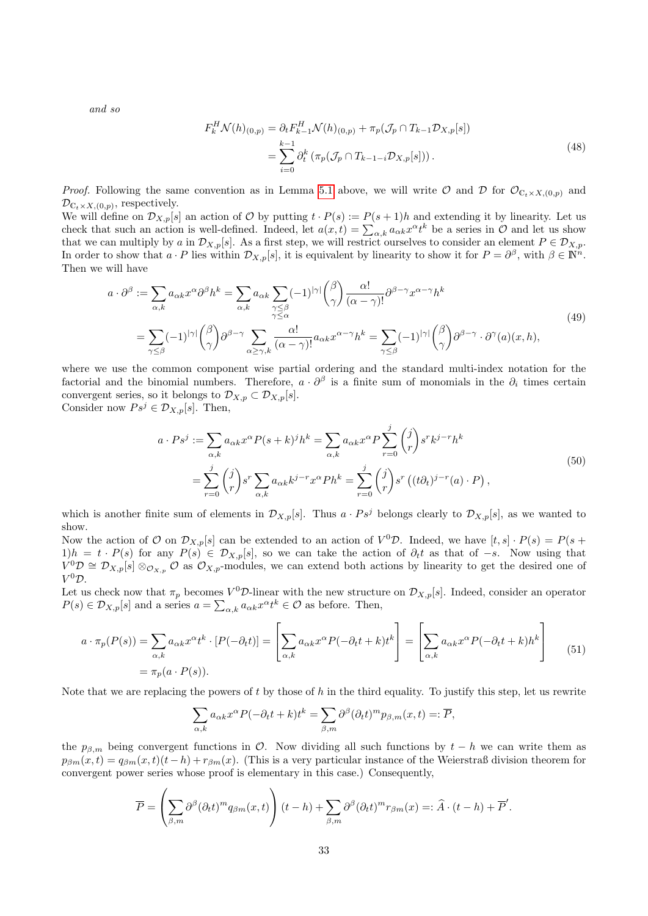and so

<span id="page-32-0"></span>
$$
F_k^H \mathcal{N}(h)_{(0,p)} = \partial_t F_{k-1}^H \mathcal{N}(h)_{(0,p)} + \pi_p(\mathcal{J}_p \cap T_{k-1} \mathcal{D}_{X,p}[s])
$$
  
= 
$$
\sum_{i=0}^{k-1} \partial_t^k (\pi_p(\mathcal{J}_p \cap T_{k-1-i} \mathcal{D}_{X,p}[s])) .
$$
 (48)

*Proof.* Following the same convention as in Lemma [5.1](#page-30-2) above, we will write  $\mathcal{O}$  and  $\mathcal{D}$  for  $\mathcal{O}_{C_t\times X,(0,p)}$  and  $\mathcal{D}_{\mathbb{C}_t \times X, (0,p)}$ , respectively.

We will define on  $\mathcal{D}_{X,p}[s]$  an action of  $\mathcal O$  by putting  $t \cdot P(s) := P(s+1)h$  and extending it by linearity. Let us check that such an action is well-defined. Indeed, let  $a(x,t) = \sum_{\alpha,k} a_{\alpha k} x^{\alpha} t^k$  be a series in  $\mathcal O$  and let us show that we can multiply by a in  $\mathcal{D}_{X,p}[s]$ . As a first step, we will restrict ourselves to consider an element  $P \in \mathcal{D}_{X,p}$ . In order to show that  $a \cdot P$  lies within  $\mathcal{D}_{X,p}[s]$ , it is equivalent by linearity to show it for  $P = \partial^{\beta}$ , with  $\beta \in \mathbb{N}^{n}$ . Then we will have

$$
a \cdot \partial^{\beta} := \sum_{\alpha,k} a_{\alpha k} x^{\alpha} \partial^{\beta} h^{k} = \sum_{\alpha,k} a_{\alpha k} \sum_{\substack{\gamma \leq \beta \\ \gamma \leq \alpha}} (-1)^{|\gamma|} {\beta \choose \gamma} \frac{\alpha!}{(\alpha - \gamma)!} \partial^{\beta - \gamma} x^{\alpha - \gamma} h^{k}
$$
  

$$
= \sum_{\gamma \leq \beta} (-1)^{|\gamma|} {\beta \choose \gamma} \partial^{\beta - \gamma} \sum_{\alpha \geq \gamma, k} \frac{\alpha!}{(\alpha - \gamma)!} a_{\alpha k} x^{\alpha - \gamma} h^{k} = \sum_{\gamma \leq \beta} (-1)^{|\gamma|} {\beta \choose \gamma} \partial^{\beta - \gamma} \cdot \partial^{\gamma}(a)(x, h),
$$
 (49)

where we use the common component wise partial ordering and the standard multi-index notation for the factorial and the binomial numbers. Therefore,  $a \cdot \partial^{\beta}$  is a finite sum of monomials in the  $\partial_i$  times certain convergent series, so it belongs to  $\mathcal{D}_{X,p} \subset \mathcal{D}_{X,p}[s].$ Consider now  $Ps^j \in \mathcal{D}_{X,p}[s]$ . Then,

$$
a \cdot Ps^j := \sum_{\alpha,k} a_{\alpha k} x^{\alpha} P(s+k)^j h^k = \sum_{\alpha,k} a_{\alpha k} x^{\alpha} P \sum_{r=0}^j \binom{j}{r} s^r k^{j-r} h^k
$$
  
= 
$$
\sum_{r=0}^j \binom{j}{r} s^r \sum_{\alpha,k} a_{\alpha k} k^{j-r} x^{\alpha} P h^k = \sum_{r=0}^j \binom{j}{r} s^r \left( (t \partial_t)^{j-r} (a) \cdot P \right),
$$
 (50)

which is another finite sum of elements in  $\mathcal{D}_{X,p}[s]$ . Thus  $a \cdot Ps^j$  belongs clearly to  $\mathcal{D}_{X,p}[s]$ , as we wanted to show.

Now the action of O on  $\mathcal{D}_{X,p}[s]$  can be extended to an action of  $V^0\mathcal{D}$ . Indeed, we have  $[t,s] \cdot P(s) = P(s +$  $1)h = t \cdot P(s)$  for any  $P(s) \in \mathcal{D}_{X,p}[s]$ , so we can take the action of  $\partial_t t$  as that of  $-s$ . Now using that  $V^0D \cong \mathcal{D}_{X,p}[s] \otimes_{\mathcal{O}_{X,p}} \mathcal{O}$  as  $\mathcal{O}_{X,p}$ -modules, we can extend both actions by linearity to get the desired one of  $V^0D$ .

Let us check now that  $\pi_p$  becomes  $V^0\mathcal{D}$ -linear with the new structure on  $\mathcal{D}_{X,p}[s]$ . Indeed, consider an operator  $P(s) \in \mathcal{D}_{X,p}[s]$  and a series  $a = \sum_{\alpha,k} a_{\alpha k} x^{\alpha} t^k \in \mathcal{O}$  as before. Then,

$$
a \cdot \pi_p(P(s)) = \sum_{\alpha,k} a_{\alpha k} x^{\alpha} t^k \cdot [P(-\partial_t t)] = \left[ \sum_{\alpha,k} a_{\alpha k} x^{\alpha} P(-\partial_t t + k) t^k \right] = \left[ \sum_{\alpha,k} a_{\alpha k} x^{\alpha} P(-\partial_t t + k) h^k \right]
$$
  
=  $\pi_p(a \cdot P(s)).$  (51)

Note that we are replacing the powers of  $t$  by those of  $h$  in the third equality. To justify this step, let us rewrite

<span id="page-32-1"></span>
$$
\sum_{\alpha,k} a_{\alpha k} x^{\alpha} P(-\partial_t t + k) t^k = \sum_{\beta,m} \partial^{\beta} (\partial_t t)^m p_{\beta,m}(x,t) =: \overline{P},
$$

the  $p_{\beta,m}$  being convergent functions in O. Now dividing all such functions by  $t - h$  we can write them as  $p_{\beta m}(x,t) = q_{\beta m}(x,t)(t-h) + r_{\beta m}(x)$ . (This is a very particular instance of the Weierstraß division theorem for convergent power series whose proof is elementary in this case.) Consequently,

$$
\overline{P} = \left(\sum_{\beta,m} \partial^{\beta} (\partial_t t)^m q_{\beta m}(x,t)\right) (t-h) + \sum_{\beta,m} \partial^{\beta} (\partial_t t)^m r_{\beta m}(x) =: \widehat{A} \cdot (t-h) + \overline{P}'.
$$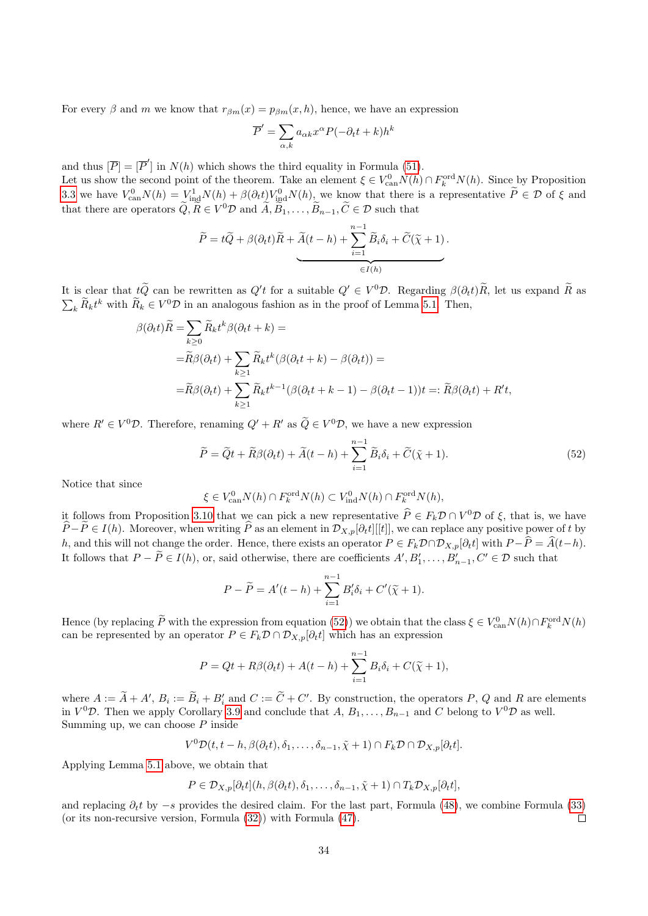For every  $\beta$  and m we know that  $r_{\beta m}(x) = p_{\beta m}(x, h)$ , hence, we have an expression

$$
\overline{P}' = \sum_{\alpha,k} a_{\alpha k} x^{\alpha} P(-\partial_t t + k) h^k
$$

and thus  $[\overline{P}] = [\overline{P}']$  in  $N(h)$  which shows the third equality in Formula [\(51\)](#page-32-1).

Let us show the second point of the theorem. Take an element  $\xi \in V_{\text{can}}^0 N(h) \cap F_k^{\text{ord}} N(h)$ . Since by Proposition [3.3](#page-15-0) we have  $V_{\text{can}}^0 N(h) = V_{\text{ind}}^1 N(h) + \beta (\partial_t t) V_{\text{ind}}^0 N(h)$ , we know that there is a representative  $\tilde{P} \in \mathcal{D}$  of  $\xi$  and that there are operators  $\tilde{Q}, \tilde{R} \in V^0 \mathcal{D}$  and  $\tilde{A}, \tilde{B}_1, \ldots, \tilde{B}_{n-1}, \tilde{C} \in \mathcal{D}$  such that

$$
\widetilde{P} = t\widetilde{Q} + \beta(\partial_t t)\widetilde{R} + \widetilde{A}(t-h) + \sum_{i=1}^{n-1} \widetilde{B}_i \delta_i + \widetilde{C}(\widetilde{\chi}+1).
$$

It is clear that  $t\tilde{Q}$  can be rewritten as  $Q'$  for a suitable  $Q' \in V^0 \mathcal{D}$ . Regarding  $\beta(\partial_t t)\tilde{R}$ , let us expand  $\tilde{R}$  as  $\sum_{k} \tilde{R}_{k} t^{k}$  with  $\tilde{R}_{k} \in V^{0} \mathcal{D}$  in an analogous fashion as in the proof of Lemma [5.1.](#page-30-2) Then,

$$
\beta(\partial_t t)\widetilde{R} = \sum_{k\geq 0} \widetilde{R}_k t^k \beta(\partial_t t + k) =
$$
  
\n
$$
= \widetilde{R}\beta(\partial_t t) + \sum_{k\geq 1} \widetilde{R}_k t^k (\beta(\partial_t t + k) - \beta(\partial_t t)) =
$$
  
\n
$$
= \widetilde{R}\beta(\partial_t t) + \sum_{k\geq 1} \widetilde{R}_k t^{k-1} (\beta(\partial_t t + k - 1) - \beta(\partial_t t - 1))t =: \widetilde{R}\beta(\partial_t t) + R't,
$$

where  $R' \in V^0 \mathcal{D}$ . Therefore, renaming  $Q' + R'$  as  $\widetilde{Q} \in V^0 \mathcal{D}$ , we have a new expression

<span id="page-33-0"></span>
$$
\widetilde{P} = \widetilde{Q}t + \widetilde{R}\beta(\partial_t t) + \widetilde{A}(t - h) + \sum_{i=1}^{n-1} \widetilde{B}_i \delta_i + \widetilde{C}(\widetilde{\chi} + 1).
$$
\n(52)

Notice that since

$$
\xi \in V_{\mathrm{can}}^0 N(h) \cap F_k^{\mathrm{ord}} N(h) \subset V_{\mathrm{ind}}^0 N(h) \cap F_k^{\mathrm{ord}} N(h),
$$

it follows from Proposition [3.10](#page-21-0) that we can pick a new representative  $\hat{P} \in F_k \mathcal{D} \cap V^0 \mathcal{D}$  of  $\xi$ , that is, we have  $\hat{P}-\tilde{P}\in I(h)$ . Moreover, when writing  $\hat{P}$  as an element in  $\mathcal{D}_{X,p}[\partial_t t][[t]]$ , we can replace any positive power of t by h, and this will not change the order. Hence, there exists an operator  $P \in F_k \mathcal{D} \cap \mathcal{D}_{X,p}[\partial_t t]$  with  $P - \widehat{P} = \widehat{A}(t-h)$ . It follows that  $P - \tilde{P} \in I(h)$ , or, said otherwise, there are coefficients  $A', B'_1, \ldots, B'_{n-1}, C' \in \mathcal{D}$  such that

$$
P - \widetilde{P} = A'(t - h) + \sum_{i=1}^{n-1} B'_i \delta_i + C'(\widetilde{\chi} + 1).
$$

Hence (by replacing  $\tilde{P}$  with the expression from equation [\(52\)](#page-33-0)) we obtain that the class  $\xi \in V_{\text{can}}^0 N(h) \cap F_k^{\text{ord}} N(h)$ can be represented by an operator  $P \in F_k \mathcal{D} \cap \mathcal{D}_{X,p}[\partial_t t]$  which has an expression

$$
P = Qt + R\beta(\partial_t t) + A(t - h) + \sum_{i=1}^{n-1} B_i \delta_i + C(\tilde{\chi} + 1),
$$

where  $A := \tilde{A} + A'$ ,  $B_i := \tilde{B}_i + B'_i$  and  $C := \tilde{C} + C'$ . By construction, the operators P, Q and R are elements in  $V^0\mathcal{D}$ . Then we apply Corollary [3.9](#page-20-0) and conclude that  $A, B_1, \ldots, B_{n-1}$  and C belong to  $V^0\mathcal{D}$  as well. Summing up, we can choose  $P$  inside

$$
V^{0} \mathcal{D}(t, t-h, \beta(\partial_{t} t), \delta_{1}, \ldots, \delta_{n-1}, \tilde{\chi}+1) \cap F_{k} \mathcal{D} \cap \mathcal{D}_{X, p}[\partial_{t} t].
$$

Applying Lemma [5.1](#page-30-2) above, we obtain that

$$
P \in \mathcal{D}_{X,p}[\partial_t t](h, \beta(\partial_t t), \delta_1, \dots, \delta_{n-1}, \tilde{\chi} + 1) \cap T_k \mathcal{D}_{X,p}[\partial_t t],
$$

and replacing  $\partial_t t$  by  $-s$  provides the desired claim. For the last part, Formula [\(48\)](#page-32-0), we combine Formula [\(33\)](#page-25-3) (or its non-recursive version, Formula [\(32\)](#page-25-3)) with Formula [\(47\)](#page-31-2).  $\Box$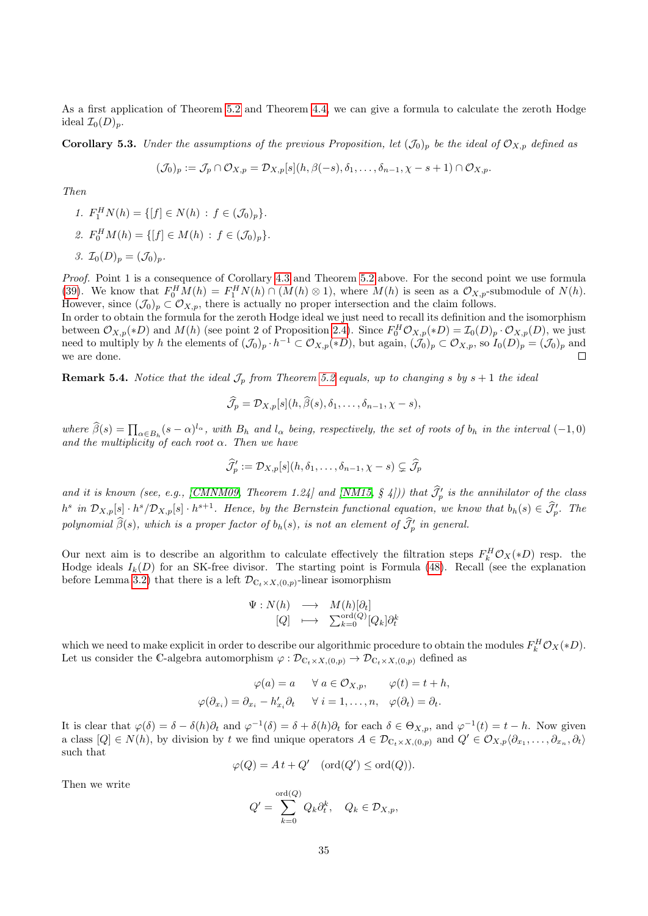As a first application of Theorem [5.2](#page-31-0) and Theorem [4.4,](#page-26-0) we can give a formula to calculate the zeroth Hodge ideal  $\mathcal{I}_0(D)_p$ .

**Corollary 5.3.** Under the assumptions of the previous Proposition, let  $(\mathcal{J}_0)_p$  be the ideal of  $\mathcal{O}_{X,p}$  defined as

$$
(\mathcal{J}_0)_p := \mathcal{J}_p \cap \mathcal{O}_{X,p} = \mathcal{D}_{X,p}[s](h,\beta(-s),\delta_1,\ldots,\delta_{n-1},\chi-s+1) \cap \mathcal{O}_{X,p}.
$$

Then

\n- 1. 
$$
F_1^H N(h) = \{ [f] \in N(h) : f \in (\mathcal{J}_0)_p \}.
$$
\n- 2.  $F_0^H M(h) = \{ [f] \in M(h) : f \in (\mathcal{J}_0)_p \}.$
\n- 3.  $\mathcal{I}_0(D)_p = (\mathcal{J}_0)_p.$
\n

Proof. Point 1 is a consequence of Corollary [4.3](#page-25-0) and Theorem [5.2](#page-31-0) above. For the second point we use formula [\(39\)](#page-26-2). We know that  $F_0^H M(h) = F_1^H N(h) \cap (M(h) \otimes 1)$ , where  $M(h)$  is seen as a  $\mathcal{O}_{X,p}$ -submodule of  $N(h)$ . However, since  $(\mathcal{J}_0)_p \subset \mathcal{O}_{X,p}$ , there is actually no proper intersection and the claim follows.

In order to obtain the formula for the zeroth Hodge ideal we just need to recall its definition and the isomorphism between  $\mathcal{O}_{X,p}(*D)$  and  $M(h)$  (see point 2 of Proposition [2.4\)](#page-4-3). Since  $F_0^H \mathcal{O}_{X,p}(*D) = \mathcal{I}_0(D)_p \cdot \mathcal{O}_{X,p}(D)$ , we just need to multiply by h the elements of  $(\mathcal{J}_0)_p \cdot h^{-1} \subset \mathcal{O}_{X,p}(*D)$ , but again,  $(\mathcal{J}_0)_p \subset \mathcal{O}_{X,p}$ , so  $I_0(D)_p = (\mathcal{J}_0)_p$  and we are done.

**Remark 5.4.** Notice that the ideal  $\mathcal{J}_p$  from Theorem [5.2](#page-31-0) equals, up to changing s by  $s + 1$  the ideal

$$
\widehat{\mathcal{J}}_p = \mathcal{D}_{X,p}[s](h,\widehat{\beta}(s),\delta_1,\ldots,\delta_{n-1},\chi-s),
$$

where  $\hat{\beta}(s) = \prod_{\alpha \in B_h} (s - \alpha)^{l_{\alpha}},$  with  $B_h$  and  $l_{\alpha}$  being, respectively, the set of roots of  $b_h$  in the interval (-1,0) and the multiplicity of each root  $\alpha$ . Then we have

$$
\widehat{\mathcal{J}}_p':=\mathcal{D}_{X,p}[s](h,\delta_1,\ldots,\delta_{n-1},\chi-s)\subsetneq\widehat{\mathcal{J}}_p
$$

and it is known (see, e.g., [\[CMNM09,](#page-40-12) Theorem 1.24] and [\[NM15,](#page-41-12) § 4])) that  $\hat{J}'_p$  is the annihilator of the class  $h^s$  in  $\mathcal{D}_{X,p}[s] \cdot h^s/\mathcal{D}_{X,p}[s] \cdot h^{s+1}$ . Hence, by the Bernstein functional equation, we know that  $b_h(s) \in \hat{\mathcal{J}}'_p$ . The polynomial  $\widehat{\beta}(s)$ , which is a proper factor of  $b_h(s)$ , is not an element of  $\widehat{\mathcal{J}}'_p$  in general.

Our next aim is to describe an algorithm to calculate effectively the filtration steps  $F_k^H \mathcal{O}_X(*D)$  resp. the Hodge ideals  $I_k(D)$  for an SK-free divisor. The starting point is Formula [\(48\)](#page-32-0). Recall (see the explanation before Lemma [3.2\)](#page-14-1) that there is a left  $\mathcal{D}_{\mathbb{C}_t \times X,(0,p)}$ -linear isomorphism

$$
\begin{array}{rcl}\n\Psi: N(h) & \longrightarrow & M(h)[\partial_t] \\
[Q] & \longmapsto & \sum_{k=0}^{\text{ord}(Q)}[Q_k]\partial\n\end{array}
$$

k t

which we need to make explicit in order to describe our algorithmic procedure to obtain the modules  $F_k^H \mathcal{O}_X(*D)$ . Let us consider the C-algebra automorphism  $\varphi : \mathcal{D}_{C_t \times X,(0,p)} \to \mathcal{D}_{C_t \times X,(0,p)}$  defined as

$$
\varphi(a) = a \quad \forall a \in \mathcal{O}_{X,p}, \qquad \varphi(t) = t + h,
$$
  

$$
\varphi(\partial_{x_i}) = \partial_{x_i} - h'_{x_i} \partial_t \qquad \forall i = 1, ..., n, \quad \varphi(\partial_t) = \partial_t.
$$

It is clear that  $\varphi(\delta) = \delta - \delta(h)\partial_t$  and  $\varphi^{-1}(\delta) = \delta + \delta(h)\partial_t$  for each  $\delta \in \Theta_{X,p}$ , and  $\varphi^{-1}(t) = t - h$ . Now given a class  $[Q] \in N(h)$ , by division by t we find unique operators  $A \in \mathcal{D}_{\mathbb{C}_t \times X,(0,p)}$  and  $Q' \in \mathcal{O}_{X,p}(\partial_{x_1}, \ldots, \partial_{x_n}, \partial_t)$ such that

$$
\varphi(Q) = At + Q' \quad (\text{ord}(Q') \le \text{ord}(Q)).
$$

Then we write

$$
Q' = \sum_{k=0}^{\text{ord}(Q)} Q_k \partial_t^k, \quad Q_k \in \mathcal{D}_{X,p},
$$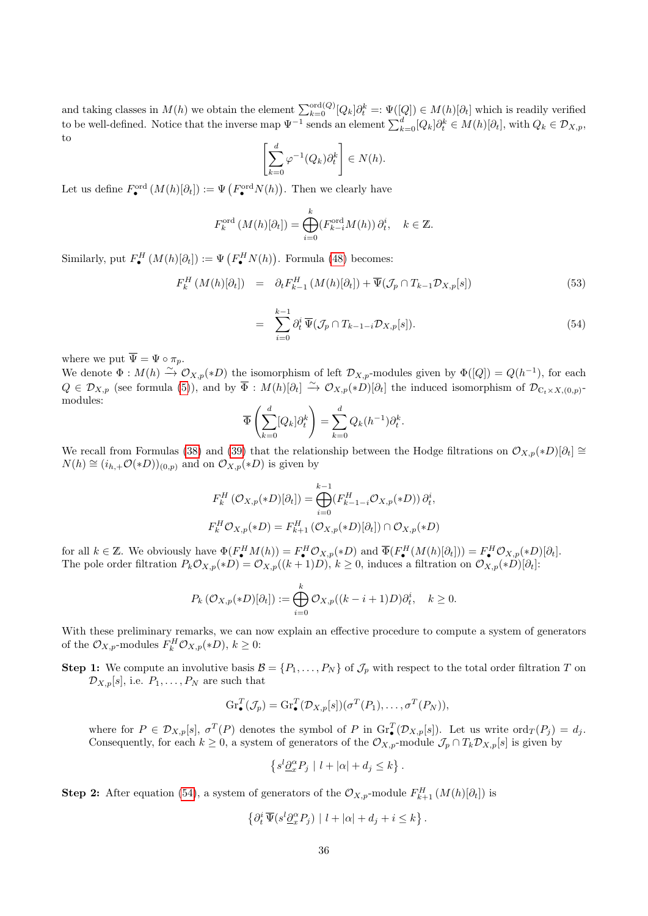and taking classes in  $M(h)$  we obtain the element  $\sum_{k=0}^{\text{ord}(Q)}[Q_k]\partial_t^k =: \Psi([Q]) \in M(h)[\partial_t]$  which is readily verified to be well-defined. Notice that the inverse map  $\Psi^{-1}$  sends an element  $\sum_{k=0}^{d} [Q_k] \partial_t^k \in M(h)[\partial_t]$ , with  $Q_k \in \mathcal{D}_{X,p}$ , to

$$
\left[\sum_{k=0}^d \varphi^{-1}(Q_k)\partial_t^k\right] \in N(h).
$$

Let us define  $F^{\text{ord}}_{\bullet}(M(h)[\partial_t]) := \Psi\left(F^{\text{ord}}_{\bullet}N(h)\right)$ . Then we clearly have

$$
F_k^{\text{ord}}\left(M(h)[\partial_t]\right) = \bigoplus_{i=0}^k \left(F_{k-i}^{\text{ord}}M(h)\right)\partial_t^i, \quad k \in \mathbb{Z}.
$$

Similarly, put  $F_{\bullet}^{H}(M(h)[\partial_{t}]) := \Psi\left(F_{\bullet}^{H}N(h)\right)$ . Formula [\(48\)](#page-32-0) becomes:

<span id="page-35-0"></span>
$$
F_k^H(M(h)[\partial_t]) = \partial_t F_{k-1}^H(M(h)[\partial_t]) + \overline{\Psi}(\mathcal{J}_p \cap T_{k-1} \mathcal{D}_{X,p}[s]) \tag{53}
$$

$$
= \sum_{i=0}^{k-1} \partial_t^i \overline{\Psi}(\mathcal{J}_p \cap T_{k-1-i} \mathcal{D}_{X,p}[s]). \tag{54}
$$

where we put  $\overline{\Psi} = \Psi \circ \pi_p$ .

We denote  $\Phi: M(h) \stackrel{\sim}{\to} \mathcal{O}_{X,p}(*D)$  the isomorphism of left  $\mathcal{D}_{X,p}$ -modules given by  $\Phi([Q]) = Q(h^{-1})$ , for each  $Q \in \mathcal{D}_{X,p}$  (see formula [\(5\)](#page-4-1)), and by  $\overline{\Phi}: M(h)[\partial_t] \stackrel{\sim}{\to} \mathcal{O}_{X,p}(*D)[\partial_t]$  the induced isomorphism of  $\mathcal{D}_{C_t \times X,(0,p)}$ modules:

$$
\overline{\Phi}\left(\sum_{k=0}^d [Q_k]\partial_t^k\right) = \sum_{k=0}^d Q_k(h^{-1})\partial_t^k.
$$

We recall from Formulas [\(38\)](#page-26-3) and [\(39\)](#page-26-2) that the relationship between the Hodge filtrations on  $\mathcal{O}_{X,p}(*D)[\partial_t] \cong$  $N(h) \cong (i_{h,+} \mathcal{O}(*D))_{(0,p)}$  and on  $\mathcal{O}_{X,p}(*D)$  is given by

$$
F_k^H\left(\mathcal{O}_{X,p}(*D)[\partial_t]\right) = \bigoplus_{i=0}^{k-1} \left(F_{k-1-i}^H \mathcal{O}_{X,p}(*D)\right) \partial_t^i,
$$
  

$$
F_k^H \mathcal{O}_{X,p}(*D) = F_{k+1}^H\left(\mathcal{O}_{X,p}(*D)[\partial_t]\right) \cap \mathcal{O}_{X,p}(*D)
$$

for all  $k \in \mathbb{Z}$ . We obviously have  $\Phi(F_{\bullet}^H M(h)) = F_{\bullet}^H \mathcal{O}_{X,p}(*D)$  and  $\overline{\Phi}(F_{\bullet}^H (M(h)[\partial_t])) = F_{\bullet}^H \mathcal{O}_{X,p}(*D)[\partial_t]$ . The pole order filtration  $P_k \mathcal{O}_{X,p}(*D) = \mathcal{O}_{X,p}((k+1)D), k \geq 0$ , induces a filtration on  $\mathcal{O}_{X,p}(*D)[\partial_t]$ :

$$
P_k(\mathcal{O}_{X,p}(*D)[\partial_t]):=\bigoplus_{i=0}^k \mathcal{O}_{X,p}((k-i+1)D)\partial_t^i, \quad k\geq 0.
$$

With these preliminary remarks, we can now explain an effective procedure to compute a system of generators of the  $\mathcal{O}_{X,p}$ -modules  $F_k^H \mathcal{O}_{X,p}(*D), k \geq 0$ :

**Step 1:** We compute an involutive basis  $\mathcal{B} = \{P_1, \ldots, P_N\}$  of  $\mathcal{J}_p$  with respect to the total order filtration T on  $\mathcal{D}_{X,p}[s]$ , i.e.  $P_1, \ldots, P_N$  are such that

$$
\operatorname{Gr}_{\bullet}^T(\mathcal{J}_p) = \operatorname{Gr}_{\bullet}^T(\mathcal{D}_{X,p}[s]) (\sigma^T(P_1), \ldots, \sigma^T(P_N)),
$$

where for  $P \in \mathcal{D}_{X,p}[s], \sigma^T(P)$  denotes the symbol of P in  $\mathrm{Gr}_{\bullet}^T(\mathcal{D}_{X,p}[s])$ . Let us write  $\mathrm{ord}_T(P_j) = d_j$ . Consequently, for each  $k \geq 0$ , a system of generators of the  $\mathcal{O}_{X,p}$ -module  $\mathcal{J}_p \cap T_k \mathcal{D}_{X,p}[s]$  is given by

$$
\left\{s^l\underline{\partial}_x^{\alpha} P_j \mid l+|\alpha|+d_j\leq k\right\}.
$$

**Step 2:** After equation [\(54\)](#page-35-0), a system of generators of the  $\mathcal{O}_{X,p}$ -module  $F_{k+1}^H(M(h)[\partial_t])$  is

$$
\left\{\partial_t^i \,\overline{\Psi}(s^l \underline{\partial}_x^{\alpha} P_j) \mid l + |\alpha| + d_j + i \leq k\right\}.
$$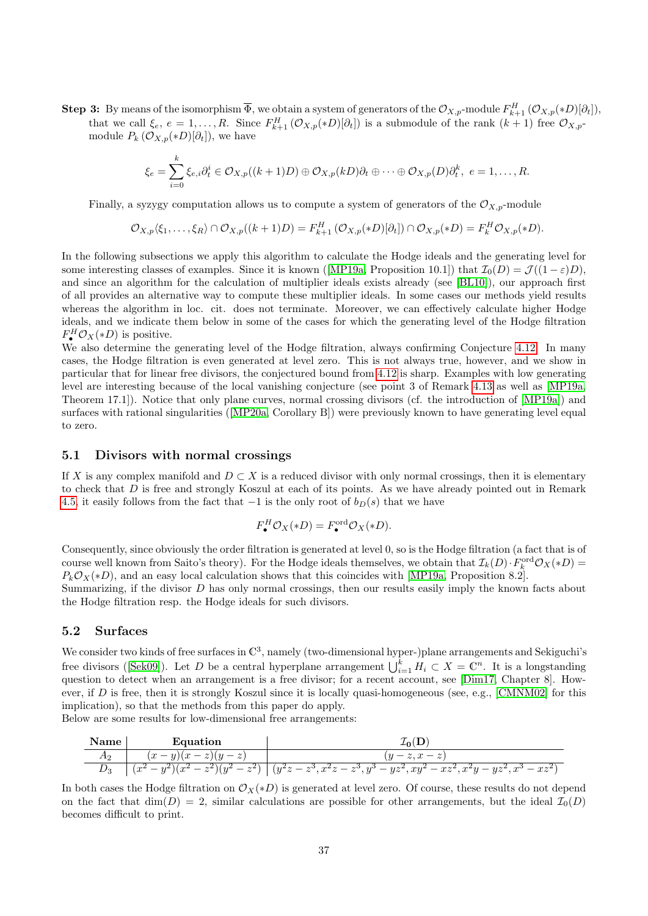**Step 3:** By means of the isomorphism  $\overline{\Phi}$ , we obtain a system of generators of the  $\mathcal{O}_{X,p}$ -module  $F_{k+1}^H(\mathcal{O}_{X,p}(*D)[\partial_t]),$ that we call  $\xi_e, e = 1, \ldots, R$ . Since  $F_{k+1}^H(\mathcal{O}_{X,p}(*D)[\partial_t])$  is a submodule of the rank  $(k+1)$  free  $\mathcal{O}_{X,p}$ module  $P_k \left( \mathcal{O}_{X,p}(*D)[\partial_t] \right)$ , we have

$$
\xi_e = \sum_{i=0}^k \xi_{e,i} \partial_t^i \in \mathcal{O}_{X,p}((k+1)D) \oplus \mathcal{O}_{X,p}(kD) \partial_t \oplus \cdots \oplus \mathcal{O}_{X,p}(D) \partial_t^k, \ e = 1, \ldots, R.
$$

Finally, a syzygy computation allows us to compute a system of generators of the  $\mathcal{O}_{X,p}$ -module

$$
\mathcal{O}_{X,p}\langle \xi_1,\ldots,\xi_R\rangle \cap \mathcal{O}_{X,p}((k+1)D)=F_{k+1}^H\left(\mathcal{O}_{X,p}(*D)[\partial_t]\right) \cap \mathcal{O}_{X,p}(*D)=F_k^H\mathcal{O}_{X,p}(*D).
$$

In the following subsections we apply this algorithm to calculate the Hodge ideals and the generating level for someinteresting classes of examples. Since it is known ([\[MP19a,](#page-41-3) Proposition 10.1]) that  $\mathcal{I}_0(D) = \mathcal{J}((1 - \varepsilon)D)$ , and since an algorithm for the calculation of multiplier ideals exists already (see [\[BL10\]](#page-39-1)), our approach first of all provides an alternative way to compute these multiplier ideals. In some cases our methods yield results whereas the algorithm in loc. cit. does not terminate. Moreover, we can effectively calculate higher Hodge ideals, and we indicate them below in some of the cases for which the generating level of the Hodge filtration  $F^H_{\bullet} \mathcal{O}_X(*D)$  is positive.

We also determine the generating level of the Hodge filtration, always confirming Conjecture [4.12.](#page-29-0) In many cases, the Hodge filtration is even generated at level zero. This is not always true, however, and we show in particular that for linear free divisors, the conjectured bound from [4.12](#page-29-0) is sharp. Examples with low generating level are interesting because of the local vanishing conjecture (see point 3 of Remark [4.13](#page-0-0) as well as [\[MP19a,](#page-41-3) Theorem 17.1]). Notice that only plane curves, normal crossing divisors (cf. the introduction of [\[MP19a\]](#page-41-3)) and surfaces with rational singularities([\[MP20a,](#page-41-5) Corollary B]) were previously known to have generating level equal to zero.

#### <span id="page-36-0"></span>5.1 Divisors with normal crossings

If X is any complex manifold and  $D \subset X$  is a reduced divisor with only normal crossings, then it is elementary to check that D is free and strongly Koszul at each of its points. As we have already pointed out in Remark [4.5,](#page-27-1) it easily follows from the fact that  $-1$  is the only root of  $b_D(s)$  that we have

$$
F_{\bullet}^{H} \mathcal{O}_{X}(*D) = F_{\bullet}^{\text{ord}} \mathcal{O}_{X}(*D).
$$

Consequently, since obviously the order filtration is generated at level 0, so is the Hodge filtration (a fact that is of course well known from Saito's theory). For the Hodge ideals themselves, we obtain that  $\mathcal{I}_k(D) \cdot F_k^{\text{ord}} \mathcal{O}_X(*D) =$  $P_kO_X(*D)$ , and an easy local calculation shows that this coincides with [\[MP19a,](#page-41-3) Proposition 8.2].

Summarizing, if the divisor D has only normal crossings, then our results easily imply the known facts about the Hodge filtration resp. the Hodge ideals for such divisors.

#### 5.2 Surfaces

We consider two kinds of free surfaces in  $\mathbb{C}^3$ , namely (two-dimensional hyper-)plane arrangements and Sekiguchi's freedivisors ([\[Sek09\]](#page-42-4)). Let D be a central hyperplane arrangement  $\bigcup_{i=1}^{k} H_i \subset X = \mathbb{C}^n$ . It is a longstanding question to detect when an arrangement is a free divisor; for a recent account, see [\[Dim17,](#page-40-4) Chapter 8]. However, if D is free, then it is strongly Koszul since it is locally quasi-homogeneous (see, e.g., [\[CMNM02\]](#page-40-16) for this implication), so that the methods from this paper do apply.

Below are some results for low-dimensional free arrangements:



In both cases the Hodge filtration on  $\mathcal{O}_X(*D)$  is generated at level zero. Of course, these results do not depend on the fact that  $\dim(D) = 2$ , similar calculations are possible for other arrangements, but the ideal  $\mathcal{I}_0(D)$ becomes difficult to print.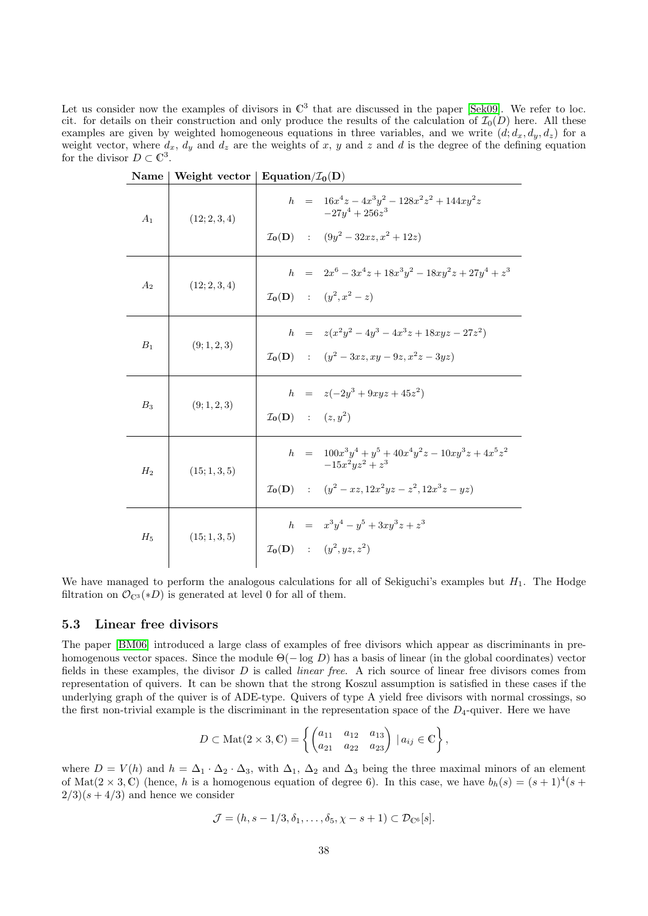Let us consider now the examples of divisors in  $\mathbb{C}^3$  that are discussed in the paper [\[Sek09\]](#page-42-4). We refer to loc. cit. for details on their construction and only produce the results of the calculation of  $\mathcal{I}_0(D)$  here. All these examples are given by weighted homogeneous equations in three variables, and we write  $(d; d_x, d_y, d_z)$  for a weight vector, where  $d_x$ ,  $d_y$  and  $d_z$  are the weights of x, y and z and d is the degree of the defining equation for the divisor  $D \subset \mathbb{C}^3$ .

| Name  |               | Weight vector   Equation/ $\mathcal{I}_0(D)$                                                                                                                     |
|-------|---------------|------------------------------------------------------------------------------------------------------------------------------------------------------------------|
| $A_1$ | (12; 2, 3, 4) | $h = 16x^4z - 4x^3y^2 - 128x^2z^2 + 144xy^2z$<br>$-27u^4+256z^3$<br>$\mathcal{I}_0(\mathbf{D})$ : $(9y^2 - 32xz, x^2 + 12z)$                                     |
| $A_2$ | (12; 2, 3, 4) | $h = 2x^6 - 3x^4z + 18x^3y^2 - 18xy^2z + 27y^4 + z^3$<br>$\mathcal{I}_{0}(D)$ : $(y^{2}, x^{2} - z)$                                                             |
| $B_1$ | (9; 1, 2, 3)  | $h = z(x^2y^2 - 4y^3 - 4x^3z + 18xyz - 27z^2)$<br>$\mathcal{I}_{0}(\mathbf{D})$ : $(y^2-3xz, xy-9z, x^2z-3yz)$                                                   |
| $B_3$ | (9; 1, 2, 3)  | $h = z(-2y^3 + 9xyz + 45z^2)$<br>$\mathcal{I}_{\mathbf{0}}(\mathbf{D})$ : $(z, y^2)$                                                                             |
| $H_2$ | (15; 1, 3, 5) | $h = 100x^3y^4 + y^5 + 40x^4y^2z - 10xy^3z + 4x^5z^2$<br>$-15x^2yz^2 + z^3$<br>$\mathcal{I}_{\mathbf{0}}(\mathbf{D})$ : $(y^2 - xz, 12x^2yz - z^2, 12x^3z - yz)$ |
| $H_5$ | (15; 1, 3, 5) | $h = x^3y^4 - y^5 + 3xy^3z + z^3$<br>$\mathcal{I}_{0}(D)$ : $(y^{2}, yz, z^{2})$                                                                                 |

We have managed to perform the analogous calculations for all of Sekiguchi's examples but  $H_1$ . The Hodge filtration on  $\mathcal{O}_{\mathbb{C}^3}(*D)$  is generated at level 0 for all of them.

#### <span id="page-37-0"></span>5.3 Linear free divisors

The paper [\[BM06\]](#page-40-17) introduced a large class of examples of free divisors which appear as discriminants in prehomogenous vector spaces. Since the module  $\Theta(-\log D)$  has a basis of linear (in the global coordinates) vector fields in these examples, the divisor  $D$  is called *linear free*. A rich source of linear free divisors comes from representation of quivers. It can be shown that the strong Koszul assumption is satisfied in these cases if the underlying graph of the quiver is of ADE-type. Quivers of type A yield free divisors with normal crossings, so the first non-trivial example is the discriminant in the representation space of the  $D_4$ -quiver. Here we have

$$
D \subset \text{Mat}(2 \times 3, \mathbb{C}) = \left\{ \begin{pmatrix} a_{11} & a_{12} & a_{13} \\ a_{21} & a_{22} & a_{23} \end{pmatrix} \mid a_{ij} \in \mathbb{C} \right\},\
$$

where  $D = V(h)$  and  $h = \Delta_1 \cdot \Delta_2 \cdot \Delta_3$ , with  $\Delta_1$ ,  $\Delta_2$  and  $\Delta_3$  being the three maximal minors of an element of Mat $(2 \times 3, \mathbb{C})$  (hence, h is a homogenous equation of degree 6). In this case, we have  $b_h(s) = (s+1)^4(s+1)$  $2/3$ (s + 4/3) and hence we consider

$$
\mathcal{J} = (h, s - 1/3, \delta_1, \dots, \delta_5, \chi - s + 1) \subset \mathcal{D}_{\mathbb{C}^6}[s].
$$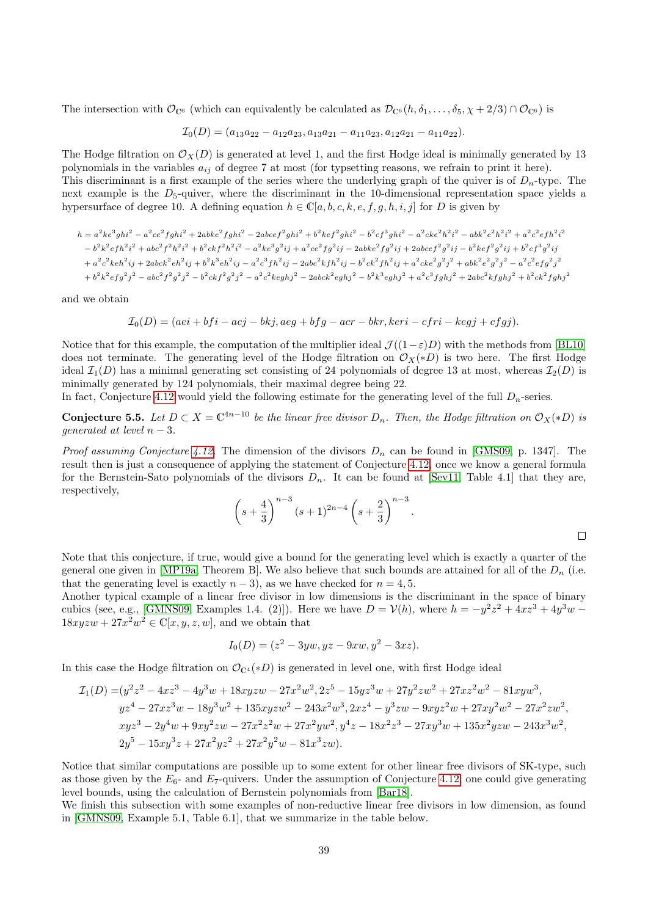The intersection with  $\mathcal{O}_{\mathbb{C}^6}$  (which can equivalently be calculated as  $\mathcal{D}_{\mathbb{C}^6}(h, \delta_1, \ldots, \delta_5, \chi + 2/3) \cap \mathcal{O}_{\mathbb{C}^6}$ ) is

$$
\mathcal{I}_0(D) = (a_{13}a_{22} - a_{12}a_{23}, a_{13}a_{21} - a_{11}a_{23}, a_{12}a_{21} - a_{11}a_{22}).
$$

The Hodge filtration on  $\mathcal{O}_X(D)$  is generated at level 1, and the first Hodge ideal is minimally generated by 13 polynomials in the variables  $a_{ij}$  of degree 7 at most (for typsetting reasons, we refrain to print it here). This discriminant is a first example of the series where the underlying graph of the quiver is of  $D_n$ -type. The next example is the  $D_5$ -quiver, where the discriminant in the 10-dimensional representation space yields a hypersurface of degree 10. A defining equation  $h \in \mathbb{C}[a, b, c, k, e, f, g, h, i, j]$  for D is given by

$$
h=a^{2}ke^{3}ghi^{2}-a^{2}ce^{2}fghi^{2}+2abke^{2}fghi^{2}-2abcef^{2}ghi^{2}+b^{2}kef^{2}ghi^{2}-b^{2}cf^{3}ghi^{2}-a^{2}cke^{2}h^{2}i^{2}-abk^{2}e^{2}h^{2}i^{2}+a^{2}c^{2}efh^{2}i^{2}+a^{2}c^{2}efh^{2}i^{2}+b^{2}c^{2}f^{2}h^{2}i^{2}+b^{2}ckf^{2}h^{2}i^{2}-a^{2}ke^{3}g^{2}ij+a^{2}ce^{2}fg^{2}ij-2abke^{2}fg^{2}ij+2abcef^{2}g^{2}ij-b^{2}kef^{2}g^{2}ij+b^{2}cf^{3}g^{2}ij+2a^{2}ce^{2}keh^{2}ij+2abcef^{2}g^{2}ij+b^{2}cf^{3}g^{2}ij+2abce^{2}e^{2}kfh^{2}ij+2abcke^{2}e^{2}g^{2}ij+b^{2}cf^{3}g^{2}ij+2abcke^{2}e^{2}kfh^{2}ij+2abcke^{2}e^{2}g^{2}j^{2}-a^{2}c^{2}e^{2}f^{2}j^{2}-a^{2}c^{2}e^{2}f^{2}j^{2}-a^{2}c^{2}keghj^{2}-2abck^{2}eghj^{2}-b^{2}k^{3}eghj^{2}+a^{2}c^{3}fghj^{2}+2abc^{2}kfghj^{2}+b^{2}ck^{2}fghj^{2}+2c^{2}g^{2}fghj^{2}+2c^{2}g^{2}fghj^{2}+2c^{2}g^{2}fghj^{2}+2c^{2}g^{2}fghj^{2}+2c^{2}g^{2}fghj^{2}+2c^{2}g^{2}fghj^{2}+2c^{2}g^{2}fghj^{2}+2c^{2}g^{2}fghj^{2}+2c^{2}g^{2}fghj^{2}+2c^{2}g^{2}fghj^{2}+2c^{2}g^{2}fghj^{2}+2c^{2}g^{2}fghj^{2}+2c^{2}g^{2}fghj^{2}+2c^{2}g^{2}fghj^{2}+2c^{2}g^{2}fghj^{2}+2c^{
$$

and we obtain

$$
\mathcal{I}_0(D)=(aei+bfi-acj-bkj, aeg+bfg-acr-bkr, keri-cfri-kegj+cfgj).
$$

Notice that for this example, the computation of the multiplier ideal  $\mathcal{J}((1-\varepsilon)D)$  with the methods from [\[BL10\]](#page-39-1) does not terminate. The generating level of the Hodge filtration on  $\mathcal{O}_X(*D)$  is two here. The first Hodge ideal  $\mathcal{I}_1(D)$  has a minimal generating set consisting of 24 polynomials of degree 13 at most, whereas  $\mathcal{I}_2(D)$  is minimally generated by 124 polynomials, their maximal degree being 22.

In fact, Conjecture [4.12](#page-29-0) would yield the following estimate for the generating level of the full  $D_n$ -series.

**Conjecture 5.5.** Let  $D \subset X = \mathbb{C}^{4n-10}$  be the linear free divisor  $D_n$ . Then, the Hodge filtration on  $\mathcal{O}_X(*D)$  is qenerated at level  $n-3$ .

*Proof assuming Conjecture [4.12.](#page-29-0)* The dimension of the divisors  $D_n$  can be found in [\[GMS09,](#page-40-18) p. 1347]. The result then is just a consequence of applying the statement of Conjecture [4.12,](#page-29-0) once we know a general formula for the Bernstein-Sato polynomials of the divisors  $D_n$ . It can be found at [\[Sev11,](#page-42-5) Table 4.1] that they are, respectively,

$$
\left(s+\frac{4}{3}\right)^{n-3}(s+1)^{2n-4}\left(s+\frac{2}{3}\right)^{n-3}.
$$

Note that this conjecture, if true, would give a bound for the generating level which is exactly a quarter of the general one given in [\[MP19a,](#page-41-3) Theorem B]. We also believe that such bounds are attained for all of the  $D_n$  (i.e. that the generating level is exactly  $n-3$ ), as we have checked for  $n = 4, 5$ .

Another typical example of a linear free divisor in low dimensions is the discriminant in the space of binary cubics (see, e.g., [\[GMNS09,](#page-40-3) Examples 1.4. (2)]). Here we have  $D = V(h)$ , where  $h = -y^2z^2 + 4xz^3 + 4y^3w$  $18xyzw+27x^2w^2 \in \mathbb{C}[x,y,z,w]$ , and we obtain that

$$
I_0(D) = (z^2 - 3yw, yz - 9xw, y^2 - 3xz).
$$

In this case the Hodge filtration on  $\mathcal{O}_{\mathbb{C}^4}(*D)$  is generated in level one, with first Hodge ideal

$$
\mathcal{I}_1(D) = (y^2z^2 - 4xz^3 - 4y^3w + 18xyzw - 27x^2w^2, 2z^5 - 15yz^3w + 27y^2zw^2 + 27xz^2w^2 - 81xyw^3,
$$
  
\n
$$
yz^4 - 27xz^3w - 18y^3w^2 + 135xyzw^2 - 243x^2w^3, 2xz^4 - y^3zw - 9xyz^2w + 27xy^2w^2 - 27x^2zw^2,
$$
  
\n
$$
xyz^3 - 2y^4w + 9xy^2zw - 27x^2z^2w + 27x^2yw^2, y^4z - 18x^2z^3 - 27xy^3w + 135x^2yzw - 243x^3w^2,
$$
  
\n
$$
2y^5 - 15xy^3z + 27x^2yz^2 + 27x^2y^2w - 81x^3zw).
$$

Notice that similar computations are possible up to some extent for other linear free divisors of SK-type, such as those given by the  $E_6$ - and  $E_7$ -quivers. Under the assumption of Conjecture [4.12,](#page-29-0) one could give generating level bounds, using the calculation of Bernstein polynomials from [\[Bar18\]](#page-39-2).

We finish this subsection with some examples of non-reductive linear free divisors in low dimension, as found in [\[GMNS09,](#page-40-3) Example 5.1, Table 6.1], that we summarize in the table below.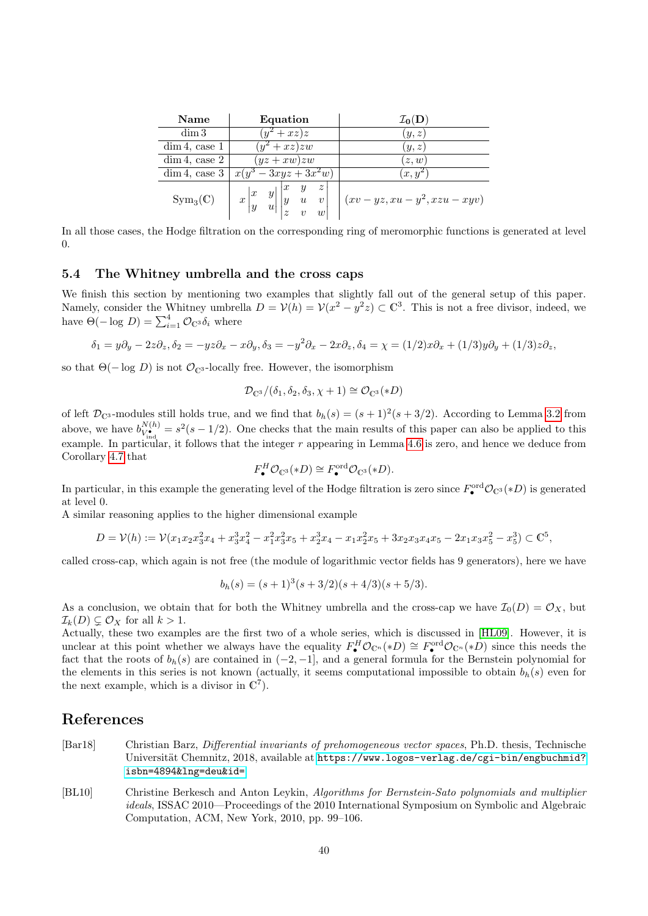| Name                | Equation                                                                                                                                                       | $\mathcal{I}_{0}(\mathbf{D})$                |
|---------------------|----------------------------------------------------------------------------------------------------------------------------------------------------------------|----------------------------------------------|
| $\dim 3$            | $(y^2+xz)z$                                                                                                                                                    | (y, z)                                       |
| $\dim 4$ , case 1   | $(y^2+xz)zw$                                                                                                                                                   | (y,z)                                        |
| $dim 4$ , case 2    | $(yz + xw)zw$                                                                                                                                                  | (z,w)                                        |
| $\dim 4$ , case 3   | $x(y^3-3xyz+3x^2w)$                                                                                                                                            | $(x, y^2)$                                   |
| $Sym_3(\mathbb{C})$ | $\boldsymbol{z}$<br>$x\begin{vmatrix} x & y \\ y & u \end{vmatrix}\begin{vmatrix} x & y \\ y & u \\ z & v \end{vmatrix}$<br>$\boldsymbol{v}$<br>$\overline{w}$ | $\vert (xv - yz, xu - y^2, xzu - xyv) \vert$ |

In all those cases, the Hodge filtration on the corresponding ring of meromorphic functions is generated at level 0.

#### <span id="page-39-0"></span>5.4 The Whitney umbrella and the cross caps

We finish this section by mentioning two examples that slightly fall out of the general setup of this paper. Namely, consider the Whitney umbrella  $D = V(h) = V(x^2 - y^2z) \subset \mathbb{C}^3$ . This is not a free divisor, indeed, we have  $\Theta(-\log D) = \sum_{i=1}^{4} \mathcal{O}_{\mathbb{C}^3} \delta_i$  where

$$
\delta_1 = y\partial_y - 2z\partial_z, \delta_2 = -yz\partial_x - x\partial_y, \delta_3 = -y^2\partial_x - 2x\partial_z, \delta_4 = \chi = (1/2)x\partial_x + (1/3)y\partial_y + (1/3)z\partial_z,
$$

so that  $\Theta(-\log D)$  is not  $\mathcal{O}_{\mathbb{C}^3}$ -locally free. However, the isomorphism

$$
\mathcal{D}_{\mathbb{C}^3}/(\delta_1, \delta_2, \delta_3, \chi+1) \cong \mathcal{O}_{\mathbb{C}^3}(*D)
$$

of left  $\mathcal{D}_{\mathbb{C}^3}$ -modules still holds true, and we find that  $b_h(s) = (s+1)^2(s+3/2)$ . According to Lemma [3.2](#page-14-1) from above, we have  $b_{V^{\bullet}}^{N(h)}$  $V_{\bullet}^{(h)} = s^2(s-1/2)$ . One checks that the main results of this paper can also be applied to this example. In particular, it follows that the integer  $r$  appearing in Lemma [4.6](#page-27-0) is zero, and hence we deduce from Corollary [4.7](#page-28-1) that

$$
F_{\bullet}^H \mathcal{O}_{\mathbb{C}^3}(*D) \cong F_{\bullet}^{\text{ord}} \mathcal{O}_{\mathbb{C}^3}(*D).
$$

In particular, in this example the generating level of the Hodge filtration is zero since  $F_{\bullet}^{\text{ord}}\mathcal{O}_{\mathbb{C}^3}(*D)$  is generated at level 0.

A similar reasoning applies to the higher dimensional example

$$
D = \mathcal{V}(h) := \mathcal{V}(x_1 x_2 x_3^2 x_4 + x_3^3 x_4^2 - x_1^2 x_3^2 x_5 + x_2^3 x_4 - x_1 x_2^2 x_5 + 3 x_2 x_3 x_4 x_5 - 2 x_1 x_3 x_5^2 - x_5^3) \subset \mathbb{C}^5,
$$

called cross-cap, which again is not free (the module of logarithmic vector fields has 9 generators), here we have

$$
b_h(s) = (s+1)^3(s+3/2)(s+4/3)(s+5/3).
$$

As a conclusion, we obtain that for both the Whitney umbrella and the cross-cap we have  $\mathcal{I}_0(D) = \mathcal{O}_X$ , but  $\mathcal{I}_k(D) \subsetneq \mathcal{O}_X$  for all  $k > 1$ .

Actually, these two examples are the first two of a whole series, which is discussed in [\[HL09\]](#page-40-19). However, it is unclear at this point whether we always have the equality  $F^H_{\bullet} \mathcal{O}_{\mathbb{C}^n}(*D) \cong F^{\text{ord}}_{\bullet} \mathcal{O}_{\mathbb{C}^n}(*D)$  since this needs the fact that the roots of  $b_h(s)$  are contained in  $(-2, -1]$ , and a general formula for the Bernstein polynomial for the elements in this series is not known (actually, it seems computational impossible to obtain  $b_h(s)$  even for the next example, which is a divisor in  $\mathbb{C}^7$ .

### References

- <span id="page-39-2"></span>[Bar18] Christian Barz, Differential invariants of prehomogeneous vector spaces, Ph.D. thesis, Technische Universität Chemnitz, 2018, available at [https://www.logos-verlag.de/cgi-bin/engbuchmid?](https://www.logos-verlag.de/cgi-bin/engbuchmid?isbn=4894&lng=deu&id=) [isbn=4894&lng=deu&id=](https://www.logos-verlag.de/cgi-bin/engbuchmid?isbn=4894&lng=deu&id=).
- <span id="page-39-1"></span>[BL10] Christine Berkesch and Anton Leykin, Algorithms for Bernstein-Sato polynomials and multiplier ideals, ISSAC 2010—Proceedings of the 2010 International Symposium on Symbolic and Algebraic Computation, ACM, New York, 2010, pp. 99–106.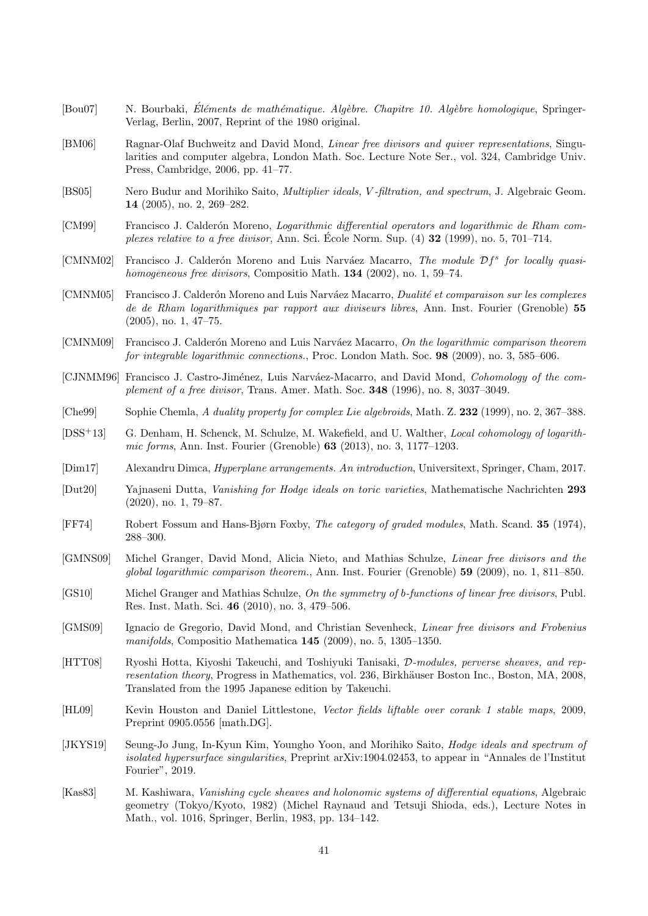- <span id="page-40-14"></span> $[Bou07]$  N. Bourbaki, Éléments de mathématique. Algèbre. Chapitre 10. Algèbre homologique, Springer-Verlag, Berlin, 2007, Reprint of the 1980 original.
- <span id="page-40-17"></span>[BM06] Ragnar-Olaf Buchweitz and David Mond, Linear free divisors and quiver representations, Singularities and computer algebra, London Math. Soc. Lecture Note Ser., vol. 324, Cambridge Univ. Press, Cambridge, 2006, pp. 41–77.
- <span id="page-40-0"></span>[BS05] Nero Budur and Morihiko Saito, Multiplier ideals, V -filtration, and spectrum, J. Algebraic Geom. 14 (2005), no. 2, 269–282.
- <span id="page-40-7"></span>[CM99] Francisco J. Calderón Moreno, Logarithmic differential operators and logarithmic de Rham complexes relative to a free divisor, Ann. Sci. Ecole Norm. Sup.  $(4)$  32  $(1999)$ , no. 5, 701–714.
- <span id="page-40-16"></span>[CMNM02] Francisco J. Calderón Moreno and Luis Narváez Macarro, The module  $\mathcal{D}f^s$  for locally quasihomogeneous free divisors, Compositio Math. **134** (2002), no. 1, 59–74.
- <span id="page-40-8"></span>[CMNM05] Francisco J. Calderón Moreno and Luis Narváez Macarro, *Dualité et comparaison sur les complexes* de de Rham logarithmiques par rapport aux diviseurs libres, Ann. Inst. Fourier (Grenoble) 55 (2005), no. 1, 47–75.
- <span id="page-40-12"></span>[CMNM09] Francisco J. Calderón Moreno and Luis Narváez Macarro, On the logarithmic comparison theorem for integrable logarithmic connections., Proc. London Math. Soc. 98 (2009), no. 3, 585–606.
- <span id="page-40-6"></span>[CJNMM96] Francisco J. Castro-Jiménez, Luis Narváez-Macarro, and David Mond, Cohomology of the complement of a free divisor, Trans. Amer. Math. Soc. 348 (1996), no. 8, 3037–3049.
- <span id="page-40-10"></span>[Che99] Sophie Chemla, A duality property for complex Lie algebroids, Math. Z. 232 (1999), no. 2, 367–388.
- <span id="page-40-5"></span>[DSS+13] G. Denham, H. Schenck, M. Schulze, M. Wakefield, and U. Walther, Local cohomology of logarithmic forms, Ann. Inst. Fourier (Grenoble) 63 (2013), no. 3, 1177–1203.
- <span id="page-40-4"></span>[Dim17] Alexandru Dimca, Hyperplane arrangements. An introduction, Universitext, Springer, Cham, 2017.
- <span id="page-40-1"></span>[Dut20] Yajnaseni Dutta, Vanishing for Hodge ideals on toric varieties, Mathematische Nachrichten 293 (2020), no. 1, 79–87.
- <span id="page-40-11"></span>[FF74] Robert Fossum and Hans-Bjørn Foxby, The category of graded modules, Math. Scand. 35 (1974), 288–300.
- <span id="page-40-3"></span>[GMNS09] Michel Granger, David Mond, Alicia Nieto, and Mathias Schulze, Linear free divisors and the global logarithmic comparison theorem., Ann. Inst. Fourier (Grenoble) 59 (2009), no. 1, 811–850.
- <span id="page-40-9"></span>[GS10] Michel Granger and Mathias Schulze, On the symmetry of b-functions of linear free divisors, Publ. Res. Inst. Math. Sci. 46 (2010), no. 3, 479–506.
- <span id="page-40-18"></span>[GMS09] Ignacio de Gregorio, David Mond, and Christian Sevenheck, Linear free divisors and Frobenius manifolds, Compositio Mathematica 145 (2009), no. 5, 1305–1350.
- <span id="page-40-15"></span>[HTT08] Ryoshi Hotta, Kiyoshi Takeuchi, and Toshiyuki Tanisaki, D-modules, perverse sheaves, and representation theory. Progress in Mathematics, vol. 236, Birkhäuser Boston Inc., Boston, MA, 2008, Translated from the 1995 Japanese edition by Takeuchi.
- <span id="page-40-19"></span>[HL09] Kevin Houston and Daniel Littlestone, Vector fields liftable over corank 1 stable maps, 2009, Preprint 0905.0556 [math.DG].
- <span id="page-40-2"></span>[JKYS19] Seung-Jo Jung, In-Kyun Kim, Youngho Yoon, and Morihiko Saito, Hodge ideals and spectrum of isolated hypersurface singularities, Preprint arXiv:1904.02453, to appear in "Annales de l'Institut Fourier", 2019.
- <span id="page-40-13"></span>[Kas83] M. Kashiwara, Vanishing cycle sheaves and holonomic systems of differential equations, Algebraic geometry (Tokyo/Kyoto, 1982) (Michel Raynaud and Tetsuji Shioda, eds.), Lecture Notes in Math., vol. 1016, Springer, Berlin, 1983, pp. 134–142.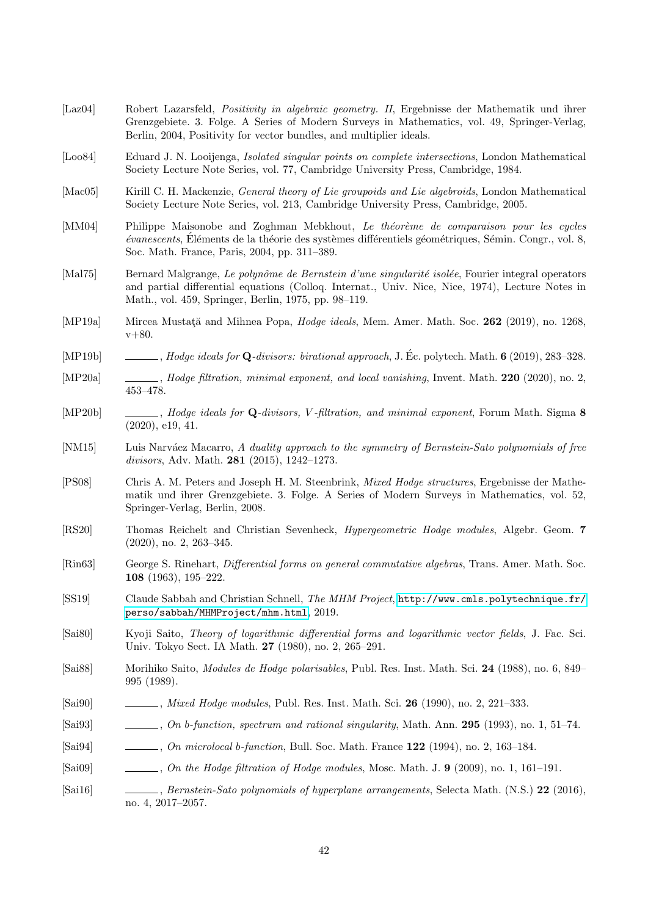- <span id="page-41-8"></span>[Laz04] Robert Lazarsfeld, Positivity in algebraic geometry. II, Ergebnisse der Mathematik und ihrer Grenzgebiete. 3. Folge. A Series of Modern Surveys in Mathematics, vol. 49, Springer-Verlag, Berlin, 2004, Positivity for vector bundles, and multiplier ideals.
- <span id="page-41-10"></span>[Loo84] Eduard J. N. Looijenga, Isolated singular points on complete intersections, London Mathematical Society Lecture Note Series, vol. 77, Cambridge University Press, Cambridge, 1984.
- <span id="page-41-14"></span>[Mac05] Kirill C. H. Mackenzie, General theory of Lie groupoids and Lie algebroids, London Mathematical Society Lecture Note Series, vol. 213, Cambridge University Press, Cambridge, 2005.
- <span id="page-41-17"></span>[MM04] Philippe Maisonobe and Zoghman Mebkhout, Le théorème de comparaison pour les cycles  $évanescents$ , Eléments de la théorie des systèmes différentiels géométriques, Sémin. Congr., vol. 8, Soc. Math. France, Paris, 2004, pp. 311–389.
- <span id="page-41-18"></span>[Mal75] Bernard Malgrange, Le polynôme de Bernstein d'une singularité isolée, Fourier integral operators and partial differential equations (Colloq. Internat., Univ. Nice, Nice, 1974), Lecture Notes in Math., vol. 459, Springer, Berlin, 1975, pp. 98–119.
- <span id="page-41-3"></span>[MP19a] Mircea Mustată and Mihnea Popa, *Hodge ideals*, Mem. Amer. Math. Soc. 262 (2019), no. 1268, v+80.
- <span id="page-41-4"></span>[MP19b] , Hodge ideals for Q-divisors: birational approach, J. Ec. polytech. Math. ´ 6 (2019), 283–328.
- <span id="page-41-5"></span>[MP20a] , Hodge filtration, minimal exponent, and local vanishing, Invent. Math. 220 (2020), no. 2, 453–478.
- <span id="page-41-6"></span>[MP20b] , Hodge ideals for Q-divisors, V-filtration, and minimal exponent, Forum Math. Sigma 8 (2020), e19, 41.
- <span id="page-41-12"></span>[NM15] Luis Narváez Macarro, A duality approach to the symmetry of Bernstein-Sato polynomials of free divisors, Adv. Math. **281** (2015), 1242-1273.
- <span id="page-41-11"></span>[PS08] Chris A. M. Peters and Joseph H. M. Steenbrink, Mixed Hodge structures, Ergebnisse der Mathematik und ihrer Grenzgebiete. 3. Folge. A Series of Modern Surveys in Mathematics, vol. 52, Springer-Verlag, Berlin, 2008.
- <span id="page-41-20"></span>[RS20] Thomas Reichelt and Christian Sevenheck, Hypergeometric Hodge modules, Algebr. Geom. 7 (2020), no. 2, 263–345.
- <span id="page-41-13"></span>[Rin63] George S. Rinehart, Differential forms on general commutative algebras, Trans. Amer. Math. Soc. 108 (1963), 195–222.
- <span id="page-41-15"></span>[SS19] Claude Sabbah and Christian Schnell, The MHM Project, [http://www.cmls.polytechnique.fr/](http://www.cmls.polytechnique.fr/perso/sabbah/MHMProject/mhm.html) [perso/sabbah/MHMProject/mhm.html](http://www.cmls.polytechnique.fr/perso/sabbah/MHMProject/mhm.html), 2019.
- <span id="page-41-9"></span>[Sai80] Kyoji Saito, Theory of logarithmic differential forms and logarithmic vector fields, J. Fac. Sci. Univ. Tokyo Sect. IA Math. 27 (1980), no. 2, 265–291.
- <span id="page-41-0"></span>[Sai88] Morihiko Saito, Modules de Hodge polarisables, Publ. Res. Inst. Math. Sci. 24 (1988), no. 6, 849– 995 (1989).
- <span id="page-41-1"></span>[Sai90] , Mixed Hodge modules, Publ. Res. Inst. Math. Sci. 26 (1990), no. 2, 221–333.
- <span id="page-41-2"></span>[Sai93]  $, On\ b\$ -function, spectrum and rational singularity, Math. Ann. 295 (1993), no. 1, 51–74.
- <span id="page-41-16"></span>[Sai94] , On microlocal b-function, Bull. Soc. Math. France **122** (1994), no. 2, 163-184.
- <span id="page-41-7"></span> $[Sal09]$  , On the Hodge filtration of Hodge modules, Mosc. Math. J. 9 (2009), no. 1, 161–191.
- <span id="page-41-19"></span>[Sai16] , Bernstein-Sato polynomials of hyperplane arrangements, Selecta Math. (N.S.) 22 (2016), no. 4, 2017–2057.